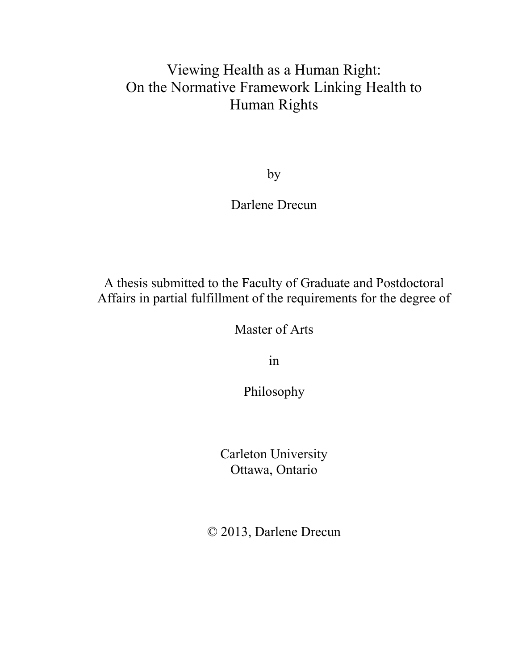# Viewing Health as a Human Right: On the Normative Framework Linking Health to Human Rights

by

## Darlene Drecun

A thesis submitted to the Faculty of Graduate and Postdoctoral Affairs in partial fulfillment of the requirements for the degree of

Master of Arts

in

Philosophy

Carleton University Ottawa, Ontario

© 2013, Darlene Drecun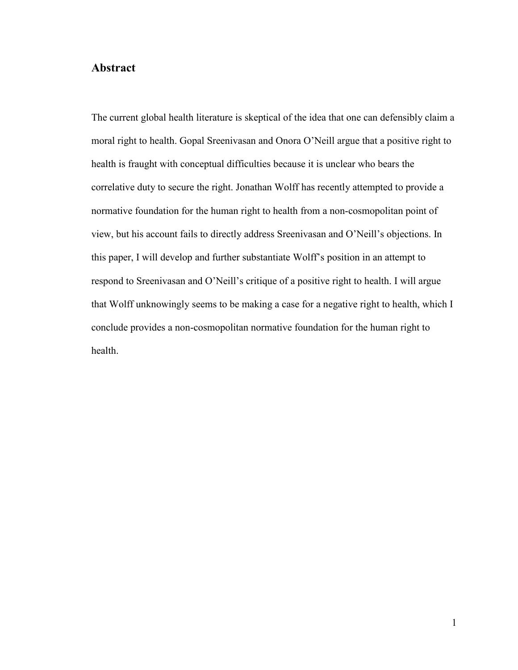### **Abstract**

The current global health literature is skeptical of the idea that one can defensibly claim a moral right to health. Gopal Sreenivasan and Onora O'Neill argue that a positive right to health is fraught with conceptual difficulties because it is unclear who bears the correlative duty to secure the right. Jonathan Wolff has recently attempted to provide a normative foundation for the human right to health from a non-cosmopolitan point of view, but his account fails to directly address Sreenivasan and O'Neill's objections. In this paper, I will develop and further substantiate Wolff's position in an attempt to respond to Sreenivasan and O'Neill's critique of a positive right to health. I will argue that Wolff unknowingly seems to be making a case for a negative right to health, which I conclude provides a non-cosmopolitan normative foundation for the human right to health.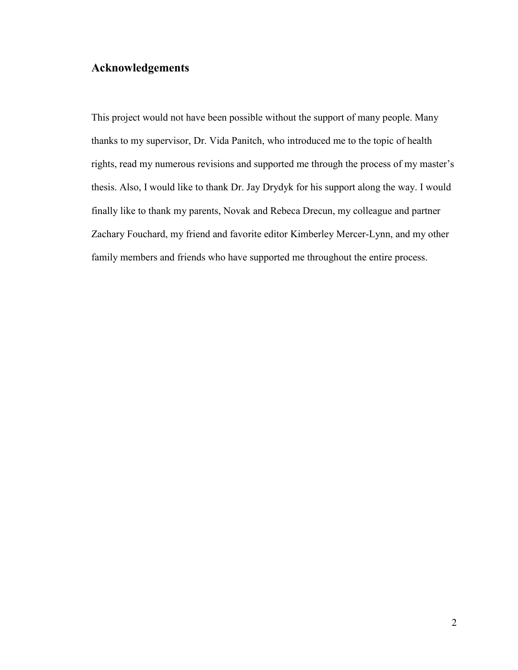### **Acknowledgements**

This project would not have been possible without the support of many people. Many thanks to my supervisor, Dr. Vida Panitch, who introduced me to the topic of health rights, read my numerous revisions and supported me through the process of my master's thesis. Also, I would like to thank Dr. Jay Drydyk for his support along the way. I would finally like to thank my parents, Novak and Rebeca Drecun, my colleague and partner Zachary Fouchard, my friend and favorite editor Kimberley Mercer-Lynn, and my other family members and friends who have supported me throughout the entire process.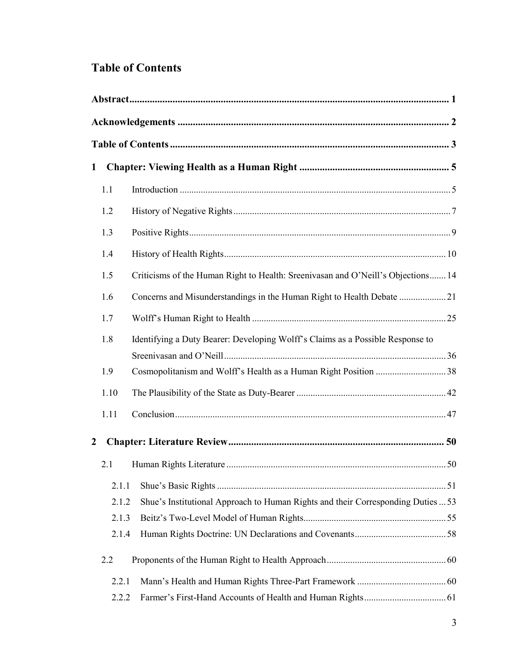## **Table of Contents**

| $\mathbf{1}$ |       |                                                                                  |  |  |
|--------------|-------|----------------------------------------------------------------------------------|--|--|
|              | 1.1   |                                                                                  |  |  |
|              | 1.2   |                                                                                  |  |  |
|              | 1.3   |                                                                                  |  |  |
|              | 1.4   |                                                                                  |  |  |
|              | 1.5   | Criticisms of the Human Right to Health: Sreenivasan and O'Neill's Objections 14 |  |  |
|              | 1.6   |                                                                                  |  |  |
|              | 1.7   |                                                                                  |  |  |
|              | 1.8   | Identifying a Duty Bearer: Developing Wolff's Claims as a Possible Response to   |  |  |
|              |       |                                                                                  |  |  |
|              | 1.9   |                                                                                  |  |  |
|              | 1.10  |                                                                                  |  |  |
|              | 1.11  |                                                                                  |  |  |
| 2            |       |                                                                                  |  |  |
|              | 2.1   |                                                                                  |  |  |
|              | 2.1.1 |                                                                                  |  |  |
|              | 2.1.2 | Shue's Institutional Approach to Human Rights and their Corresponding Duties  53 |  |  |
|              | 2.1.3 |                                                                                  |  |  |
|              | 2.1.4 |                                                                                  |  |  |
|              | 2.2   |                                                                                  |  |  |
|              | 2.2.1 |                                                                                  |  |  |
|              | 2.2.2 |                                                                                  |  |  |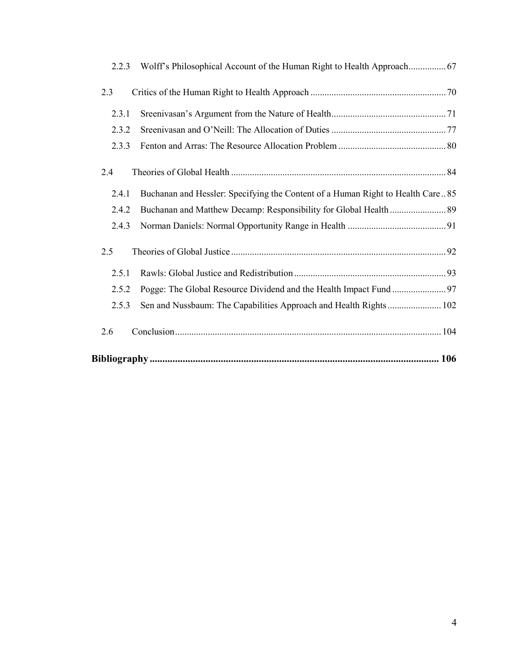| 2.2.3 |                                                                                |  |  |
|-------|--------------------------------------------------------------------------------|--|--|
| 2.3   |                                                                                |  |  |
| 2.3.1 |                                                                                |  |  |
| 2.3.2 |                                                                                |  |  |
| 2.3.3 |                                                                                |  |  |
| 2.4   |                                                                                |  |  |
| 2.4.1 | Buchanan and Hessler: Specifying the Content of a Human Right to Health Care85 |  |  |
| 2.4.2 |                                                                                |  |  |
| 2.4.3 |                                                                                |  |  |
| 2.5   |                                                                                |  |  |
| 2.5.1 |                                                                                |  |  |
| 2.5.2 |                                                                                |  |  |
| 2.5.3 | Sen and Nussbaum: The Capabilities Approach and Health Rights 102              |  |  |
| 2.6   |                                                                                |  |  |
|       |                                                                                |  |  |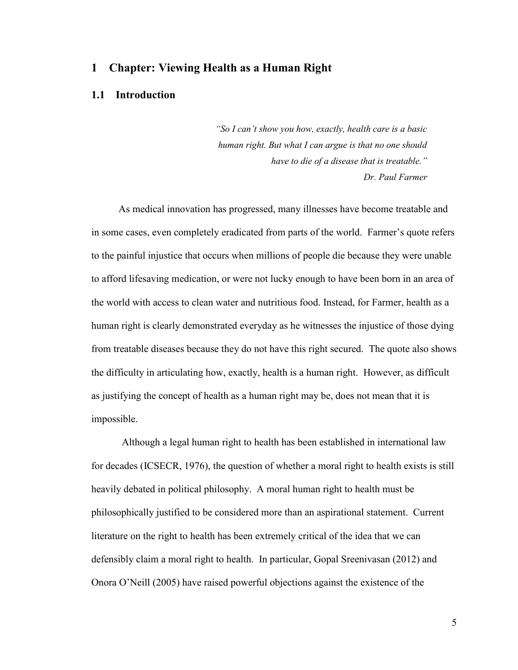### **1 Chapter: Viewing Health as a Human Right**

#### **1.1 Introduction**

*"So I can't show you how, exactly, health care is a basic human right. But what I can argue is that no one should have to die of a disease that is treatable." Dr. Paul Farmer*

As medical innovation has progressed, many illnesses have become treatable and in some cases, even completely eradicated from parts of the world. Farmer's quote refers to the painful injustice that occurs when millions of people die because they were unable to afford lifesaving medication, or were not lucky enough to have been born in an area of the world with access to clean water and nutritious food. Instead, for Farmer, health as a human right is clearly demonstrated everyday as he witnesses the injustice of those dying from treatable diseases because they do not have this right secured. The quote also shows the difficulty in articulating how, exactly, health is a human right. However, as difficult as justifying the concept of health as a human right may be, does not mean that it is impossible.

Although a legal human right to health has been established in international law for decades (ICSECR, 1976), the question of whether a moral right to health exists is still heavily debated in political philosophy. A moral human right to health must be philosophically justified to be considered more than an aspirational statement. Current literature on the right to health has been extremely critical of the idea that we can defensibly claim a moral right to health. In particular, Gopal Sreenivasan (2012) and Onora O'Neill (2005) have raised powerful objections against the existence of the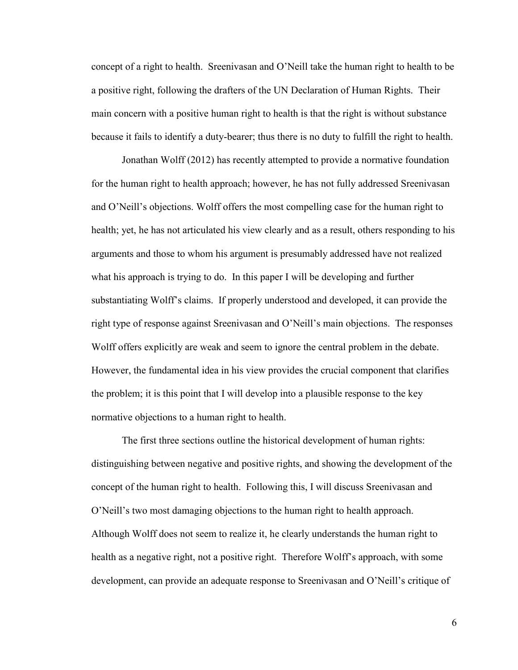concept of a right to health. Sreenivasan and O'Neill take the human right to health to be a positive right, following the drafters of the UN Declaration of Human Rights. Their main concern with a positive human right to health is that the right is without substance because it fails to identify a duty-bearer; thus there is no duty to fulfill the right to health.

Jonathan Wolff (2012) has recently attempted to provide a normative foundation for the human right to health approach; however, he has not fully addressed Sreenivasan and O'Neill's objections. Wolff offers the most compelling case for the human right to health; yet, he has not articulated his view clearly and as a result, others responding to his arguments and those to whom his argument is presumably addressed have not realized what his approach is trying to do. In this paper I will be developing and further substantiating Wolff's claims. If properly understood and developed, it can provide the right type of response against Sreenivasan and O'Neill's main objections. The responses Wolff offers explicitly are weak and seem to ignore the central problem in the debate. However, the fundamental idea in his view provides the crucial component that clarifies the problem; it is this point that I will develop into a plausible response to the key normative objections to a human right to health.

The first three sections outline the historical development of human rights: distinguishing between negative and positive rights, and showing the development of the concept of the human right to health. Following this, I will discuss Sreenivasan and O'Neill's two most damaging objections to the human right to health approach. Although Wolff does not seem to realize it, he clearly understands the human right to health as a negative right, not a positive right. Therefore Wolff's approach, with some development, can provide an adequate response to Sreenivasan and O'Neill's critique of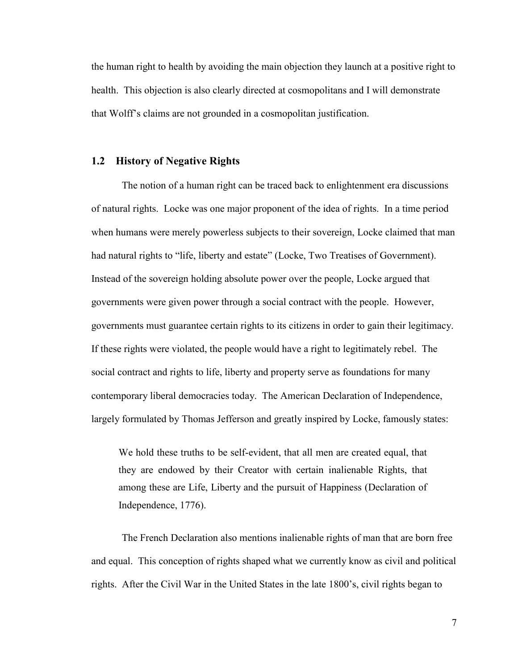the human right to health by avoiding the main objection they launch at a positive right to health. This objection is also clearly directed at cosmopolitans and I will demonstrate that Wolff's claims are not grounded in a cosmopolitan justification.

#### **1.2 History of Negative Rights**

The notion of a human right can be traced back to enlightenment era discussions of natural rights. Locke was one major proponent of the idea of rights. In a time period when humans were merely powerless subjects to their sovereign, Locke claimed that man had natural rights to "life, liberty and estate" (Locke, Two Treatises of Government). Instead of the sovereign holding absolute power over the people, Locke argued that governments were given power through a social contract with the people. However, governments must guarantee certain rights to its citizens in order to gain their legitimacy. If these rights were violated, the people would have a right to legitimately rebel. The social contract and rights to life, liberty and property serve as foundations for many contemporary liberal democracies today. The American Declaration of Independence, largely formulated by Thomas Jefferson and greatly inspired by Locke, famously states:

We hold these truths to be self-evident, that all men are created equal, that they are endowed by their Creator with certain inalienable Rights, that among these are Life, Liberty and the pursuit of Happiness (Declaration of Independence, 1776).

The French Declaration also mentions inalienable rights of man that are born free and equal. This conception of rights shaped what we currently know as civil and political rights. After the Civil War in the United States in the late 1800's, civil rights began to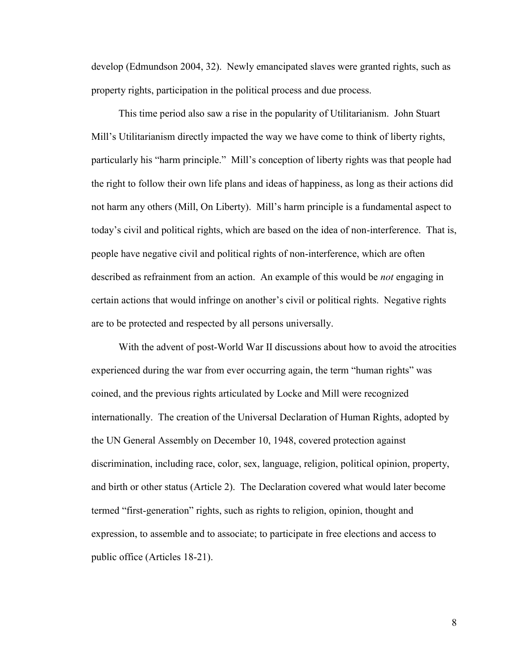develop (Edmundson 2004, 32). Newly emancipated slaves were granted rights, such as property rights, participation in the political process and due process.

This time period also saw a rise in the popularity of Utilitarianism. John Stuart Mill's Utilitarianism directly impacted the way we have come to think of liberty rights, particularly his "harm principle." Mill's conception of liberty rights was that people had the right to follow their own life plans and ideas of happiness, as long as their actions did not harm any others (Mill, On Liberty). Mill's harm principle is a fundamental aspect to today's civil and political rights, which are based on the idea of non-interference. That is, people have negative civil and political rights of non-interference, which are often described as refrainment from an action. An example of this would be *not* engaging in certain actions that would infringe on another's civil or political rights. Negative rights are to be protected and respected by all persons universally.

With the advent of post-World War II discussions about how to avoid the atrocities experienced during the war from ever occurring again, the term "human rights" was coined, and the previous rights articulated by Locke and Mill were recognized internationally. The creation of the Universal Declaration of Human Rights, adopted by the UN General Assembly on December 10, 1948, covered protection against discrimination, including race, color, sex, language, religion, political opinion, property, and birth or other status (Article 2). The Declaration covered what would later become termed "first-generation" rights, such as rights to religion, opinion, thought and expression, to assemble and to associate; to participate in free elections and access to public office (Articles 18-21).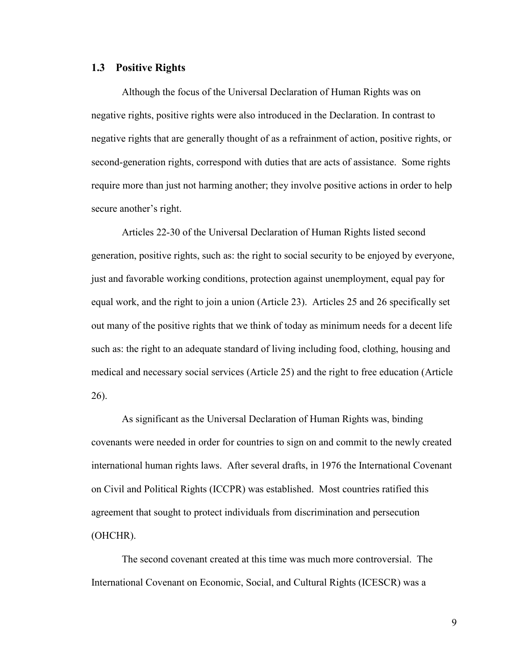#### **1.3 Positive Rights**

Although the focus of the Universal Declaration of Human Rights was on negative rights, positive rights were also introduced in the Declaration. In contrast to negative rights that are generally thought of as a refrainment of action, positive rights, or second-generation rights, correspond with duties that are acts of assistance. Some rights require more than just not harming another; they involve positive actions in order to help secure another's right.

Articles 22-30 of the Universal Declaration of Human Rights listed second generation, positive rights, such as: the right to social security to be enjoyed by everyone, just and favorable working conditions, protection against unemployment, equal pay for equal work, and the right to join a union (Article 23). Articles 25 and 26 specifically set out many of the positive rights that we think of today as minimum needs for a decent life such as: the right to an adequate standard of living including food, clothing, housing and medical and necessary social services (Article 25) and the right to free education (Article 26).

As significant as the Universal Declaration of Human Rights was, binding covenants were needed in order for countries to sign on and commit to the newly created international human rights laws. After several drafts, in 1976 the International Covenant on Civil and Political Rights (ICCPR) was established. Most countries ratified this agreement that sought to protect individuals from discrimination and persecution (OHCHR).

The second covenant created at this time was much more controversial. The International Covenant on Economic, Social, and Cultural Rights (ICESCR) was a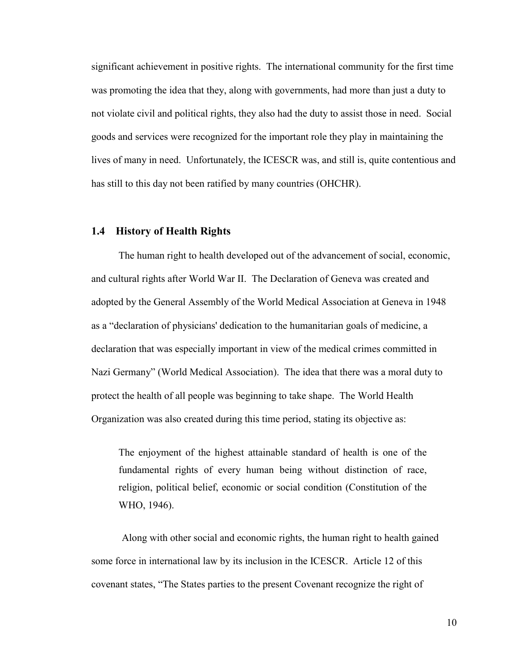significant achievement in positive rights. The international community for the first time was promoting the idea that they, along with governments, had more than just a duty to not violate civil and political rights, they also had the duty to assist those in need. Social goods and services were recognized for the important role they play in maintaining the lives of many in need. Unfortunately, the ICESCR was, and still is, quite contentious and has still to this day not been ratified by many countries (OHCHR).

#### **1.4 History of Health Rights**

The human right to health developed out of the advancement of social, economic, and cultural rights after World War II. The Declaration of Geneva was created and adopted by the General Assembly of the [World Medical Association](http://en.wikipedia.org/wiki/World_Medical_Association) at [Geneva](http://en.wikipedia.org/wiki/Geneva) in 1948 as a "declaration of [physicians'](http://en.wikipedia.org/wiki/Physician) dedication to the [humanitarian](http://en.wikipedia.org/wiki/Humanitarian) goals of [medicine,](http://en.wikipedia.org/wiki/Medicine) a declaration that was especially important in view of the medical crimes committed in [Nazi](http://en.wikipedia.org/wiki/Nazism) [Germany](http://en.wikipedia.org/wiki/Germany)" (World Medical Association). The idea that there was a moral duty to protect the health of all people was beginning to take shape. The World Health Organization was also created during this time period, stating its objective as:

The enjoyment of the highest attainable standard of health is one of the fundamental rights of every human being without distinction of race, religion, political belief, economic or social condition (Constitution of the WHO, 1946).

Along with other social and economic rights, the human right to health gained some force in international law by its inclusion in the ICESCR. Article 12 of this covenant states, "The States parties to the present Covenant recognize the right of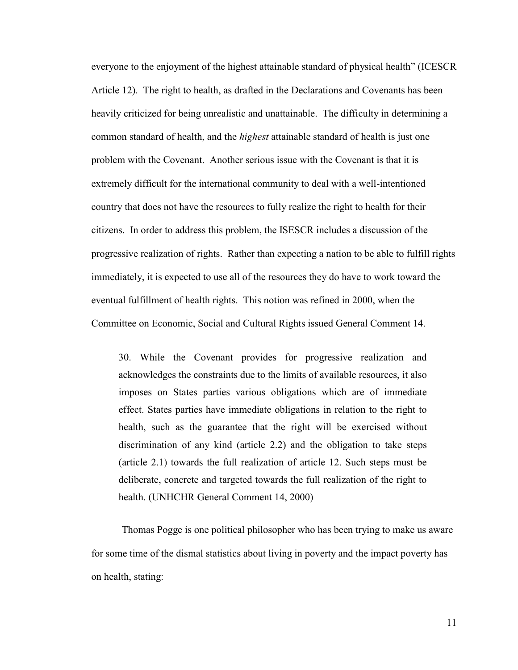everyone to the enjoyment of the highest attainable standard of physical health" (ICESCR Article 12). The right to health, as drafted in the Declarations and Covenants has been heavily criticized for being unrealistic and unattainable. The difficulty in determining a common standard of health, and the *highest* attainable standard of health is just one problem with the Covenant. Another serious issue with the Covenant is that it is extremely difficult for the international community to deal with a well-intentioned country that does not have the resources to fully realize the right to health for their citizens. In order to address this problem, the ISESCR includes a discussion of the progressive realization of rights. Rather than expecting a nation to be able to fulfill rights immediately, it is expected to use all of the resources they do have to work toward the eventual fulfillment of health rights. This notion was refined in 2000, when the Committee on Economic, Social and Cultural Rights issued General Comment 14.

30. While the Covenant provides for progressive realization and acknowledges the constraints due to the limits of available resources, it also imposes on States parties various obligations which are of immediate effect. States parties have immediate obligations in relation to the right to health, such as the guarantee that the right will be exercised without discrimination of any kind (article 2.2) and the obligation to take steps (article 2.1) towards the full realization of article 12. Such steps must be deliberate, concrete and targeted towards the full realization of the right to health. (UNHCHR General Comment 14, 2000)

Thomas Pogge is one political philosopher who has been trying to make us aware for some time of the dismal statistics about living in poverty and the impact poverty has on health, stating: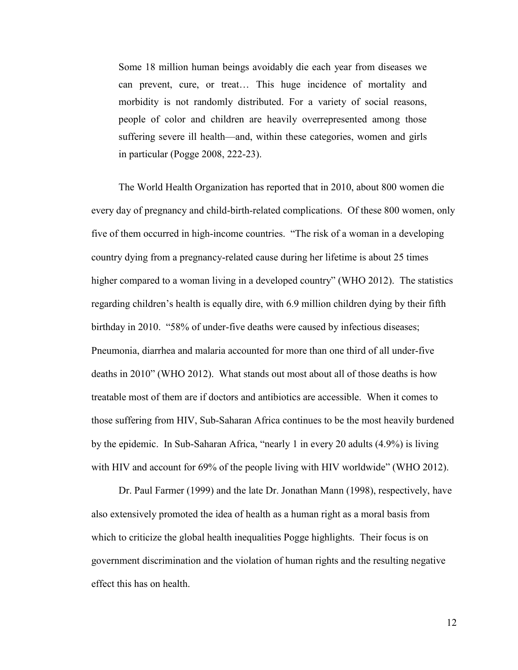Some 18 million human beings avoidably die each year from diseases we can prevent, cure, or treat… This huge incidence of mortality and morbidity is not randomly distributed. For a variety of social reasons, people of color and children are heavily overrepresented among those suffering severe ill health—and, within these categories, women and girls in particular (Pogge 2008, 222-23).

The World Health Organization has reported that in 2010, about 800 women die every day of pregnancy and child-birth-related complications. Of these 800 women, only five of them occurred in high-income countries. "The risk of a woman in a developing country dying from a pregnancy-related cause during her lifetime is about 25 times higher compared to a woman living in a developed country" (WHO 2012). The statistics regarding children's health is equally dire, with 6.9 million children dying by their fifth birthday in 2010. "58% of under-five deaths were caused by infectious diseases; Pneumonia, diarrhea and malaria accounted for more than one third of all under-five deaths in 2010" (WHO 2012). What stands out most about all of those deaths is how treatable most of them are if doctors and antibiotics are accessible. When it comes to those suffering from HIV, Sub-Saharan Africa continues to be the most heavily burdened by the epidemic. In Sub-Saharan Africa, "nearly 1 in every 20 adults (4.9%) is living with HIV and account for 69% of the people living with HIV worldwide" (WHO 2012).

Dr. Paul Farmer (1999) and the late Dr. Jonathan Mann (1998), respectively, have also extensively promoted the idea of health as a human right as a moral basis from which to criticize the global health inequalities Pogge highlights. Their focus is on government discrimination and the violation of human rights and the resulting negative effect this has on health.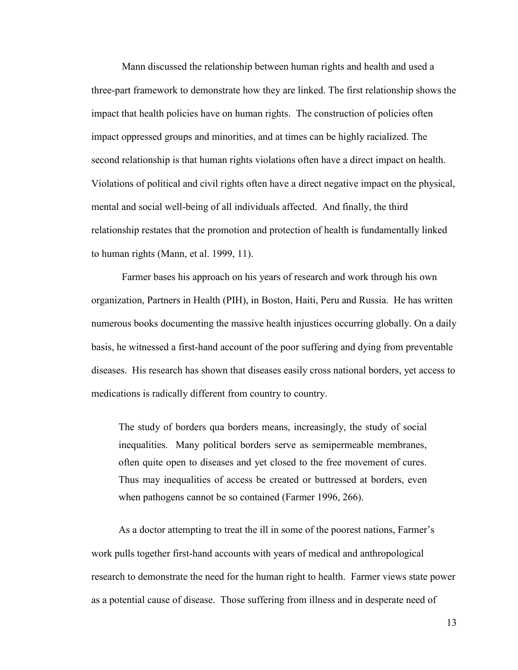Mann discussed the relationship between human rights and health and used a three-part framework to demonstrate how they are linked. The first relationship shows the impact that health policies have on human rights. The construction of policies often impact oppressed groups and minorities, and at times can be highly racialized. The second relationship is that human rights violations often have a direct impact on health. Violations of political and civil rights often have a direct negative impact on the physical, mental and social well-being of all individuals affected. And finally, the third relationship restates that the promotion and protection of health is fundamentally linked to human rights (Mann, et al. 1999, 11).

Farmer bases his approach on his years of research and work through his own organization, Partners in Health (PIH), in Boston, Haiti, Peru and Russia. He has written numerous books documenting the massive health injustices occurring globally. On a daily basis, he witnessed a first-hand account of the poor suffering and dying from preventable diseases. His research has shown that diseases easily cross national borders, yet access to medications is radically different from country to country.

The study of borders qua borders means, increasingly, the study of social inequalities. Many political borders serve as semipermeable membranes, often quite open to diseases and yet closed to the free movement of cures. Thus may inequalities of access be created or buttressed at borders, even when pathogens cannot be so contained (Farmer 1996, 266).

As a doctor attempting to treat the ill in some of the poorest nations, Farmer's work pulls together first-hand accounts with years of medical and anthropological research to demonstrate the need for the human right to health. Farmer views state power as a potential cause of disease. Those suffering from illness and in desperate need of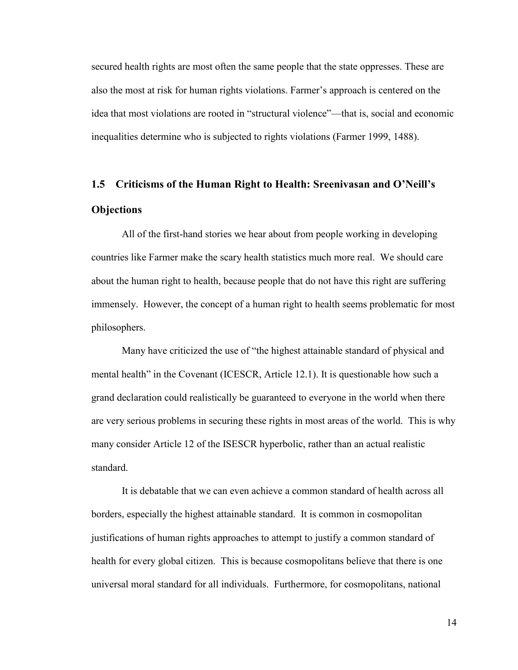secured health rights are most often the same people that the state oppresses. These are also the most at risk for human rights violations. Farmer's approach is centered on the idea that most violations are rooted in "structural violence"—that is, social and economic inequalities determine who is subjected to rights violations (Farmer 1999, 1488).

# **1.5 Criticisms of the Human Right to Health: Sreenivasan and O'Neill's Objections**

All of the first-hand stories we hear about from people working in developing countries like Farmer make the scary health statistics much more real. We should care about the human right to health, because people that do not have this right are suffering immensely. However, the concept of a human right to health seems problematic for most philosophers.

Many have criticized the use of "the highest attainable standard of physical and mental health" in the Covenant (ICESCR, Article 12.1). It is questionable how such a grand declaration could realistically be guaranteed to everyone in the world when there are very serious problems in securing these rights in most areas of the world. This is why many consider Article 12 of the ISESCR hyperbolic, rather than an actual realistic standard.

It is debatable that we can even achieve a common standard of health across all borders, especially the highest attainable standard. It is common in cosmopolitan justifications of human rights approaches to attempt to justify a common standard of health for every global citizen. This is because cosmopolitans believe that there is one universal moral standard for all individuals. Furthermore, for cosmopolitans, national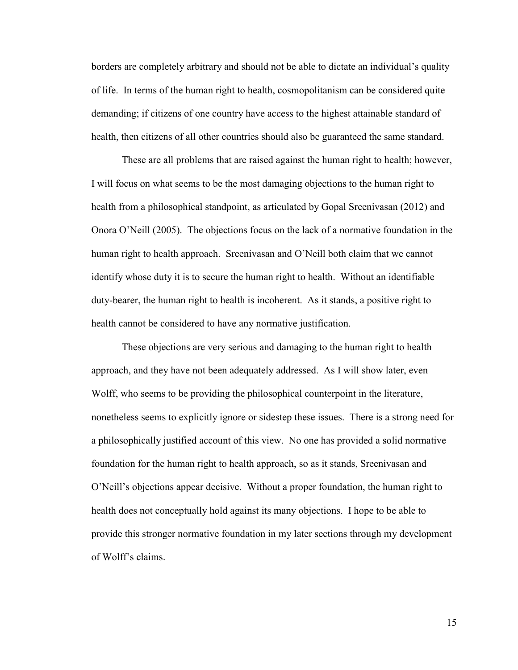borders are completely arbitrary and should not be able to dictate an individual's quality of life. In terms of the human right to health, cosmopolitanism can be considered quite demanding; if citizens of one country have access to the highest attainable standard of health, then citizens of all other countries should also be guaranteed the same standard.

These are all problems that are raised against the human right to health; however, I will focus on what seems to be the most damaging objections to the human right to health from a philosophical standpoint, as articulated by Gopal Sreenivasan (2012) and Onora O'Neill (2005). The objections focus on the lack of a normative foundation in the human right to health approach. Sreenivasan and O'Neill both claim that we cannot identify whose duty it is to secure the human right to health. Without an identifiable duty-bearer, the human right to health is incoherent. As it stands, a positive right to health cannot be considered to have any normative justification.

These objections are very serious and damaging to the human right to health approach, and they have not been adequately addressed. As I will show later, even Wolff, who seems to be providing the philosophical counterpoint in the literature, nonetheless seems to explicitly ignore or sidestep these issues. There is a strong need for a philosophically justified account of this view. No one has provided a solid normative foundation for the human right to health approach, so as it stands, Sreenivasan and O'Neill's objections appear decisive. Without a proper foundation, the human right to health does not conceptually hold against its many objections. I hope to be able to provide this stronger normative foundation in my later sections through my development of Wolff's claims.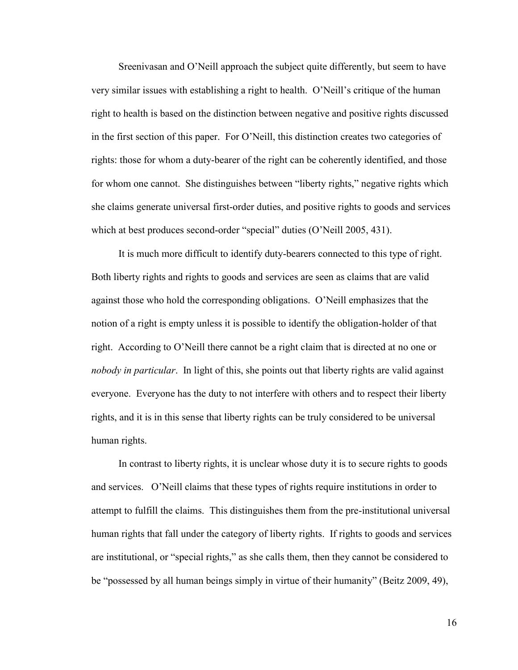Sreenivasan and O'Neill approach the subject quite differently, but seem to have very similar issues with establishing a right to health. O'Neill's critique of the human right to health is based on the distinction between negative and positive rights discussed in the first section of this paper. For O'Neill, this distinction creates two categories of rights: those for whom a duty-bearer of the right can be coherently identified, and those for whom one cannot. She distinguishes between "liberty rights," negative rights which she claims generate universal first-order duties, and positive rights to goods and services which at best produces second-order "special" duties (O'Neill 2005, 431).

It is much more difficult to identify duty-bearers connected to this type of right. Both liberty rights and rights to goods and services are seen as claims that are valid against those who hold the corresponding obligations. O'Neill emphasizes that the notion of a right is empty unless it is possible to identify the obligation-holder of that right. According to O'Neill there cannot be a right claim that is directed at no one or *nobody in particular*. In light of this, she points out that liberty rights are valid against everyone. Everyone has the duty to not interfere with others and to respect their liberty rights, and it is in this sense that liberty rights can be truly considered to be universal human rights.

In contrast to liberty rights, it is unclear whose duty it is to secure rights to goods and services. O'Neill claims that these types of rights require institutions in order to attempt to fulfill the claims. This distinguishes them from the pre-institutional universal human rights that fall under the category of liberty rights. If rights to goods and services are institutional, or "special rights," as she calls them, then they cannot be considered to be "possessed by all human beings simply in virtue of their humanity" (Beitz 2009, 49),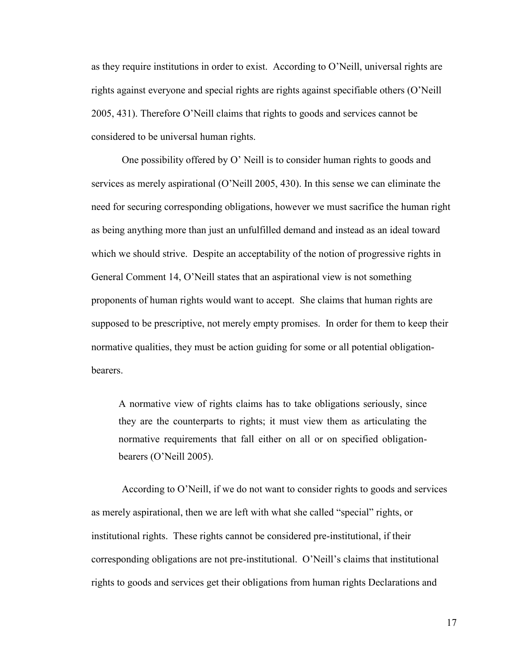as they require institutions in order to exist. According to O'Neill, universal rights are rights against everyone and special rights are rights against specifiable others (O'Neill 2005, 431). Therefore O'Neill claims that rights to goods and services cannot be considered to be universal human rights.

One possibility offered by O' Neill is to consider human rights to goods and services as merely aspirational (O'Neill 2005, 430). In this sense we can eliminate the need for securing corresponding obligations, however we must sacrifice the human right as being anything more than just an unfulfilled demand and instead as an ideal toward which we should strive. Despite an acceptability of the notion of progressive rights in General Comment 14, O'Neill states that an aspirational view is not something proponents of human rights would want to accept. She claims that human rights are supposed to be prescriptive, not merely empty promises. In order for them to keep their normative qualities, they must be action guiding for some or all potential obligationbearers.

A normative view of rights claims has to take obligations seriously, since they are the counterparts to rights; it must view them as articulating the normative requirements that fall either on all or on specified obligationbearers (O'Neill 2005).

According to O'Neill, if we do not want to consider rights to goods and services as merely aspirational, then we are left with what she called "special" rights, or institutional rights. These rights cannot be considered pre-institutional, if their corresponding obligations are not pre-institutional. O'Neill's claims that institutional rights to goods and services get their obligations from human rights Declarations and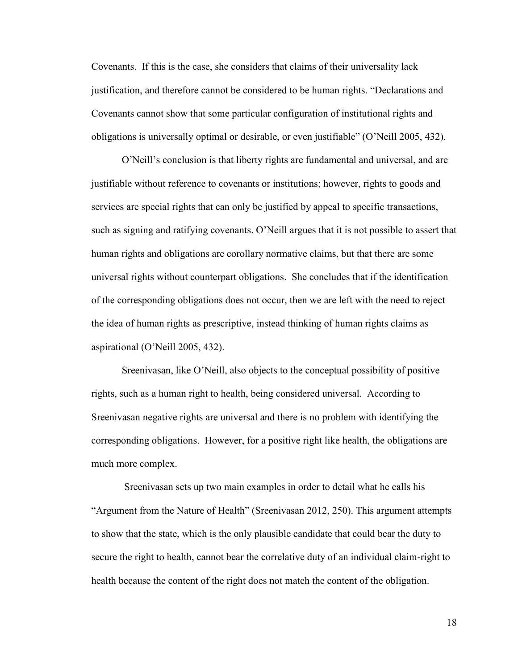Covenants. If this is the case, she considers that claims of their universality lack justification, and therefore cannot be considered to be human rights. "Declarations and Covenants cannot show that some particular configuration of institutional rights and obligations is universally optimal or desirable, or even justifiable" (O'Neill 2005, 432).

O'Neill's conclusion is that liberty rights are fundamental and universal, and are justifiable without reference to covenants or institutions; however, rights to goods and services are special rights that can only be justified by appeal to specific transactions, such as signing and ratifying covenants. O'Neill argues that it is not possible to assert that human rights and obligations are corollary normative claims, but that there are some universal rights without counterpart obligations. She concludes that if the identification of the corresponding obligations does not occur, then we are left with the need to reject the idea of human rights as prescriptive, instead thinking of human rights claims as aspirational (O'Neill 2005, 432).

Sreenivasan, like O'Neill, also objects to the conceptual possibility of positive rights, such as a human right to health, being considered universal. According to Sreenivasan negative rights are universal and there is no problem with identifying the corresponding obligations. However, for a positive right like health, the obligations are much more complex.

Sreenivasan sets up two main examples in order to detail what he calls his "Argument from the Nature of Health" (Sreenivasan 2012, 250). This argument attempts to show that the state, which is the only plausible candidate that could bear the duty to secure the right to health, cannot bear the correlative duty of an individual claim-right to health because the content of the right does not match the content of the obligation.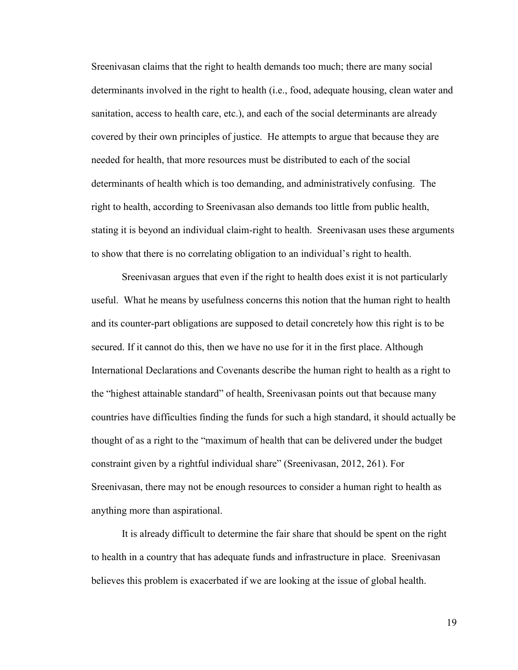Sreenivasan claims that the right to health demands too much; there are many social determinants involved in the right to health (i.e., food, adequate housing, clean water and sanitation, access to health care, etc.), and each of the social determinants are already covered by their own principles of justice. He attempts to argue that because they are needed for health, that more resources must be distributed to each of the social determinants of health which is too demanding, and administratively confusing. The right to health, according to Sreenivasan also demands too little from public health, stating it is beyond an individual claim-right to health. Sreenivasan uses these arguments to show that there is no correlating obligation to an individual's right to health.

Sreenivasan argues that even if the right to health does exist it is not particularly useful. What he means by usefulness concerns this notion that the human right to health and its counter-part obligations are supposed to detail concretely how this right is to be secured. If it cannot do this, then we have no use for it in the first place. Although International Declarations and Covenants describe the human right to health as a right to the "highest attainable standard" of health, Sreenivasan points out that because many countries have difficulties finding the funds for such a high standard, it should actually be thought of as a right to the "maximum of health that can be delivered under the budget constraint given by a rightful individual share" (Sreenivasan, 2012, 261). For Sreenivasan, there may not be enough resources to consider a human right to health as anything more than aspirational.

It is already difficult to determine the fair share that should be spent on the right to health in a country that has adequate funds and infrastructure in place. Sreenivasan believes this problem is exacerbated if we are looking at the issue of global health.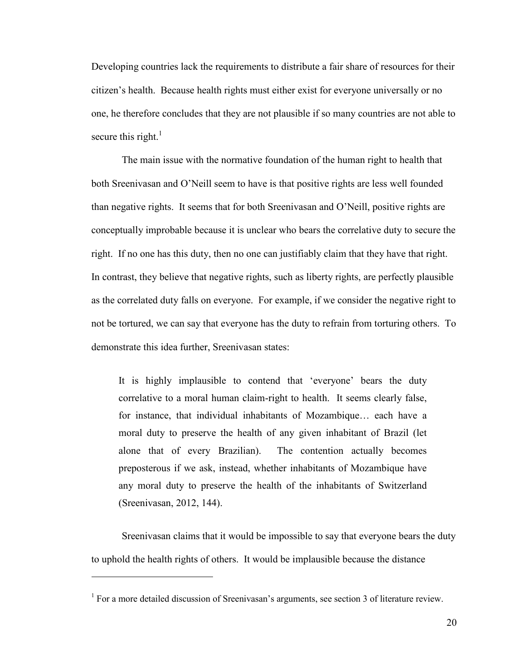Developing countries lack the requirements to distribute a fair share of resources for their citizen's health. Because health rights must either exist for everyone universally or no one, he therefore concludes that they are not plausible if so many countries are not able to secure this right. $1$ 

The main issue with the normative foundation of the human right to health that both Sreenivasan and O'Neill seem to have is that positive rights are less well founded than negative rights. It seems that for both Sreenivasan and O'Neill, positive rights are conceptually improbable because it is unclear who bears the correlative duty to secure the right. If no one has this duty, then no one can justifiably claim that they have that right. In contrast, they believe that negative rights, such as liberty rights, are perfectly plausible as the correlated duty falls on everyone. For example, if we consider the negative right to not be tortured, we can say that everyone has the duty to refrain from torturing others. To demonstrate this idea further, Sreenivasan states:

It is highly implausible to contend that 'everyone' bears the duty correlative to a moral human claim-right to health. It seems clearly false, for instance, that individual inhabitants of Mozambique… each have a moral duty to preserve the health of any given inhabitant of Brazil (let alone that of every Brazilian). The contention actually becomes preposterous if we ask, instead, whether inhabitants of Mozambique have any moral duty to preserve the health of the inhabitants of Switzerland (Sreenivasan, 2012, 144).

Sreenivasan claims that it would be impossible to say that everyone bears the duty to uphold the health rights of others. It would be implausible because the distance

<sup>&</sup>lt;sup>1</sup> For a more detailed discussion of Sreenivasan's arguments, see section 3 of literature review.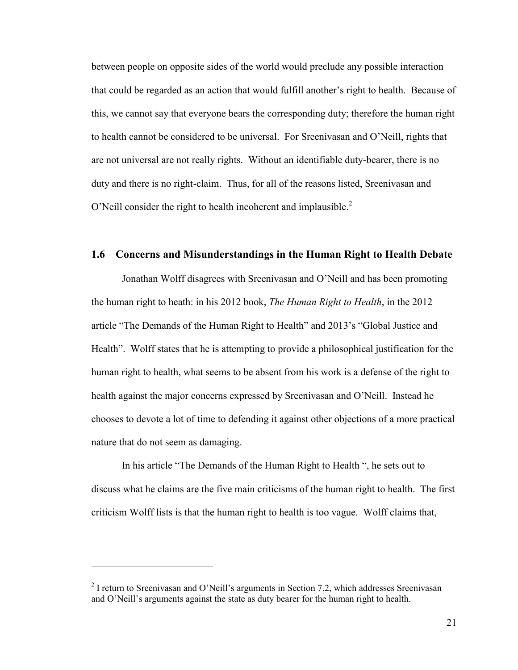between people on opposite sides of the world would preclude any possible interaction that could be regarded as an action that would fulfill another's right to health. Because of this, we cannot say that everyone bears the corresponding duty; therefore the human right to health cannot be considered to be universal. For Sreenivasan and O'Neill, rights that are not universal are not really rights. Without an identifiable duty-bearer, there is no duty and there is no right-claim. Thus, for all of the reasons listed, Sreenivasan and O'Neill consider the right to health incoherent and implausible.<sup>2</sup>

#### **1.6 Concerns and Misunderstandings in the Human Right to Health Debate**

Jonathan Wolff disagrees with Sreenivasan and O'Neill and has been promoting the human right to heath: in his 2012 book, *The Human Right to Health*, in the 2012 article "The Demands of the Human Right to Health" and 2013's "Global Justice and Health". Wolff states that he is attempting to provide a philosophical justification for the human right to health, what seems to be absent from his work is a defense of the right to health against the major concerns expressed by Sreenivasan and O'Neill. Instead he chooses to devote a lot of time to defending it against other objections of a more practical nature that do not seem as damaging.

In his article "The Demands of the Human Right to Health ", he sets out to discuss what he claims are the five main criticisms of the human right to health. The first criticism Wolff lists is that the human right to health is too vague. Wolff claims that,

 $2$  I return to Sreenivasan and O'Neill's arguments in Section 7.2, which addresses Sreenivasan and O'Neill's arguments against the state as duty bearer for the human right to health.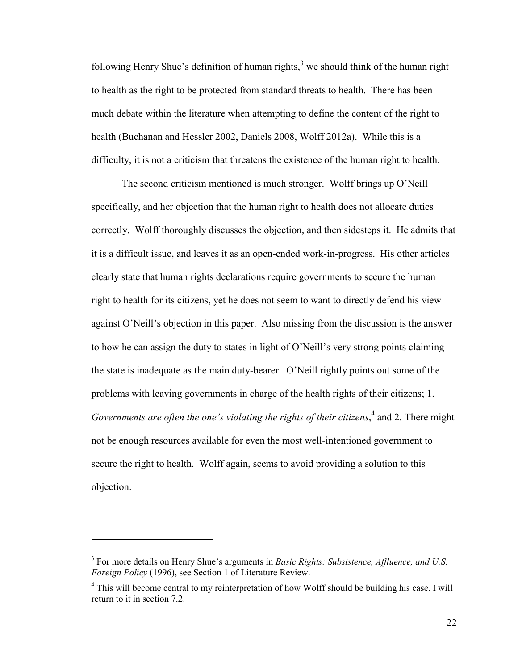following Henry Shue's definition of human rights, $3 \text{ we should think of the human right}$ to health as the right to be protected from standard threats to health. There has been much debate within the literature when attempting to define the content of the right to health (Buchanan and Hessler 2002, Daniels 2008, Wolff 2012a). While this is a difficulty, it is not a criticism that threatens the existence of the human right to health.

The second criticism mentioned is much stronger. Wolff brings up O'Neill specifically, and her objection that the human right to health does not allocate duties correctly. Wolff thoroughly discusses the objection, and then sidesteps it. He admits that it is a difficult issue, and leaves it as an open-ended work-in-progress. His other articles clearly state that human rights declarations require governments to secure the human right to health for its citizens, yet he does not seem to want to directly defend his view against O'Neill's objection in this paper. Also missing from the discussion is the answer to how he can assign the duty to states in light of O'Neill's very strong points claiming the state is inadequate as the main duty-bearer. O'Neill rightly points out some of the problems with leaving governments in charge of the health rights of their citizens; 1. *Governments are often the one's violating the rights of their citizens*, 4 and 2. There might not be enough resources available for even the most well-intentioned government to secure the right to health. Wolff again, seems to avoid providing a solution to this objection.

<sup>3</sup> For more details on Henry Shue's arguments in *Basic Rights: Subsistence, Affluence, and U.S. Foreign Policy* (1996), see Section 1 of Literature Review.

<sup>&</sup>lt;sup>4</sup> This will become central to my reinterpretation of how Wolff should be building his case. I will return to it in section 7.2.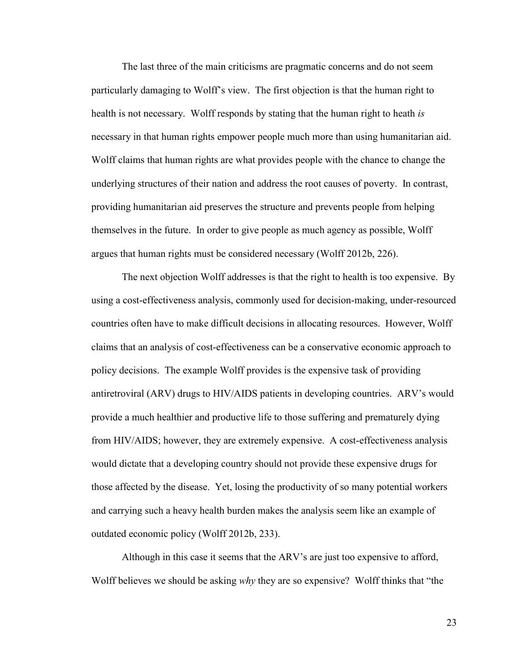The last three of the main criticisms are pragmatic concerns and do not seem particularly damaging to Wolff's view. The first objection is that the human right to health is not necessary. Wolff responds by stating that the human right to heath *is* necessary in that human rights empower people much more than using humanitarian aid. Wolff claims that human rights are what provides people with the chance to change the underlying structures of their nation and address the root causes of poverty. In contrast, providing humanitarian aid preserves the structure and prevents people from helping themselves in the future. In order to give people as much agency as possible, Wolff argues that human rights must be considered necessary (Wolff 2012b, 226).

The next objection Wolff addresses is that the right to health is too expensive. By using a cost-effectiveness analysis, commonly used for decision-making, under-resourced countries often have to make difficult decisions in allocating resources. However, Wolff claims that an analysis of cost-effectiveness can be a conservative economic approach to policy decisions. The example Wolff provides is the expensive task of providing antiretroviral (ARV) drugs to HIV/AIDS patients in developing countries. ARV's would provide a much healthier and productive life to those suffering and prematurely dying from HIV/AIDS; however, they are extremely expensive. A cost-effectiveness analysis would dictate that a developing country should not provide these expensive drugs for those affected by the disease. Yet, losing the productivity of so many potential workers and carrying such a heavy health burden makes the analysis seem like an example of outdated economic policy (Wolff 2012b, 233).

Although in this case it seems that the ARV's are just too expensive to afford, Wolff believes we should be asking *why* they are so expensive? Wolff thinks that "the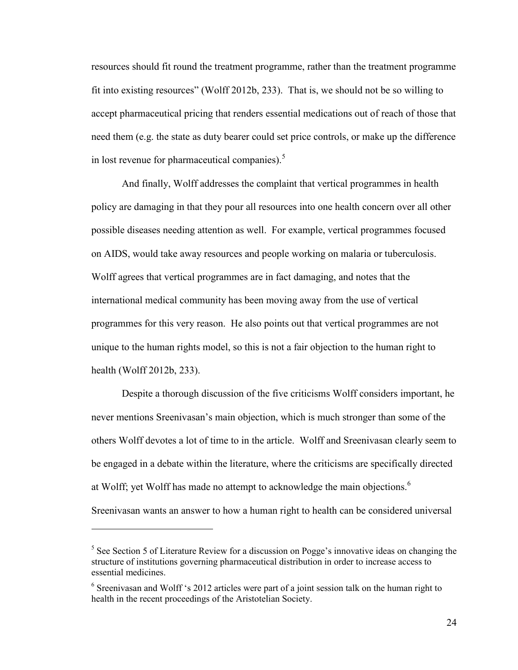resources should fit round the treatment programme, rather than the treatment programme fit into existing resources" (Wolff 2012b, 233). That is, we should not be so willing to accept pharmaceutical pricing that renders essential medications out of reach of those that need them (e.g. the state as duty bearer could set price controls, or make up the difference in lost revenue for pharmaceutical companies).<sup>5</sup>

And finally, Wolff addresses the complaint that vertical programmes in health policy are damaging in that they pour all resources into one health concern over all other possible diseases needing attention as well. For example, vertical programmes focused on AIDS, would take away resources and people working on malaria or tuberculosis. Wolff agrees that vertical programmes are in fact damaging, and notes that the international medical community has been moving away from the use of vertical programmes for this very reason. He also points out that vertical programmes are not unique to the human rights model, so this is not a fair objection to the human right to health (Wolff 2012b, 233).

Despite a thorough discussion of the five criticisms Wolff considers important, he never mentions Sreenivasan's main objection, which is much stronger than some of the others Wolff devotes a lot of time to in the article. Wolff and Sreenivasan clearly seem to be engaged in a debate within the literature, where the criticisms are specifically directed at Wolff; yet Wolff has made no attempt to acknowledge the main objections.<sup>6</sup> Sreenivasan wants an answer to how a human right to health can be considered universal

<sup>&</sup>lt;sup>5</sup> See Section 5 of Literature Review for a discussion on Pogge's innovative ideas on changing the structure of institutions governing pharmaceutical distribution in order to increase access to essential medicines.

<sup>&</sup>lt;sup>6</sup> Sreenivasan and Wolff 's 2012 articles were part of a joint session talk on the human right to health in the recent proceedings of the Aristotelian Society.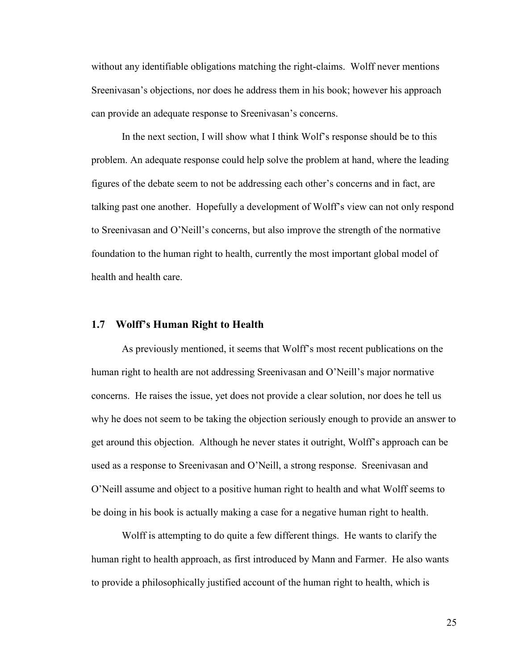without any identifiable obligations matching the right-claims. Wolff never mentions Sreenivasan's objections, nor does he address them in his book; however his approach can provide an adequate response to Sreenivasan's concerns.

In the next section, I will show what I think Wolf's response should be to this problem. An adequate response could help solve the problem at hand, where the leading figures of the debate seem to not be addressing each other's concerns and in fact, are talking past one another. Hopefully a development of Wolff's view can not only respond to Sreenivasan and O'Neill's concerns, but also improve the strength of the normative foundation to the human right to health, currently the most important global model of health and health care.

#### **1.7 Wolff's Human Right to Health**

As previously mentioned, it seems that Wolff's most recent publications on the human right to health are not addressing Sreenivasan and O'Neill's major normative concerns. He raises the issue, yet does not provide a clear solution, nor does he tell us why he does not seem to be taking the objection seriously enough to provide an answer to get around this objection. Although he never states it outright, Wolff's approach can be used as a response to Sreenivasan and O'Neill, a strong response. Sreenivasan and O'Neill assume and object to a positive human right to health and what Wolff seems to be doing in his book is actually making a case for a negative human right to health.

Wolff is attempting to do quite a few different things. He wants to clarify the human right to health approach, as first introduced by Mann and Farmer. He also wants to provide a philosophically justified account of the human right to health, which is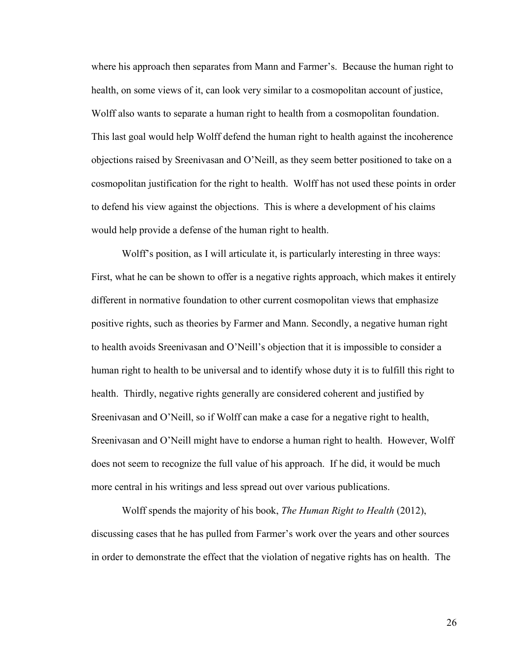where his approach then separates from Mann and Farmer's. Because the human right to health, on some views of it, can look very similar to a cosmopolitan account of justice, Wolff also wants to separate a human right to health from a cosmopolitan foundation. This last goal would help Wolff defend the human right to health against the incoherence objections raised by Sreenivasan and O'Neill, as they seem better positioned to take on a cosmopolitan justification for the right to health. Wolff has not used these points in order to defend his view against the objections. This is where a development of his claims would help provide a defense of the human right to health.

Wolff's position, as I will articulate it, is particularly interesting in three ways: First, what he can be shown to offer is a negative rights approach, which makes it entirely different in normative foundation to other current cosmopolitan views that emphasize positive rights, such as theories by Farmer and Mann. Secondly, a negative human right to health avoids Sreenivasan and O'Neill's objection that it is impossible to consider a human right to health to be universal and to identify whose duty it is to fulfill this right to health. Thirdly, negative rights generally are considered coherent and justified by Sreenivasan and O'Neill, so if Wolff can make a case for a negative right to health, Sreenivasan and O'Neill might have to endorse a human right to health. However, Wolff does not seem to recognize the full value of his approach. If he did, it would be much more central in his writings and less spread out over various publications.

Wolff spends the majority of his book, *The Human Right to Health* (2012), discussing cases that he has pulled from Farmer's work over the years and other sources in order to demonstrate the effect that the violation of negative rights has on health. The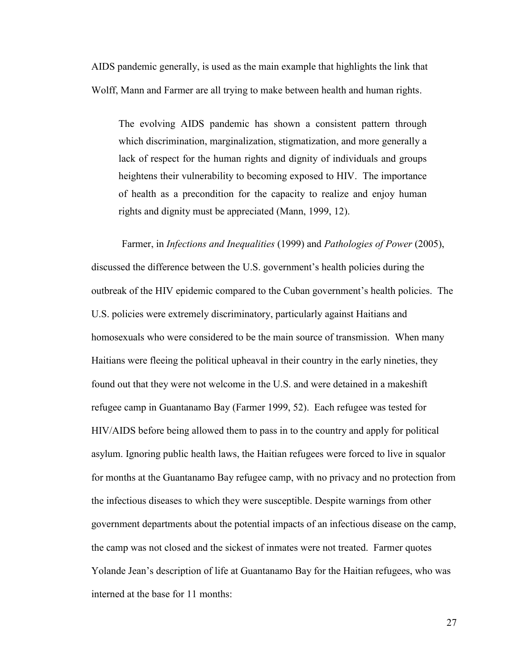AIDS pandemic generally, is used as the main example that highlights the link that Wolff, Mann and Farmer are all trying to make between health and human rights.

The evolving AIDS pandemic has shown a consistent pattern through which discrimination, marginalization, stigmatization, and more generally a lack of respect for the human rights and dignity of individuals and groups heightens their vulnerability to becoming exposed to HIV. The importance of health as a precondition for the capacity to realize and enjoy human rights and dignity must be appreciated (Mann, 1999, 12).

Farmer, in *Infections and Inequalities* (1999) and *Pathologies of Power* (2005), discussed the difference between the U.S. government's health policies during the outbreak of the HIV epidemic compared to the Cuban government's health policies. The U.S. policies were extremely discriminatory, particularly against Haitians and homosexuals who were considered to be the main source of transmission. When many Haitians were fleeing the political upheaval in their country in the early nineties, they found out that they were not welcome in the U.S. and were detained in a makeshift refugee camp in Guantanamo Bay (Farmer 1999, 52). Each refugee was tested for HIV/AIDS before being allowed them to pass in to the country and apply for political asylum. Ignoring public health laws, the Haitian refugees were forced to live in squalor for months at the Guantanamo Bay refugee camp, with no privacy and no protection from the infectious diseases to which they were susceptible. Despite warnings from other government departments about the potential impacts of an infectious disease on the camp, the camp was not closed and the sickest of inmates were not treated. Farmer quotes Yolande Jean's description of life at Guantanamo Bay for the Haitian refugees, who was interned at the base for 11 months: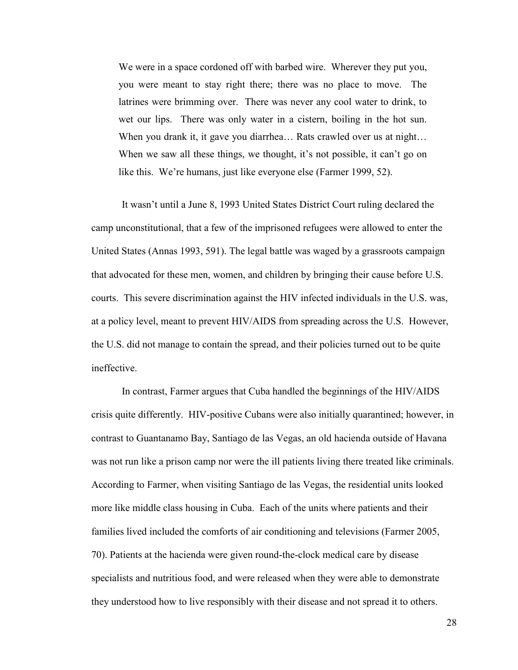We were in a space cordoned off with barbed wire. Wherever they put you, you were meant to stay right there; there was no place to move. The latrines were brimming over. There was never any cool water to drink, to wet our lips. There was only water in a cistern, boiling in the hot sun. When you drank it, it gave you diarrhea... Rats crawled over us at night... When we saw all these things, we thought, it's not possible, it can't go on like this. We're humans, just like everyone else (Farmer 1999, 52).

It wasn't until a June 8, 1993 United States District Court ruling declared the camp unconstitutional, that a few of the imprisoned refugees were allowed to enter the United States (Annas 1993, 591). The legal battle was waged by a grassroots campaign that advocated for these men, women, and children by bringing their cause before U.S. courts. This severe discrimination against the HIV infected individuals in the U.S. was, at a policy level, meant to prevent HIV/AIDS from spreading across the U.S. However, the U.S. did not manage to contain the spread, and their policies turned out to be quite ineffective.

In contrast, Farmer argues that Cuba handled the beginnings of the HIV/AIDS crisis quite differently. HIV-positive Cubans were also initially quarantined; however, in contrast to Guantanamo Bay, Santiago de las Vegas, an old hacienda outside of Havana was not run like a prison camp nor were the ill patients living there treated like criminals. According to Farmer, when visiting Santiago de las Vegas, the residential units looked more like middle class housing in Cuba. Each of the units where patients and their families lived included the comforts of air conditioning and televisions (Farmer 2005, 70). Patients at the hacienda were given round-the-clock medical care by disease specialists and nutritious food, and were released when they were able to demonstrate they understood how to live responsibly with their disease and not spread it to others.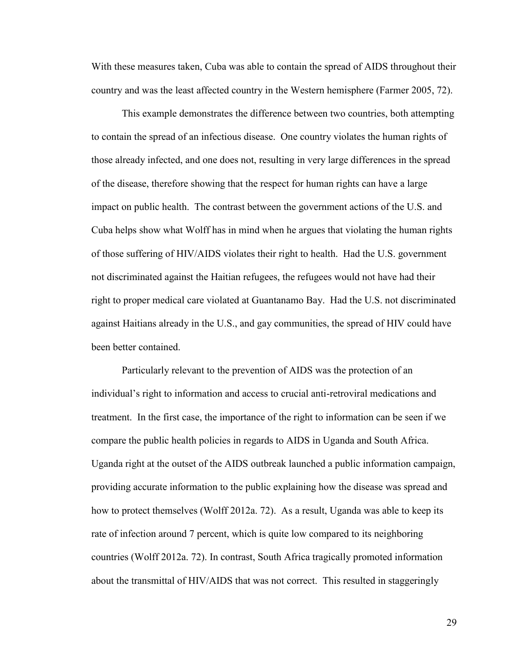With these measures taken, Cuba was able to contain the spread of AIDS throughout their country and was the least affected country in the Western hemisphere (Farmer 2005, 72).

This example demonstrates the difference between two countries, both attempting to contain the spread of an infectious disease. One country violates the human rights of those already infected, and one does not, resulting in very large differences in the spread of the disease, therefore showing that the respect for human rights can have a large impact on public health. The contrast between the government actions of the U.S. and Cuba helps show what Wolff has in mind when he argues that violating the human rights of those suffering of HIV/AIDS violates their right to health. Had the U.S. government not discriminated against the Haitian refugees, the refugees would not have had their right to proper medical care violated at Guantanamo Bay. Had the U.S. not discriminated against Haitians already in the U.S., and gay communities, the spread of HIV could have been better contained.

Particularly relevant to the prevention of AIDS was the protection of an individual's right to information and access to crucial anti-retroviral medications and treatment. In the first case, the importance of the right to information can be seen if we compare the public health policies in regards to AIDS in Uganda and South Africa. Uganda right at the outset of the AIDS outbreak launched a public information campaign, providing accurate information to the public explaining how the disease was spread and how to protect themselves (Wolff 2012a. 72). As a result, Uganda was able to keep its rate of infection around 7 percent, which is quite low compared to its neighboring countries (Wolff 2012a. 72). In contrast, South Africa tragically promoted information about the transmittal of HIV/AIDS that was not correct. This resulted in staggeringly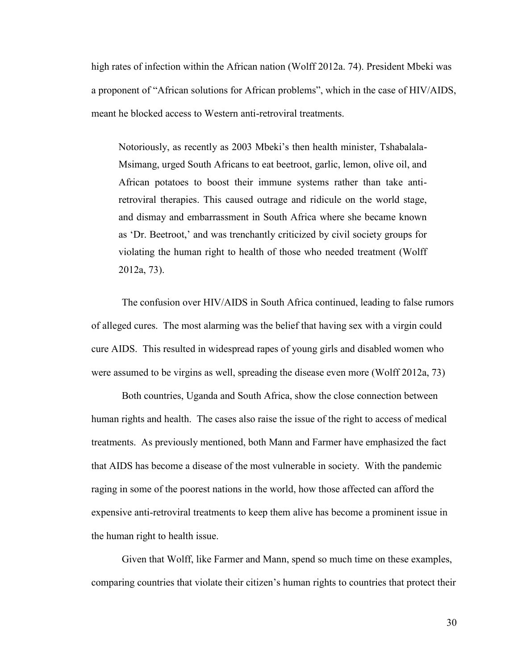high rates of infection within the African nation (Wolff 2012a. 74). President Mbeki was a proponent of "African solutions for African problems", which in the case of HIV/AIDS, meant he blocked access to Western anti-retroviral treatments.

Notoriously, as recently as 2003 Mbeki's then health minister, Tshabalala-Msimang, urged South Africans to eat beetroot, garlic, lemon, olive oil, and African potatoes to boost their immune systems rather than take antiretroviral therapies. This caused outrage and ridicule on the world stage, and dismay and embarrassment in South Africa where she became known as 'Dr. Beetroot,' and was trenchantly criticized by civil society groups for violating the human right to health of those who needed treatment (Wolff 2012a, 73).

The confusion over HIV/AIDS in South Africa continued, leading to false rumors of alleged cures. The most alarming was the belief that having sex with a virgin could cure AIDS. This resulted in widespread rapes of young girls and disabled women who were assumed to be virgins as well, spreading the disease even more (Wolff 2012a, 73)

Both countries, Uganda and South Africa, show the close connection between human rights and health. The cases also raise the issue of the right to access of medical treatments. As previously mentioned, both Mann and Farmer have emphasized the fact that AIDS has become a disease of the most vulnerable in society. With the pandemic raging in some of the poorest nations in the world, how those affected can afford the expensive anti-retroviral treatments to keep them alive has become a prominent issue in the human right to health issue.

Given that Wolff, like Farmer and Mann, spend so much time on these examples, comparing countries that violate their citizen's human rights to countries that protect their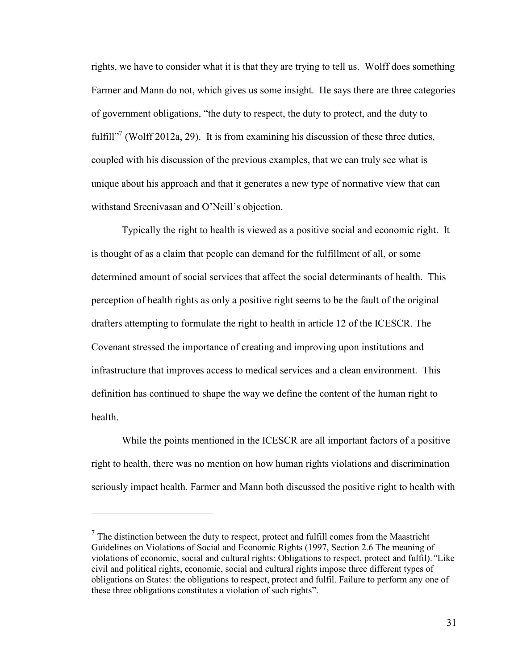rights, we have to consider what it is that they are trying to tell us. Wolff does something Farmer and Mann do not, which gives us some insight. He says there are three categories of government obligations, "the duty to respect, the duty to protect, and the duty to fulfill"<sup>7</sup> (Wolff 2012a, 29). It is from examining his discussion of these three duties, coupled with his discussion of the previous examples, that we can truly see what is unique about his approach and that it generates a new type of normative view that can withstand Sreenivasan and O'Neill's objection.

Typically the right to health is viewed as a positive social and economic right. It is thought of as a claim that people can demand for the fulfillment of all, or some determined amount of social services that affect the social determinants of health. This perception of health rights as only a positive right seems to be the fault of the original drafters attempting to formulate the right to health in article 12 of the ICESCR. The Covenant stressed the importance of creating and improving upon institutions and infrastructure that improves access to medical services and a clean environment. This definition has continued to shape the way we define the content of the human right to health.

While the points mentioned in the ICESCR are all important factors of a positive right to health, there was no mention on how human rights violations and discrimination seriously impact health. Farmer and Mann both discussed the positive right to health with

 $<sup>7</sup>$  The distinction between the duty to respect, protect and fulfill comes from the Maastricht</sup> Guidelines on Violations of Social and Economic Rights (1997, Section 2.6 The meaning of violations of economic, social and cultural rights: Obligations to respect, protect and fulfil).*"*Like civil and political rights, economic, social and cultural rights impose three different types of obligations on States: the obligations to respect, protect and fulfil. Failure to perform any one of these three obligations constitutes a violation of such rights".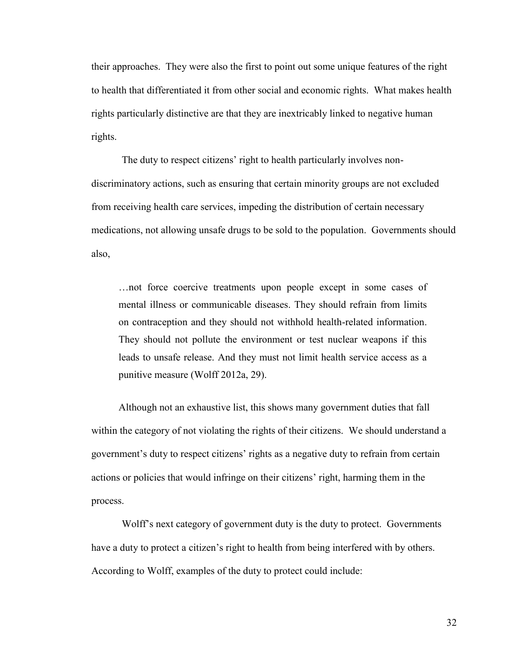their approaches. They were also the first to point out some unique features of the right to health that differentiated it from other social and economic rights. What makes health rights particularly distinctive are that they are inextricably linked to negative human rights.

The duty to respect citizens' right to health particularly involves nondiscriminatory actions, such as ensuring that certain minority groups are not excluded from receiving health care services, impeding the distribution of certain necessary medications, not allowing unsafe drugs to be sold to the population. Governments should also,

…not force coercive treatments upon people except in some cases of mental illness or communicable diseases. They should refrain from limits on contraception and they should not withhold health-related information. They should not pollute the environment or test nuclear weapons if this leads to unsafe release. And they must not limit health service access as a punitive measure (Wolff 2012a, 29).

Although not an exhaustive list, this shows many government duties that fall within the category of not violating the rights of their citizens. We should understand a government's duty to respect citizens' rights as a negative duty to refrain from certain actions or policies that would infringe on their citizens' right, harming them in the process.

Wolff's next category of government duty is the duty to protect. Governments have a duty to protect a citizen's right to health from being interfered with by others. According to Wolff, examples of the duty to protect could include: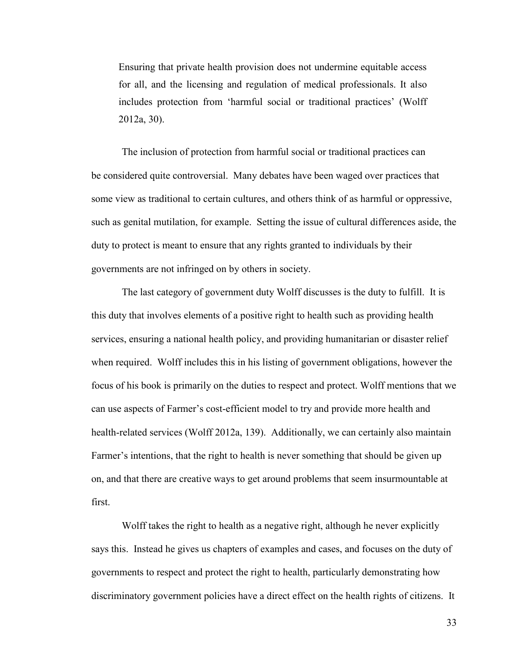Ensuring that private health provision does not undermine equitable access for all, and the licensing and regulation of medical professionals. It also includes protection from 'harmful social or traditional practices' (Wolff 2012a, 30).

The inclusion of protection from harmful social or traditional practices can be considered quite controversial. Many debates have been waged over practices that some view as traditional to certain cultures, and others think of as harmful or oppressive, such as genital mutilation, for example. Setting the issue of cultural differences aside, the duty to protect is meant to ensure that any rights granted to individuals by their governments are not infringed on by others in society.

The last category of government duty Wolff discusses is the duty to fulfill. It is this duty that involves elements of a positive right to health such as providing health services, ensuring a national health policy, and providing humanitarian or disaster relief when required. Wolff includes this in his listing of government obligations, however the focus of his book is primarily on the duties to respect and protect. Wolff mentions that we can use aspects of Farmer's cost-efficient model to try and provide more health and health-related services (Wolff 2012a, 139). Additionally, we can certainly also maintain Farmer's intentions, that the right to health is never something that should be given up on, and that there are creative ways to get around problems that seem insurmountable at first.

Wolff takes the right to health as a negative right, although he never explicitly says this. Instead he gives us chapters of examples and cases, and focuses on the duty of governments to respect and protect the right to health, particularly demonstrating how discriminatory government policies have a direct effect on the health rights of citizens. It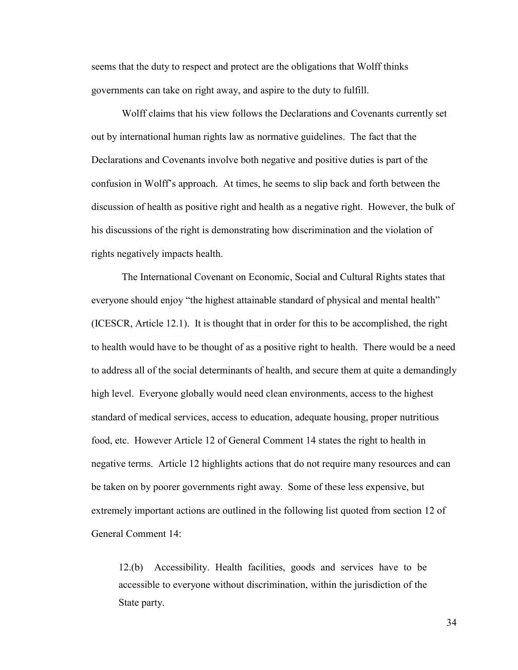seems that the duty to respect and protect are the obligations that Wolff thinks governments can take on right away, and aspire to the duty to fulfill.

Wolff claims that his view follows the Declarations and Covenants currently set out by international human rights law as normative guidelines. The fact that the Declarations and Covenants involve both negative and positive duties is part of the confusion in Wolff's approach. At times, he seems to slip back and forth between the discussion of health as positive right and health as a negative right. However, the bulk of his discussions of the right is demonstrating how discrimination and the violation of rights negatively impacts health.

The International Covenant on Economic, Social and Cultural Rights states that everyone should enjoy "the highest attainable standard of physical and mental health" (ICESCR, Article 12.1). It is thought that in order for this to be accomplished, the right to health would have to be thought of as a positive right to health. There would be a need to address all of the social determinants of health, and secure them at quite a demandingly high level. Everyone globally would need clean environments, access to the highest standard of medical services, access to education, adequate housing, proper nutritious food, etc. However Article 12 of General Comment 14 states the right to health in negative terms. Article 12 highlights actions that do not require many resources and can be taken on by poorer governments right away. Some of these less expensive, but extremely important actions are outlined in the following list quoted from section 12 of General Comment 14:

12.(b) Accessibility. Health facilities, goods and services have to be accessible to everyone without discrimination, within the jurisdiction of the State party.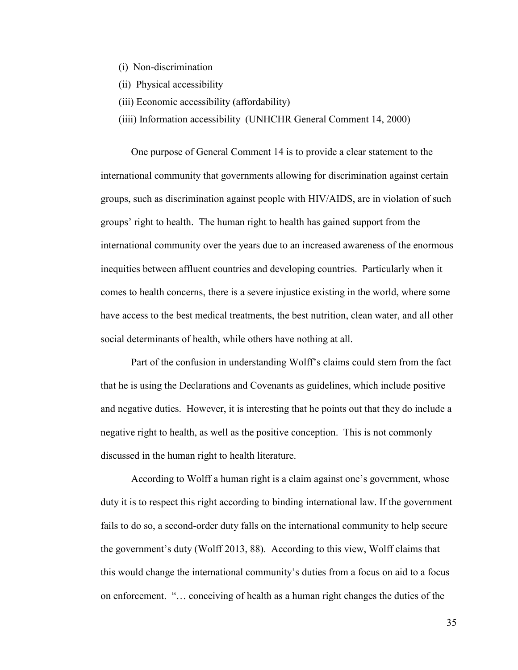- (i) Non-discrimination
- (ii) Physical accessibility
- (iii) Economic accessibility (affordability)
- (iiii) Information accessibility (UNHCHR General Comment 14, 2000)

One purpose of General Comment 14 is to provide a clear statement to the international community that governments allowing for discrimination against certain groups, such as discrimination against people with HIV/AIDS, are in violation of such groups' right to health. The human right to health has gained support from the international community over the years due to an increased awareness of the enormous inequities between affluent countries and developing countries. Particularly when it comes to health concerns, there is a severe injustice existing in the world, where some have access to the best medical treatments, the best nutrition, clean water, and all other social determinants of health, while others have nothing at all.

Part of the confusion in understanding Wolff's claims could stem from the fact that he is using the Declarations and Covenants as guidelines, which include positive and negative duties. However, it is interesting that he points out that they do include a negative right to health, as well as the positive conception. This is not commonly discussed in the human right to health literature.

According to Wolff a human right is a claim against one's government, whose duty it is to respect this right according to binding international law. If the government fails to do so, a second-order duty falls on the international community to help secure the government's duty (Wolff 2013, 88). According to this view, Wolff claims that this would change the international community's duties from a focus on aid to a focus on enforcement. "… conceiving of health as a human right changes the duties of the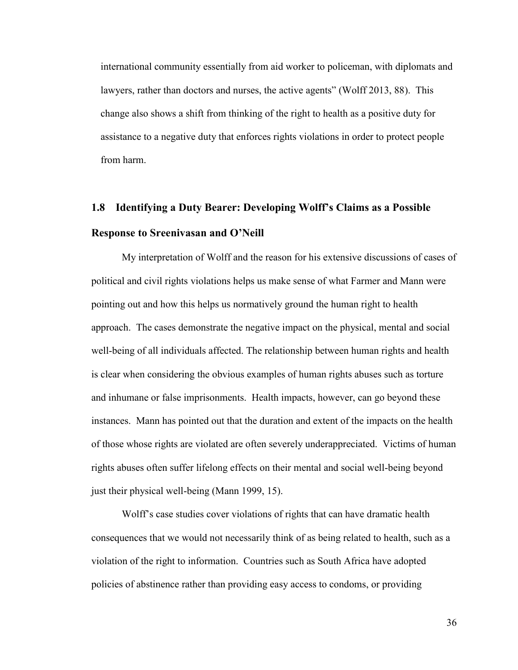international community essentially from aid worker to policeman, with diplomats and lawyers, rather than doctors and nurses, the active agents" (Wolff 2013, 88). This change also shows a shift from thinking of the right to health as a positive duty for assistance to a negative duty that enforces rights violations in order to protect people from harm.

# **1.8 Identifying a Duty Bearer: Developing Wolff's Claims as a Possible Response to Sreenivasan and O'Neill**

My interpretation of Wolff and the reason for his extensive discussions of cases of political and civil rights violations helps us make sense of what Farmer and Mann were pointing out and how this helps us normatively ground the human right to health approach. The cases demonstrate the negative impact on the physical, mental and social well-being of all individuals affected. The relationship between human rights and health is clear when considering the obvious examples of human rights abuses such as torture and inhumane or false imprisonments. Health impacts, however, can go beyond these instances. Mann has pointed out that the duration and extent of the impacts on the health of those whose rights are violated are often severely underappreciated. Victims of human rights abuses often suffer lifelong effects on their mental and social well-being beyond just their physical well-being (Mann 1999, 15).

Wolff's case studies cover violations of rights that can have dramatic health consequences that we would not necessarily think of as being related to health, such as a violation of the right to information. Countries such as South Africa have adopted policies of abstinence rather than providing easy access to condoms, or providing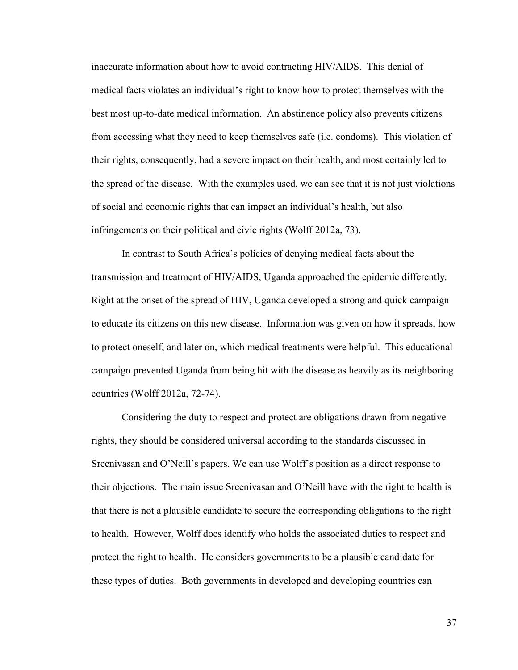inaccurate information about how to avoid contracting HIV/AIDS. This denial of medical facts violates an individual's right to know how to protect themselves with the best most up-to-date medical information. An abstinence policy also prevents citizens from accessing what they need to keep themselves safe (i.e. condoms). This violation of their rights, consequently, had a severe impact on their health, and most certainly led to the spread of the disease. With the examples used, we can see that it is not just violations of social and economic rights that can impact an individual's health, but also infringements on their political and civic rights (Wolff 2012a, 73).

In contrast to South Africa's policies of denying medical facts about the transmission and treatment of HIV/AIDS, Uganda approached the epidemic differently. Right at the onset of the spread of HIV, Uganda developed a strong and quick campaign to educate its citizens on this new disease. Information was given on how it spreads, how to protect oneself, and later on, which medical treatments were helpful. This educational campaign prevented Uganda from being hit with the disease as heavily as its neighboring countries (Wolff 2012a, 72-74).

Considering the duty to respect and protect are obligations drawn from negative rights, they should be considered universal according to the standards discussed in Sreenivasan and O'Neill's papers. We can use Wolff's position as a direct response to their objections. The main issue Sreenivasan and O'Neill have with the right to health is that there is not a plausible candidate to secure the corresponding obligations to the right to health. However, Wolff does identify who holds the associated duties to respect and protect the right to health. He considers governments to be a plausible candidate for these types of duties. Both governments in developed and developing countries can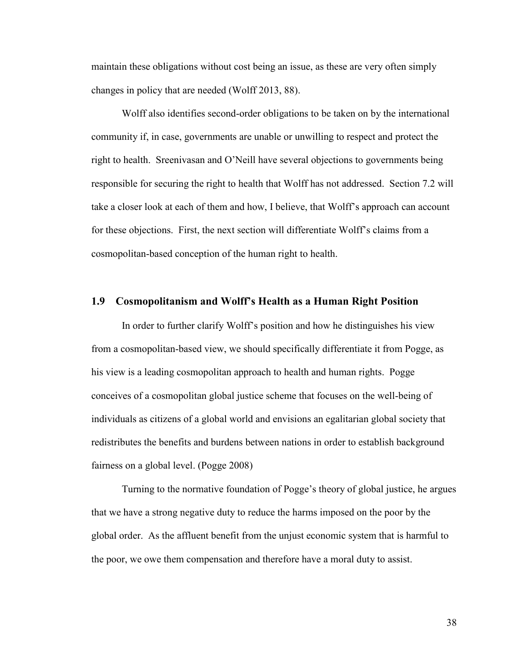maintain these obligations without cost being an issue, as these are very often simply changes in policy that are needed (Wolff 2013, 88).

Wolff also identifies second-order obligations to be taken on by the international community if, in case, governments are unable or unwilling to respect and protect the right to health. Sreenivasan and O'Neill have several objections to governments being responsible for securing the right to health that Wolff has not addressed. Section 7.2 will take a closer look at each of them and how, I believe, that Wolff's approach can account for these objections. First, the next section will differentiate Wolff's claims from a cosmopolitan-based conception of the human right to health.

#### **1.9 Cosmopolitanism and Wolff's Health as a Human Right Position**

In order to further clarify Wolff's position and how he distinguishes his view from a cosmopolitan-based view, we should specifically differentiate it from Pogge, as his view is a leading cosmopolitan approach to health and human rights. Pogge conceives of a cosmopolitan global justice scheme that focuses on the well-being of individuals as citizens of a global world and envisions an egalitarian global society that redistributes the benefits and burdens between nations in order to establish background fairness on a global level. (Pogge 2008)

Turning to the normative foundation of Pogge's theory of global justice, he argues that we have a strong negative duty to reduce the harms imposed on the poor by the global order. As the affluent benefit from the unjust economic system that is harmful to the poor, we owe them compensation and therefore have a moral duty to assist.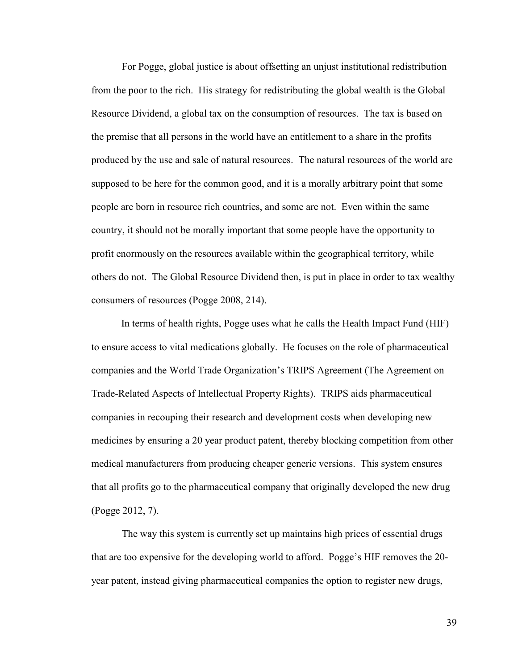For Pogge, global justice is about offsetting an unjust institutional redistribution from the poor to the rich. His strategy for redistributing the global wealth is the Global Resource Dividend, a global tax on the consumption of resources. The tax is based on the premise that all persons in the world have an entitlement to a share in the profits produced by the use and sale of natural resources. The natural resources of the world are supposed to be here for the common good, and it is a morally arbitrary point that some people are born in resource rich countries, and some are not. Even within the same country, it should not be morally important that some people have the opportunity to profit enormously on the resources available within the geographical territory, while others do not. The Global Resource Dividend then, is put in place in order to tax wealthy consumers of resources (Pogge 2008, 214).

In terms of health rights, Pogge uses what he calls the Health Impact Fund (HIF) to ensure access to vital medications globally. He focuses on the role of pharmaceutical companies and the World Trade Organization's TRIPS Agreement (The Agreement on Trade-Related Aspects of Intellectual Property Rights). TRIPS aids pharmaceutical companies in recouping their research and development costs when developing new medicines by ensuring a 20 year product patent, thereby blocking competition from other medical manufacturers from producing cheaper generic versions. This system ensures that all profits go to the pharmaceutical company that originally developed the new drug (Pogge 2012, 7).

The way this system is currently set up maintains high prices of essential drugs that are too expensive for the developing world to afford. Pogge's HIF removes the 20 year patent, instead giving pharmaceutical companies the option to register new drugs,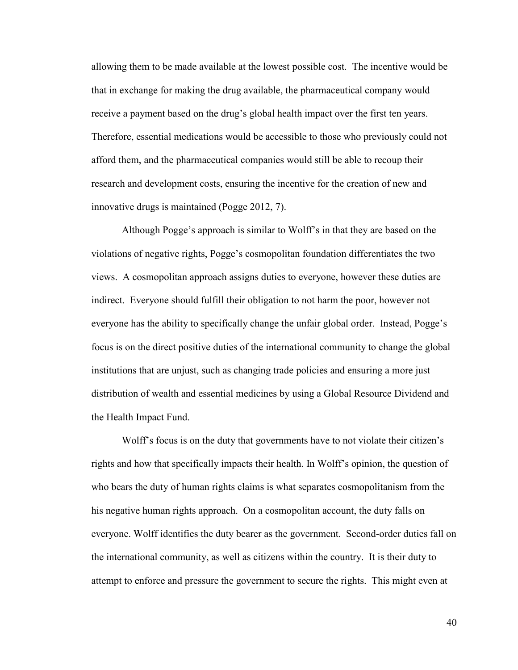allowing them to be made available at the lowest possible cost. The incentive would be that in exchange for making the drug available, the pharmaceutical company would receive a payment based on the drug's global health impact over the first ten years. Therefore, essential medications would be accessible to those who previously could not afford them, and the pharmaceutical companies would still be able to recoup their research and development costs, ensuring the incentive for the creation of new and innovative drugs is maintained (Pogge 2012, 7).

Although Pogge's approach is similar to Wolff's in that they are based on the violations of negative rights, Pogge's cosmopolitan foundation differentiates the two views. A cosmopolitan approach assigns duties to everyone, however these duties are indirect. Everyone should fulfill their obligation to not harm the poor, however not everyone has the ability to specifically change the unfair global order. Instead, Pogge's focus is on the direct positive duties of the international community to change the global institutions that are unjust, such as changing trade policies and ensuring a more just distribution of wealth and essential medicines by using a Global Resource Dividend and the Health Impact Fund.

Wolff's focus is on the duty that governments have to not violate their citizen's rights and how that specifically impacts their health. In Wolff's opinion, the question of who bears the duty of human rights claims is what separates cosmopolitanism from the his negative human rights approach. On a cosmopolitan account, the duty falls on everyone. Wolff identifies the duty bearer as the government. Second-order duties fall on the international community, as well as citizens within the country. It is their duty to attempt to enforce and pressure the government to secure the rights. This might even at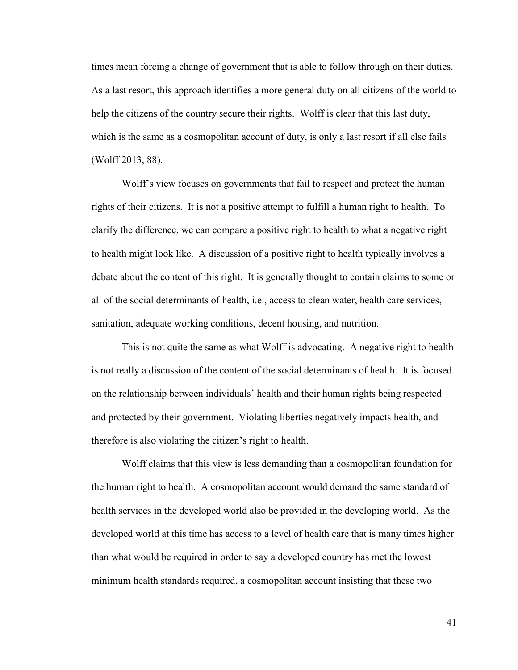times mean forcing a change of government that is able to follow through on their duties. As a last resort, this approach identifies a more general duty on all citizens of the world to help the citizens of the country secure their rights. Wolff is clear that this last duty, which is the same as a cosmopolitan account of duty, is only a last resort if all else fails (Wolff 2013, 88).

Wolff's view focuses on governments that fail to respect and protect the human rights of their citizens. It is not a positive attempt to fulfill a human right to health. To clarify the difference, we can compare a positive right to health to what a negative right to health might look like. A discussion of a positive right to health typically involves a debate about the content of this right. It is generally thought to contain claims to some or all of the social determinants of health, i.e., access to clean water, health care services, sanitation, adequate working conditions, decent housing, and nutrition.

This is not quite the same as what Wolff is advocating. A negative right to health is not really a discussion of the content of the social determinants of health. It is focused on the relationship between individuals' health and their human rights being respected and protected by their government. Violating liberties negatively impacts health, and therefore is also violating the citizen's right to health.

Wolff claims that this view is less demanding than a cosmopolitan foundation for the human right to health. A cosmopolitan account would demand the same standard of health services in the developed world also be provided in the developing world. As the developed world at this time has access to a level of health care that is many times higher than what would be required in order to say a developed country has met the lowest minimum health standards required, a cosmopolitan account insisting that these two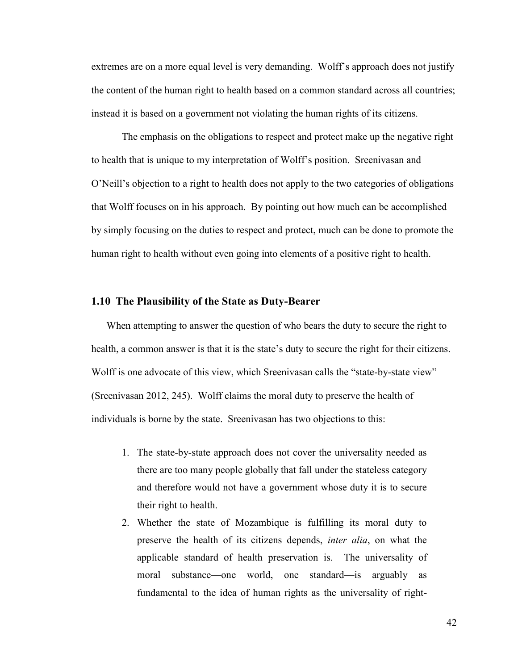extremes are on a more equal level is very demanding. Wolff's approach does not justify the content of the human right to health based on a common standard across all countries; instead it is based on a government not violating the human rights of its citizens.

The emphasis on the obligations to respect and protect make up the negative right to health that is unique to my interpretation of Wolff's position. Sreenivasan and O'Neill's objection to a right to health does not apply to the two categories of obligations that Wolff focuses on in his approach. By pointing out how much can be accomplished by simply focusing on the duties to respect and protect, much can be done to promote the human right to health without even going into elements of a positive right to health.

#### **1.10 The Plausibility of the State as Duty-Bearer**

When attempting to answer the question of who bears the duty to secure the right to health, a common answer is that it is the state's duty to secure the right for their citizens. Wolff is one advocate of this view, which Sreenivasan calls the "state-by-state view" (Sreenivasan 2012, 245). Wolff claims the moral duty to preserve the health of individuals is borne by the state. Sreenivasan has two objections to this:

- 1. The state-by-state approach does not cover the universality needed as there are too many people globally that fall under the stateless category and therefore would not have a government whose duty it is to secure their right to health.
- 2. Whether the state of Mozambique is fulfilling its moral duty to preserve the health of its citizens depends, *inter alia*, on what the applicable standard of health preservation is. The universality of moral substance—one world, one standard—is arguably as fundamental to the idea of human rights as the universality of right-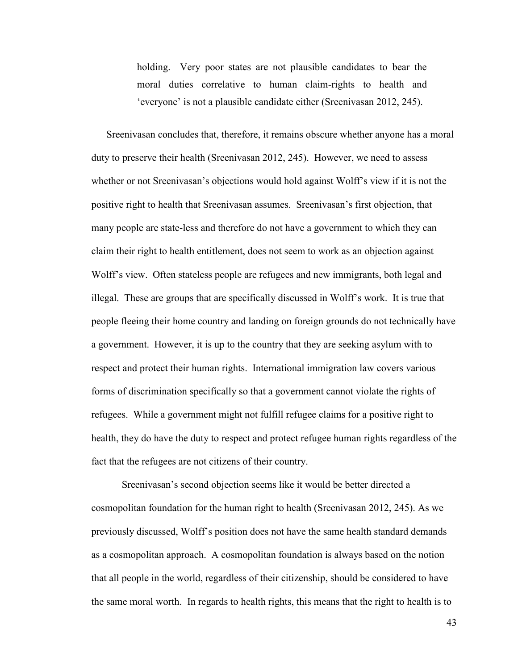holding. Very poor states are not plausible candidates to bear the moral duties correlative to human claim-rights to health and 'everyone' is not a plausible candidate either (Sreenivasan 2012, 245).

Sreenivasan concludes that, therefore, it remains obscure whether anyone has a moral duty to preserve their health (Sreenivasan 2012, 245). However, we need to assess whether or not Sreenivasan's objections would hold against Wolff's view if it is not the positive right to health that Sreenivasan assumes. Sreenivasan's first objection, that many people are state-less and therefore do not have a government to which they can claim their right to health entitlement, does not seem to work as an objection against Wolff's view. Often stateless people are refugees and new immigrants, both legal and illegal. These are groups that are specifically discussed in Wolff's work. It is true that people fleeing their home country and landing on foreign grounds do not technically have a government. However, it is up to the country that they are seeking asylum with to respect and protect their human rights. International immigration law covers various forms of discrimination specifically so that a government cannot violate the rights of refugees. While a government might not fulfill refugee claims for a positive right to health, they do have the duty to respect and protect refugee human rights regardless of the fact that the refugees are not citizens of their country.

Sreenivasan's second objection seems like it would be better directed a cosmopolitan foundation for the human right to health (Sreenivasan 2012, 245). As we previously discussed, Wolff's position does not have the same health standard demands as a cosmopolitan approach. A cosmopolitan foundation is always based on the notion that all people in the world, regardless of their citizenship, should be considered to have the same moral worth. In regards to health rights, this means that the right to health is to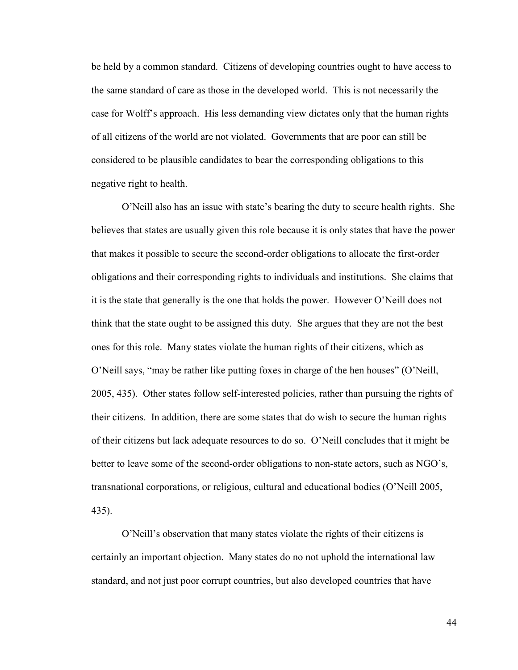be held by a common standard. Citizens of developing countries ought to have access to the same standard of care as those in the developed world. This is not necessarily the case for Wolff's approach. His less demanding view dictates only that the human rights of all citizens of the world are not violated. Governments that are poor can still be considered to be plausible candidates to bear the corresponding obligations to this negative right to health.

O'Neill also has an issue with state's bearing the duty to secure health rights. She believes that states are usually given this role because it is only states that have the power that makes it possible to secure the second-order obligations to allocate the first-order obligations and their corresponding rights to individuals and institutions. She claims that it is the state that generally is the one that holds the power. However O'Neill does not think that the state ought to be assigned this duty. She argues that they are not the best ones for this role. Many states violate the human rights of their citizens, which as O'Neill says, "may be rather like putting foxes in charge of the hen houses" (O'Neill, 2005, 435). Other states follow self-interested policies, rather than pursuing the rights of their citizens. In addition, there are some states that do wish to secure the human rights of their citizens but lack adequate resources to do so. O'Neill concludes that it might be better to leave some of the second-order obligations to non-state actors, such as NGO's, transnational corporations, or religious, cultural and educational bodies (O'Neill 2005, 435).

O'Neill's observation that many states violate the rights of their citizens is certainly an important objection. Many states do no not uphold the international law standard, and not just poor corrupt countries, but also developed countries that have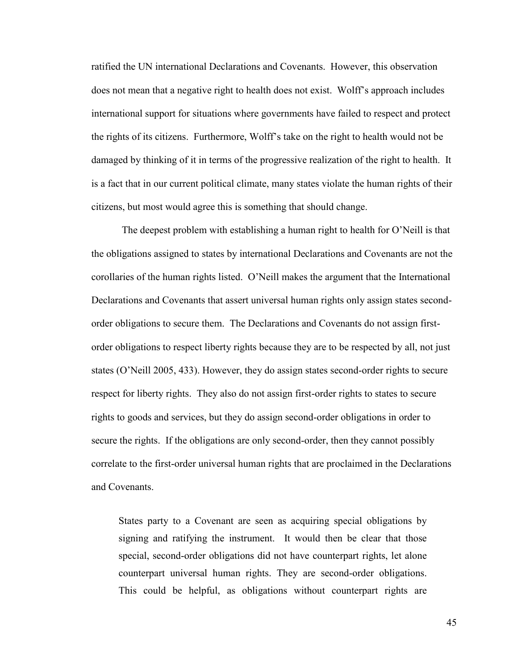ratified the UN international Declarations and Covenants. However, this observation does not mean that a negative right to health does not exist. Wolff's approach includes international support for situations where governments have failed to respect and protect the rights of its citizens. Furthermore, Wolff's take on the right to health would not be damaged by thinking of it in terms of the progressive realization of the right to health. It is a fact that in our current political climate, many states violate the human rights of their citizens, but most would agree this is something that should change.

The deepest problem with establishing a human right to health for O'Neill is that the obligations assigned to states by international Declarations and Covenants are not the corollaries of the human rights listed. O'Neill makes the argument that the International Declarations and Covenants that assert universal human rights only assign states secondorder obligations to secure them. The Declarations and Covenants do not assign firstorder obligations to respect liberty rights because they are to be respected by all, not just states (O'Neill 2005, 433). However, they do assign states second-order rights to secure respect for liberty rights. They also do not assign first-order rights to states to secure rights to goods and services, but they do assign second-order obligations in order to secure the rights. If the obligations are only second-order, then they cannot possibly correlate to the first-order universal human rights that are proclaimed in the Declarations and Covenants.

States party to a Covenant are seen as acquiring special obligations by signing and ratifying the instrument. It would then be clear that those special, second-order obligations did not have counterpart rights, let alone counterpart universal human rights. They are second-order obligations. This could be helpful, as obligations without counterpart rights are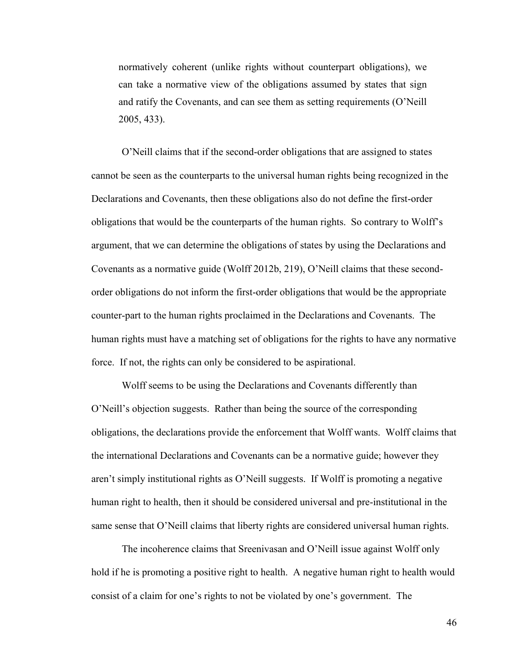normatively coherent (unlike rights without counterpart obligations), we can take a normative view of the obligations assumed by states that sign and ratify the Covenants, and can see them as setting requirements (O'Neill 2005, 433).

O'Neill claims that if the second-order obligations that are assigned to states cannot be seen as the counterparts to the universal human rights being recognized in the Declarations and Covenants, then these obligations also do not define the first-order obligations that would be the counterparts of the human rights. So contrary to Wolff's argument, that we can determine the obligations of states by using the Declarations and Covenants as a normative guide (Wolff 2012b, 219), O'Neill claims that these secondorder obligations do not inform the first-order obligations that would be the appropriate counter-part to the human rights proclaimed in the Declarations and Covenants. The human rights must have a matching set of obligations for the rights to have any normative force. If not, the rights can only be considered to be aspirational.

Wolff seems to be using the Declarations and Covenants differently than O'Neill's objection suggests. Rather than being the source of the corresponding obligations, the declarations provide the enforcement that Wolff wants. Wolff claims that the international Declarations and Covenants can be a normative guide; however they aren't simply institutional rights as O'Neill suggests. If Wolff is promoting a negative human right to health, then it should be considered universal and pre-institutional in the same sense that O'Neill claims that liberty rights are considered universal human rights.

The incoherence claims that Sreenivasan and O'Neill issue against Wolff only hold if he is promoting a positive right to health. A negative human right to health would consist of a claim for one's rights to not be violated by one's government. The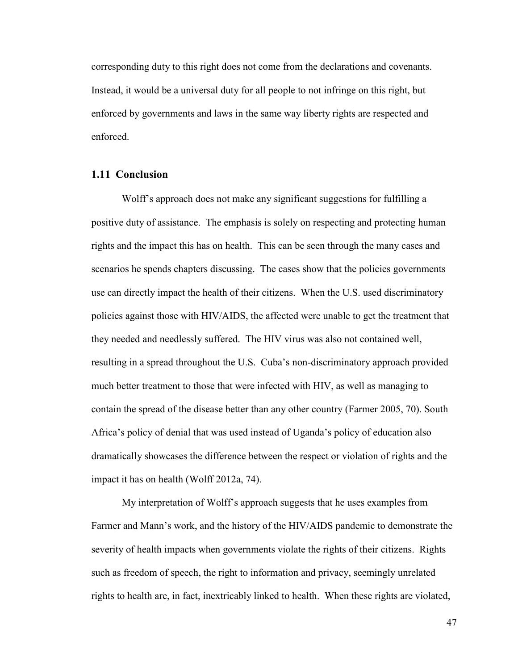corresponding duty to this right does not come from the declarations and covenants. Instead, it would be a universal duty for all people to not infringe on this right, but enforced by governments and laws in the same way liberty rights are respected and enforced.

#### **1.11 Conclusion**

Wolff's approach does not make any significant suggestions for fulfilling a positive duty of assistance. The emphasis is solely on respecting and protecting human rights and the impact this has on health. This can be seen through the many cases and scenarios he spends chapters discussing. The cases show that the policies governments use can directly impact the health of their citizens. When the U.S. used discriminatory policies against those with HIV/AIDS, the affected were unable to get the treatment that they needed and needlessly suffered. The HIV virus was also not contained well, resulting in a spread throughout the U.S. Cuba's non-discriminatory approach provided much better treatment to those that were infected with HIV, as well as managing to contain the spread of the disease better than any other country (Farmer 2005, 70). South Africa's policy of denial that was used instead of Uganda's policy of education also dramatically showcases the difference between the respect or violation of rights and the impact it has on health (Wolff 2012a, 74).

My interpretation of Wolff's approach suggests that he uses examples from Farmer and Mann's work, and the history of the HIV/AIDS pandemic to demonstrate the severity of health impacts when governments violate the rights of their citizens. Rights such as freedom of speech, the right to information and privacy, seemingly unrelated rights to health are, in fact, inextricably linked to health. When these rights are violated,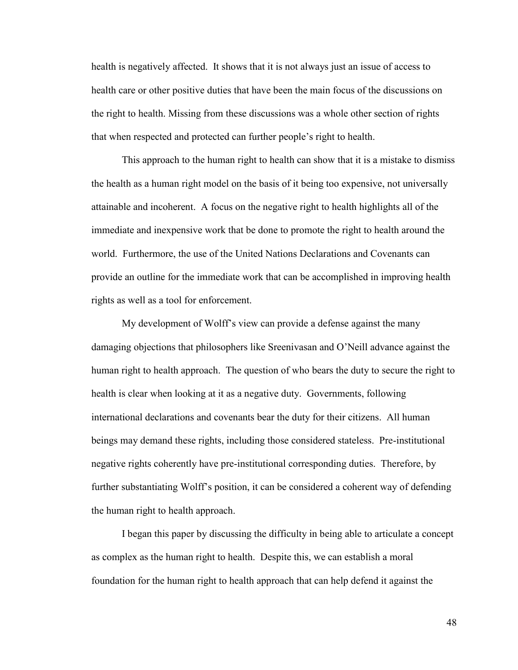health is negatively affected. It shows that it is not always just an issue of access to health care or other positive duties that have been the main focus of the discussions on the right to health. Missing from these discussions was a whole other section of rights that when respected and protected can further people's right to health.

This approach to the human right to health can show that it is a mistake to dismiss the health as a human right model on the basis of it being too expensive, not universally attainable and incoherent. A focus on the negative right to health highlights all of the immediate and inexpensive work that be done to promote the right to health around the world. Furthermore, the use of the United Nations Declarations and Covenants can provide an outline for the immediate work that can be accomplished in improving health rights as well as a tool for enforcement.

My development of Wolff's view can provide a defense against the many damaging objections that philosophers like Sreenivasan and O'Neill advance against the human right to health approach. The question of who bears the duty to secure the right to health is clear when looking at it as a negative duty. Governments, following international declarations and covenants bear the duty for their citizens. All human beings may demand these rights, including those considered stateless. Pre-institutional negative rights coherently have pre-institutional corresponding duties. Therefore, by further substantiating Wolff's position, it can be considered a coherent way of defending the human right to health approach.

I began this paper by discussing the difficulty in being able to articulate a concept as complex as the human right to health. Despite this, we can establish a moral foundation for the human right to health approach that can help defend it against the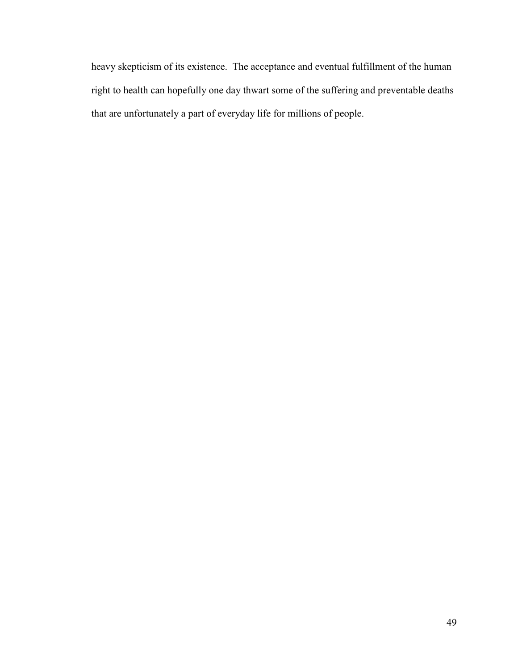heavy skepticism of its existence. The acceptance and eventual fulfillment of the human right to health can hopefully one day thwart some of the suffering and preventable deaths that are unfortunately a part of everyday life for millions of people.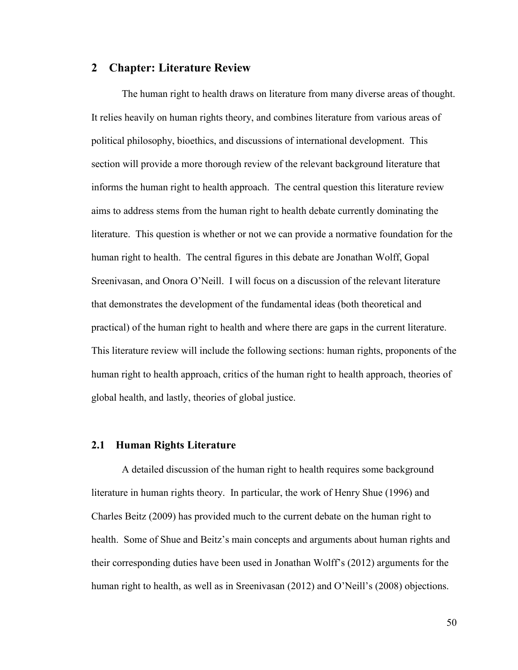## **2 Chapter: Literature Review**

The human right to health draws on literature from many diverse areas of thought. It relies heavily on human rights theory, and combines literature from various areas of political philosophy, bioethics, and discussions of international development. This section will provide a more thorough review of the relevant background literature that informs the human right to health approach. The central question this literature review aims to address stems from the human right to health debate currently dominating the literature. This question is whether or not we can provide a normative foundation for the human right to health. The central figures in this debate are Jonathan Wolff, Gopal Sreenivasan, and Onora O'Neill. I will focus on a discussion of the relevant literature that demonstrates the development of the fundamental ideas (both theoretical and practical) of the human right to health and where there are gaps in the current literature. This literature review will include the following sections: human rights, proponents of the human right to health approach, critics of the human right to health approach, theories of global health, and lastly, theories of global justice.

#### **2.1 Human Rights Literature**

A detailed discussion of the human right to health requires some background literature in human rights theory. In particular, the work of Henry Shue (1996) and Charles Beitz (2009) has provided much to the current debate on the human right to health. Some of Shue and Beitz's main concepts and arguments about human rights and their corresponding duties have been used in Jonathan Wolff's (2012) arguments for the human right to health, as well as in Sreenivasan (2012) and O'Neill's (2008) objections.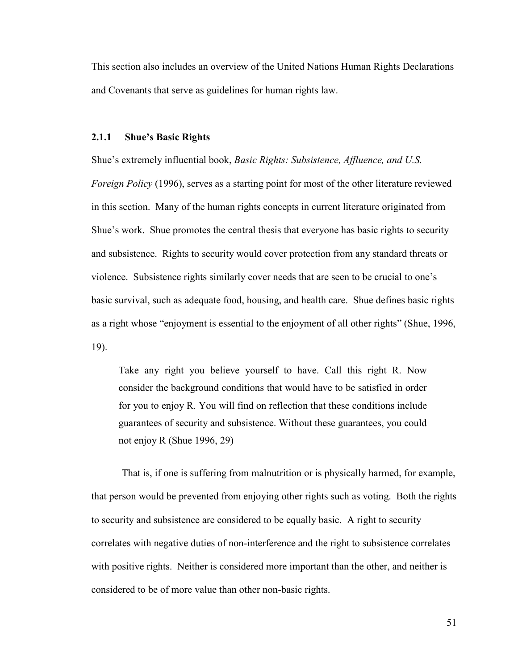This section also includes an overview of the United Nations Human Rights Declarations and Covenants that serve as guidelines for human rights law.

#### **2.1.1 Shue's Basic Rights**

Shue's extremely influential book, *Basic Rights: Subsistence, Affluence, and U.S. Foreign Policy* (1996), serves as a starting point for most of the other literature reviewed in this section. Many of the human rights concepts in current literature originated from Shue's work. Shue promotes the central thesis that everyone has basic rights to security and subsistence. Rights to security would cover protection from any standard threats or violence. Subsistence rights similarly cover needs that are seen to be crucial to one's basic survival, such as adequate food, housing, and health care. Shue defines basic rights as a right whose "enjoyment is essential to the enjoyment of all other rights" (Shue, 1996, 19).

Take any right you believe yourself to have. Call this right R. Now consider the background conditions that would have to be satisfied in order for you to enjoy R. You will find on reflection that these conditions include guarantees of security and subsistence. Without these guarantees, you could not enjoy R (Shue 1996, 29)

That is, if one is suffering from malnutrition or is physically harmed, for example, that person would be prevented from enjoying other rights such as voting. Both the rights to security and subsistence are considered to be equally basic. A right to security correlates with negative duties of non-interference and the right to subsistence correlates with positive rights. Neither is considered more important than the other, and neither is considered to be of more value than other non-basic rights.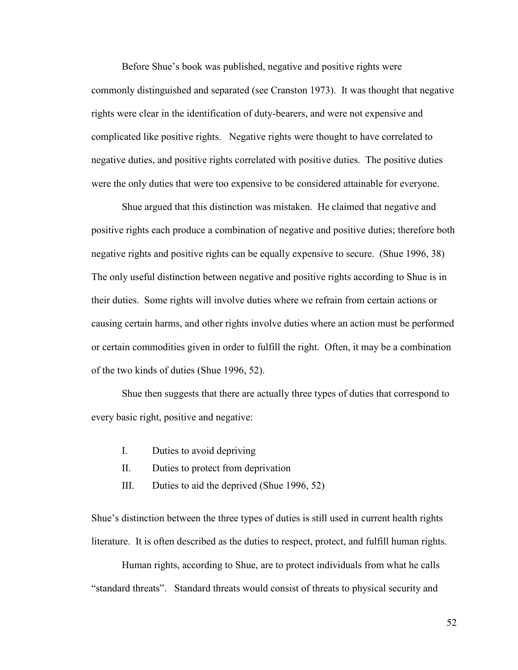Before Shue's book was published, negative and positive rights were commonly distinguished and separated (see Cranston 1973). It was thought that negative rights were clear in the identification of duty-bearers, and were not expensive and complicated like positive rights. Negative rights were thought to have correlated to negative duties, and positive rights correlated with positive duties. The positive duties were the only duties that were too expensive to be considered attainable for everyone.

Shue argued that this distinction was mistaken. He claimed that negative and positive rights each produce a combination of negative and positive duties; therefore both negative rights and positive rights can be equally expensive to secure. (Shue 1996, 38) The only useful distinction between negative and positive rights according to Shue is in their duties. Some rights will involve duties where we refrain from certain actions or causing certain harms, and other rights involve duties where an action must be performed or certain commodities given in order to fulfill the right. Often, it may be a combination of the two kinds of duties (Shue 1996, 52).

Shue then suggests that there are actually three types of duties that correspond to every basic right, positive and negative:

- I. Duties to avoid depriving
- II. Duties to protect from deprivation
- III. Duties to aid the deprived (Shue 1996, 52)

Shue's distinction between the three types of duties is still used in current health rights literature. It is often described as the duties to respect, protect, and fulfill human rights.

Human rights, according to Shue, are to protect individuals from what he calls "standard threats". Standard threats would consist of threats to physical security and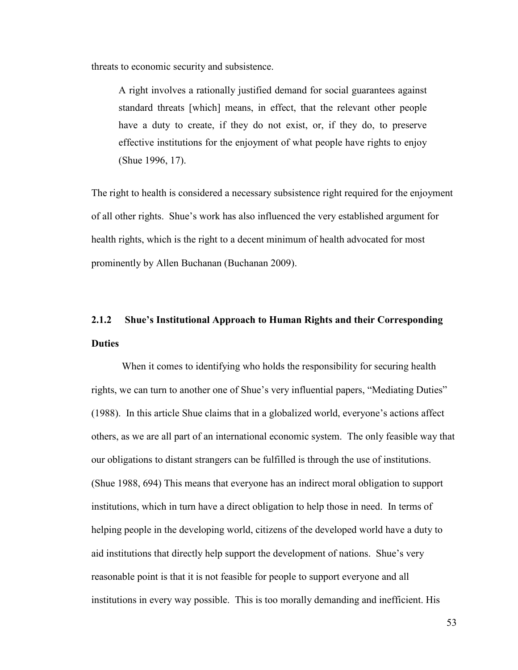threats to economic security and subsistence.

A right involves a rationally justified demand for social guarantees against standard threats [which] means, in effect, that the relevant other people have a duty to create, if they do not exist, or, if they do, to preserve effective institutions for the enjoyment of what people have rights to enjoy (Shue 1996, 17).

The right to health is considered a necessary subsistence right required for the enjoyment of all other rights. Shue's work has also influenced the very established argument for health rights, which is the right to a decent minimum of health advocated for most prominently by Allen Buchanan (Buchanan 2009).

# **2.1.2 Shue's Institutional Approach to Human Rights and their Corresponding Duties**

When it comes to identifying who holds the responsibility for securing health rights, we can turn to another one of Shue's very influential papers, "Mediating Duties" (1988). In this article Shue claims that in a globalized world, everyone's actions affect others, as we are all part of an international economic system. The only feasible way that our obligations to distant strangers can be fulfilled is through the use of institutions. (Shue 1988, 694) This means that everyone has an indirect moral obligation to support institutions, which in turn have a direct obligation to help those in need. In terms of helping people in the developing world, citizens of the developed world have a duty to aid institutions that directly help support the development of nations. Shue's very reasonable point is that it is not feasible for people to support everyone and all institutions in every way possible. This is too morally demanding and inefficient. His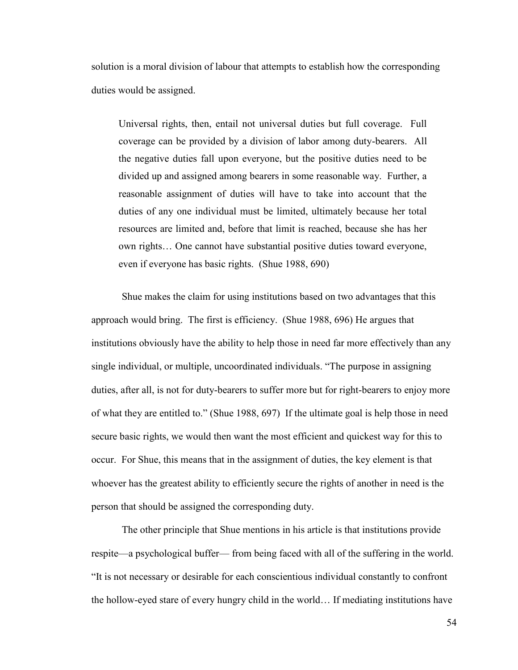solution is a moral division of labour that attempts to establish how the corresponding duties would be assigned.

Universal rights, then, entail not universal duties but full coverage. Full coverage can be provided by a division of labor among duty-bearers. All the negative duties fall upon everyone, but the positive duties need to be divided up and assigned among bearers in some reasonable way. Further, a reasonable assignment of duties will have to take into account that the duties of any one individual must be limited, ultimately because her total resources are limited and, before that limit is reached, because she has her own rights… One cannot have substantial positive duties toward everyone, even if everyone has basic rights. (Shue 1988, 690)

Shue makes the claim for using institutions based on two advantages that this approach would bring. The first is efficiency. (Shue 1988, 696) He argues that institutions obviously have the ability to help those in need far more effectively than any single individual, or multiple, uncoordinated individuals. "The purpose in assigning duties, after all, is not for duty-bearers to suffer more but for right-bearers to enjoy more of what they are entitled to." (Shue 1988, 697) If the ultimate goal is help those in need secure basic rights, we would then want the most efficient and quickest way for this to occur. For Shue, this means that in the assignment of duties, the key element is that whoever has the greatest ability to efficiently secure the rights of another in need is the person that should be assigned the corresponding duty.

The other principle that Shue mentions in his article is that institutions provide respite—a psychological buffer— from being faced with all of the suffering in the world. "It is not necessary or desirable for each conscientious individual constantly to confront the hollow-eyed stare of every hungry child in the world… If mediating institutions have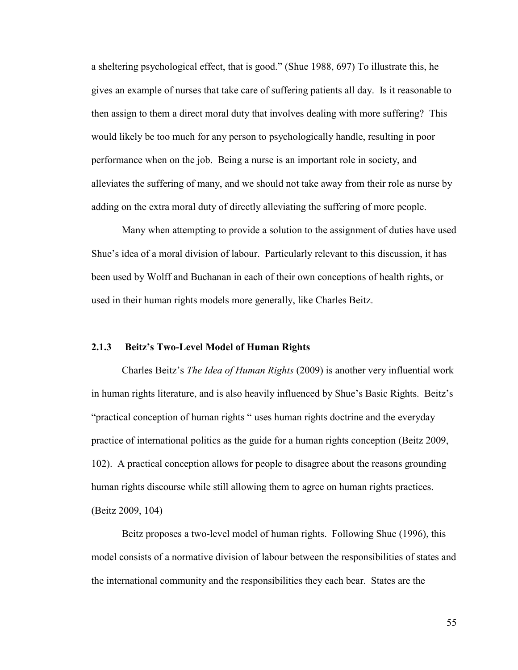a sheltering psychological effect, that is good." (Shue 1988, 697) To illustrate this, he gives an example of nurses that take care of suffering patients all day. Is it reasonable to then assign to them a direct moral duty that involves dealing with more suffering? This would likely be too much for any person to psychologically handle, resulting in poor performance when on the job. Being a nurse is an important role in society, and alleviates the suffering of many, and we should not take away from their role as nurse by adding on the extra moral duty of directly alleviating the suffering of more people.

Many when attempting to provide a solution to the assignment of duties have used Shue's idea of a moral division of labour. Particularly relevant to this discussion, it has been used by Wolff and Buchanan in each of their own conceptions of health rights, or used in their human rights models more generally, like Charles Beitz.

#### **2.1.3 Beitz's Two-Level Model of Human Rights**

Charles Beitz's *The Idea of Human Rights* (2009) is another very influential work in human rights literature, and is also heavily influenced by Shue's Basic Rights. Beitz's "practical conception of human rights " uses human rights doctrine and the everyday practice of international politics as the guide for a human rights conception (Beitz 2009, 102). A practical conception allows for people to disagree about the reasons grounding human rights discourse while still allowing them to agree on human rights practices. (Beitz 2009, 104)

Beitz proposes a two-level model of human rights. Following Shue (1996), this model consists of a normative division of labour between the responsibilities of states and the international community and the responsibilities they each bear. States are the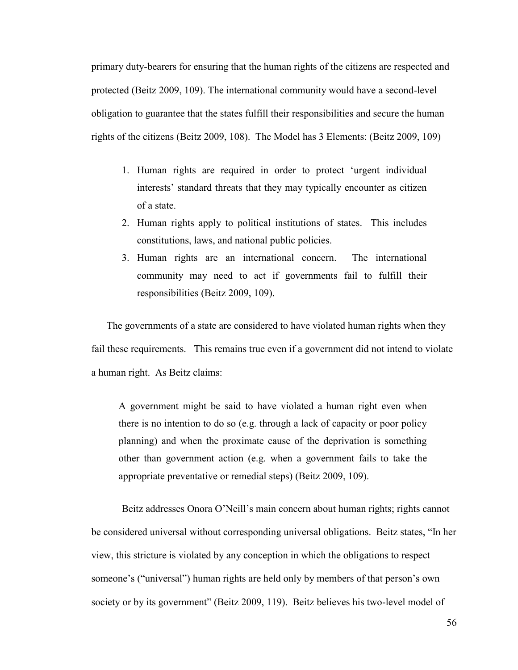primary duty-bearers for ensuring that the human rights of the citizens are respected and protected (Beitz 2009, 109). The international community would have a second-level obligation to guarantee that the states fulfill their responsibilities and secure the human rights of the citizens (Beitz 2009, 108). The Model has 3 Elements: (Beitz 2009, 109)

- 1. Human rights are required in order to protect 'urgent individual interests' standard threats that they may typically encounter as citizen of a state.
- 2. Human rights apply to political institutions of states. This includes constitutions, laws, and national public policies.
- 3. Human rights are an international concern. The international community may need to act if governments fail to fulfill their responsibilities (Beitz 2009, 109).

The governments of a state are considered to have violated human rights when they fail these requirements. This remains true even if a government did not intend to violate a human right. As Beitz claims:

A government might be said to have violated a human right even when there is no intention to do so (e.g. through a lack of capacity or poor policy planning) and when the proximate cause of the deprivation is something other than government action (e.g. when a government fails to take the appropriate preventative or remedial steps) (Beitz 2009, 109).

Beitz addresses Onora O'Neill's main concern about human rights; rights cannot be considered universal without corresponding universal obligations. Beitz states, "In her view, this stricture is violated by any conception in which the obligations to respect someone's ("universal") human rights are held only by members of that person's own society or by its government" (Beitz 2009, 119). Beitz believes his two-level model of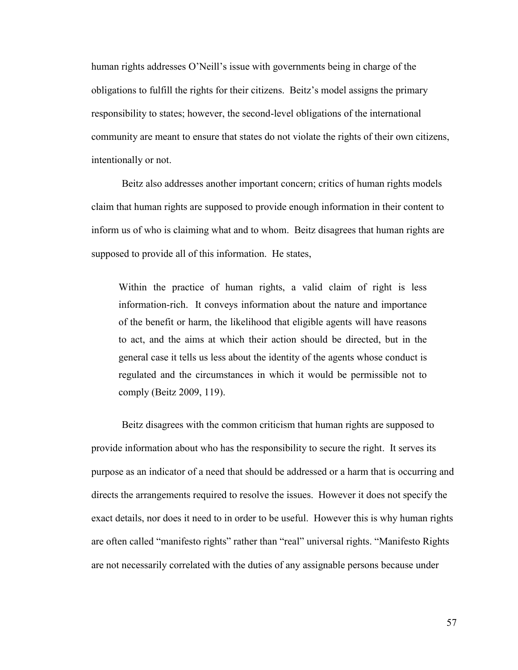human rights addresses O'Neill's issue with governments being in charge of the obligations to fulfill the rights for their citizens. Beitz's model assigns the primary responsibility to states; however, the second-level obligations of the international community are meant to ensure that states do not violate the rights of their own citizens, intentionally or not.

Beitz also addresses another important concern; critics of human rights models claim that human rights are supposed to provide enough information in their content to inform us of who is claiming what and to whom. Beitz disagrees that human rights are supposed to provide all of this information. He states,

Within the practice of human rights, a valid claim of right is less information-rich. It conveys information about the nature and importance of the benefit or harm, the likelihood that eligible agents will have reasons to act, and the aims at which their action should be directed, but in the general case it tells us less about the identity of the agents whose conduct is regulated and the circumstances in which it would be permissible not to comply (Beitz 2009, 119).

Beitz disagrees with the common criticism that human rights are supposed to provide information about who has the responsibility to secure the right. It serves its purpose as an indicator of a need that should be addressed or a harm that is occurring and directs the arrangements required to resolve the issues. However it does not specify the exact details, nor does it need to in order to be useful. However this is why human rights are often called "manifesto rights" rather than "real" universal rights. "Manifesto Rights are not necessarily correlated with the duties of any assignable persons because under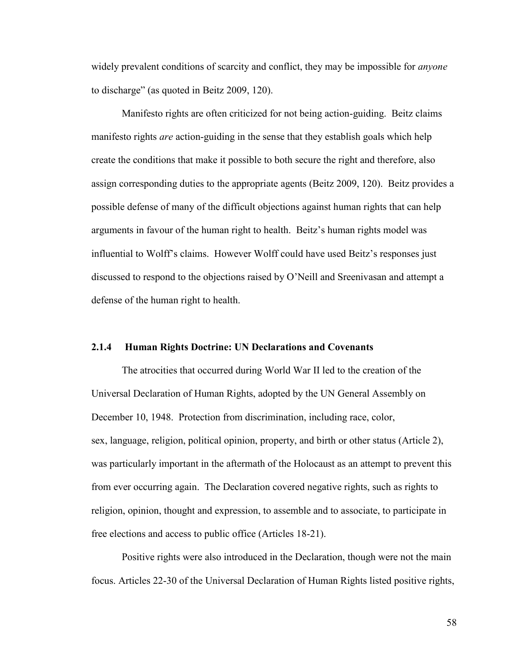widely prevalent conditions of scarcity and conflict, they may be impossible for *anyone* to discharge" (as quoted in Beitz 2009, 120).

Manifesto rights are often criticized for not being action-guiding. Beitz claims manifesto rights *are* action-guiding in the sense that they establish goals which help create the conditions that make it possible to both secure the right and therefore, also assign corresponding duties to the appropriate agents (Beitz 2009, 120). Beitz provides a possible defense of many of the difficult objections against human rights that can help arguments in favour of the human right to health. Beitz's human rights model was influential to Wolff's claims. However Wolff could have used Beitz's responses just discussed to respond to the objections raised by O'Neill and Sreenivasan and attempt a defense of the human right to health.

#### **2.1.4 Human Rights Doctrine: UN Declarations and Covenants**

The atrocities that occurred during World War II led to the creation of the Universal Declaration of Human Rights, adopted by the UN General Assembly on December 10, 1948. Protection from discrimination, including race, color, sex, language, religion, political opinion, property, and birth or other status (Article 2), was particularly important in the aftermath of the Holocaust as an attempt to prevent this from ever occurring again. The Declaration covered negative rights, such as rights to religion, opinion, thought and expression, to assemble and to associate, to participate in free elections and access to public office (Articles 18-21).

Positive rights were also introduced in the Declaration, though were not the main focus. Articles 22-30 of the Universal Declaration of Human Rights listed positive rights,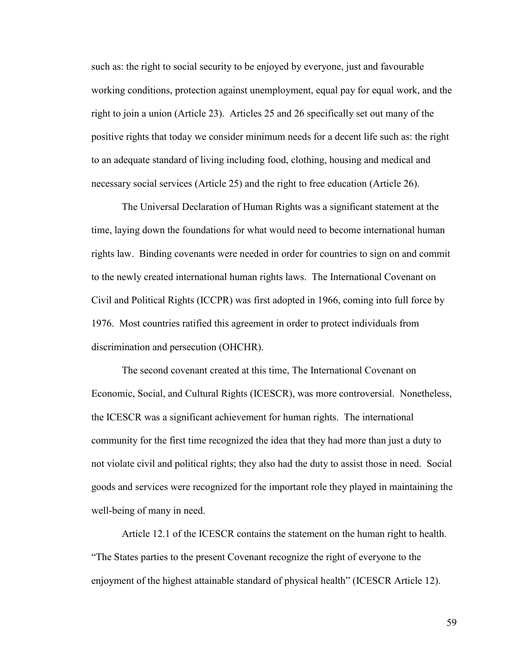such as: the right to social security to be enjoyed by everyone, just and favourable working conditions, protection against unemployment, equal pay for equal work, and the right to join a union (Article 23). Articles 25 and 26 specifically set out many of the positive rights that today we consider minimum needs for a decent life such as: the right to an adequate standard of living including food, clothing, housing and medical and necessary social services (Article 25) and the right to free education (Article 26).

The Universal Declaration of Human Rights was a significant statement at the time, laying down the foundations for what would need to become international human rights law. Binding covenants were needed in order for countries to sign on and commit to the newly created international human rights laws. The International Covenant on Civil and Political Rights (ICCPR) was first adopted in 1966, coming into full force by 1976. Most countries ratified this agreement in order to protect individuals from discrimination and persecution (OHCHR).

The second covenant created at this time, The International Covenant on Economic, Social, and Cultural Rights (ICESCR), was more controversial. Nonetheless, the ICESCR was a significant achievement for human rights. The international community for the first time recognized the idea that they had more than just a duty to not violate civil and political rights; they also had the duty to assist those in need. Social goods and services were recognized for the important role they played in maintaining the well-being of many in need.

Article 12.1 of the ICESCR contains the statement on the human right to health. "The States parties to the present Covenant recognize the right of everyone to the enjoyment of the highest attainable standard of physical health" (ICESCR Article 12).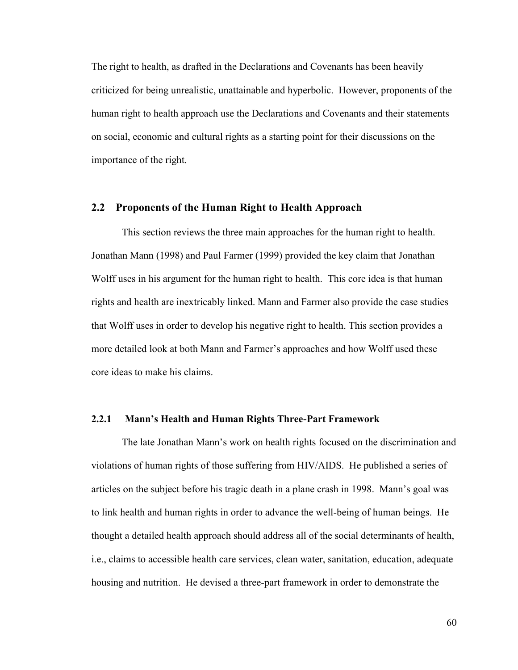The right to health, as drafted in the Declarations and Covenants has been heavily criticized for being unrealistic, unattainable and hyperbolic. However, proponents of the human right to health approach use the Declarations and Covenants and their statements on social, economic and cultural rights as a starting point for their discussions on the importance of the right.

#### **2.2 Proponents of the Human Right to Health Approach**

This section reviews the three main approaches for the human right to health. Jonathan Mann (1998) and Paul Farmer (1999) provided the key claim that Jonathan Wolff uses in his argument for the human right to health. This core idea is that human rights and health are inextricably linked. Mann and Farmer also provide the case studies that Wolff uses in order to develop his negative right to health. This section provides a more detailed look at both Mann and Farmer's approaches and how Wolff used these core ideas to make his claims.

### **2.2.1 Mann's Health and Human Rights Three-Part Framework**

The late Jonathan Mann's work on health rights focused on the discrimination and violations of human rights of those suffering from HIV/AIDS. He published a series of articles on the subject before his tragic death in a plane crash in 1998. Mann's goal was to link health and human rights in order to advance the well-being of human beings. He thought a detailed health approach should address all of the social determinants of health, i.e., claims to accessible health care services, clean water, sanitation, education, adequate housing and nutrition. He devised a three-part framework in order to demonstrate the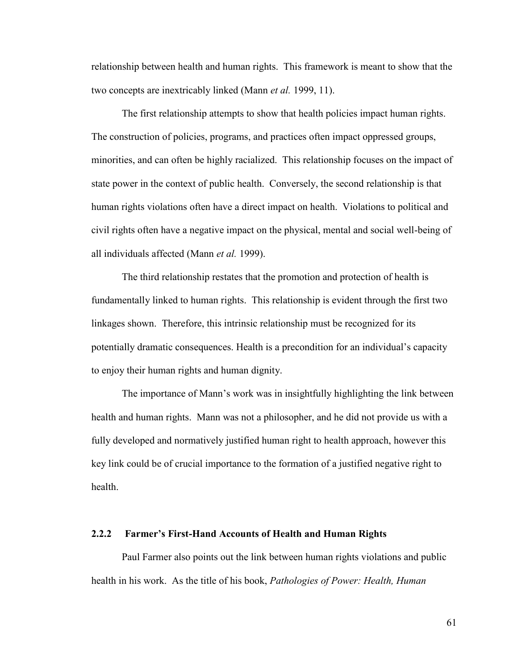relationship between health and human rights. This framework is meant to show that the two concepts are inextricably linked (Mann *et al.* 1999, 11).

The first relationship attempts to show that health policies impact human rights. The construction of policies, programs, and practices often impact oppressed groups, minorities, and can often be highly racialized. This relationship focuses on the impact of state power in the context of public health. Conversely, the second relationship is that human rights violations often have a direct impact on health. Violations to political and civil rights often have a negative impact on the physical, mental and social well-being of all individuals affected (Mann *et al.* 1999).

The third relationship restates that the promotion and protection of health is fundamentally linked to human rights. This relationship is evident through the first two linkages shown. Therefore, this intrinsic relationship must be recognized for its potentially dramatic consequences. Health is a precondition for an individual's capacity to enjoy their human rights and human dignity.

The importance of Mann's work was in insightfully highlighting the link between health and human rights. Mann was not a philosopher, and he did not provide us with a fully developed and normatively justified human right to health approach, however this key link could be of crucial importance to the formation of a justified negative right to health.

#### **2.2.2 Farmer's First-Hand Accounts of Health and Human Rights**

Paul Farmer also points out the link between human rights violations and public health in his work. As the title of his book, *Pathologies of Power: Health, Human*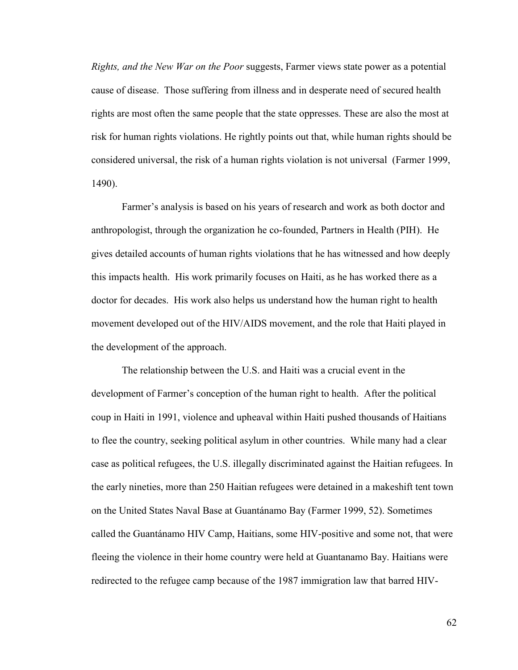*Rights, and the New War on the Poor* suggests, Farmer views state power as a potential cause of disease. Those suffering from illness and in desperate need of secured health rights are most often the same people that the state oppresses. These are also the most at risk for human rights violations. He rightly points out that, while human rights should be considered universal, the risk of a human rights violation is not universal (Farmer 1999, 1490).

Farmer's analysis is based on his years of research and work as both doctor and anthropologist, through the organization he co-founded, Partners in Health (PIH). He gives detailed accounts of human rights violations that he has witnessed and how deeply this impacts health. His work primarily focuses on Haiti, as he has worked there as a doctor for decades. His work also helps us understand how the human right to health movement developed out of the HIV/AIDS movement, and the role that Haiti played in the development of the approach.

The relationship between the U.S. and Haiti was a crucial event in the development of Farmer's conception of the human right to health. After the political coup in Haiti in 1991, violence and upheaval within Haiti pushed thousands of Haitians to flee the country, seeking political asylum in other countries. While many had a clear case as political refugees, the U.S. illegally discriminated against the Haitian refugees. In the early nineties, more than 250 Haitian refugees were detained in a makeshift tent town on the United States Naval Base at Guantánamo Bay (Farmer 1999, 52). Sometimes called the Guantánamo HIV Camp, Haitians, some HIV-positive and some not, that were fleeing the violence in their home country were held at Guantanamo Bay. Haitians were redirected to the refugee camp because of the 1987 immigration law that barred HIV-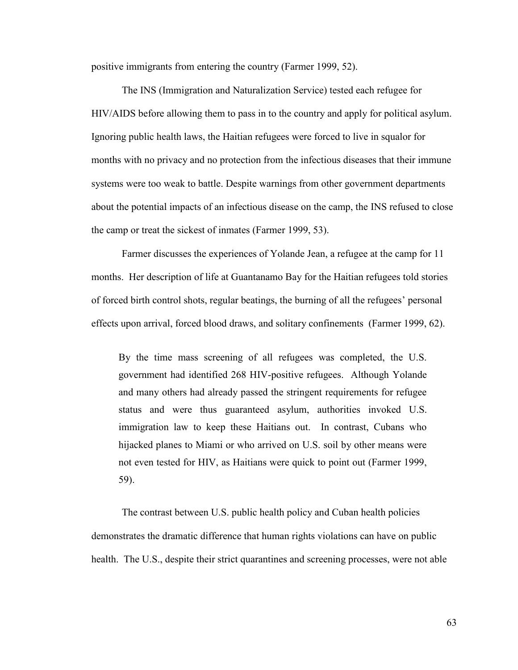positive immigrants from entering the country (Farmer 1999, 52).

The INS (Immigration and Naturalization Service) tested each refugee for HIV/AIDS before allowing them to pass in to the country and apply for political asylum. Ignoring public health laws, the Haitian refugees were forced to live in squalor for months with no privacy and no protection from the infectious diseases that their immune systems were too weak to battle. Despite warnings from other government departments about the potential impacts of an infectious disease on the camp, the INS refused to close the camp or treat the sickest of inmates (Farmer 1999, 53).

Farmer discusses the experiences of Yolande Jean, a refugee at the camp for 11 months. Her description of life at Guantanamo Bay for the Haitian refugees told stories of forced birth control shots, regular beatings, the burning of all the refugees' personal effects upon arrival, forced blood draws, and solitary confinements (Farmer 1999, 62).

By the time mass screening of all refugees was completed, the U.S. government had identified 268 HIV-positive refugees. Although Yolande and many others had already passed the stringent requirements for refugee status and were thus guaranteed asylum, authorities invoked U.S. immigration law to keep these Haitians out. In contrast, Cubans who hijacked planes to Miami or who arrived on U.S. soil by other means were not even tested for HIV, as Haitians were quick to point out (Farmer 1999, 59).

The contrast between U.S. public health policy and Cuban health policies demonstrates the dramatic difference that human rights violations can have on public health. The U.S., despite their strict quarantines and screening processes, were not able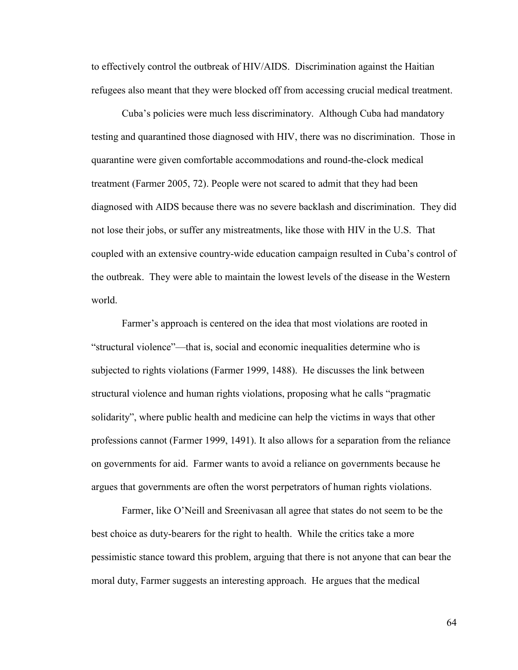to effectively control the outbreak of HIV/AIDS. Discrimination against the Haitian refugees also meant that they were blocked off from accessing crucial medical treatment.

Cuba's policies were much less discriminatory. Although Cuba had mandatory testing and quarantined those diagnosed with HIV, there was no discrimination. Those in quarantine were given comfortable accommodations and round-the-clock medical treatment (Farmer 2005, 72). People were not scared to admit that they had been diagnosed with AIDS because there was no severe backlash and discrimination. They did not lose their jobs, or suffer any mistreatments, like those with HIV in the U.S. That coupled with an extensive country-wide education campaign resulted in Cuba's control of the outbreak. They were able to maintain the lowest levels of the disease in the Western world.

Farmer's approach is centered on the idea that most violations are rooted in "structural violence"—that is, social and economic inequalities determine who is subjected to rights violations (Farmer 1999, 1488). He discusses the link between structural violence and human rights violations, proposing what he calls "pragmatic solidarity", where public health and medicine can help the victims in ways that other professions cannot (Farmer 1999, 1491). It also allows for a separation from the reliance on governments for aid. Farmer wants to avoid a reliance on governments because he argues that governments are often the worst perpetrators of human rights violations.

Farmer, like O'Neill and Sreenivasan all agree that states do not seem to be the best choice as duty-bearers for the right to health. While the critics take a more pessimistic stance toward this problem, arguing that there is not anyone that can bear the moral duty, Farmer suggests an interesting approach. He argues that the medical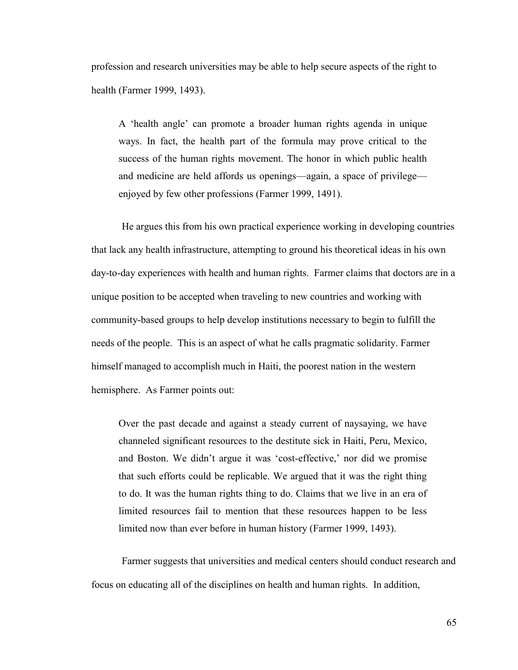profession and research universities may be able to help secure aspects of the right to health (Farmer 1999, 1493).

A 'health angle' can promote a broader human rights agenda in unique ways. In fact, the health part of the formula may prove critical to the success of the human rights movement. The honor in which public health and medicine are held affords us openings—again, a space of privilege enjoyed by few other professions (Farmer 1999, 1491).

He argues this from his own practical experience working in developing countries that lack any health infrastructure, attempting to ground his theoretical ideas in his own day-to-day experiences with health and human rights. Farmer claims that doctors are in a unique position to be accepted when traveling to new countries and working with community-based groups to help develop institutions necessary to begin to fulfill the needs of the people. This is an aspect of what he calls pragmatic solidarity. Farmer himself managed to accomplish much in Haiti, the poorest nation in the western hemisphere. As Farmer points out:

Over the past decade and against a steady current of naysaying, we have channeled significant resources to the destitute sick in Haiti, Peru, Mexico, and Boston. We didn't argue it was 'cost-effective,' nor did we promise that such efforts could be replicable. We argued that it was the right thing to do. It was the human rights thing to do. Claims that we live in an era of limited resources fail to mention that these resources happen to be less limited now than ever before in human history (Farmer 1999, 1493).

Farmer suggests that universities and medical centers should conduct research and focus on educating all of the disciplines on health and human rights. In addition,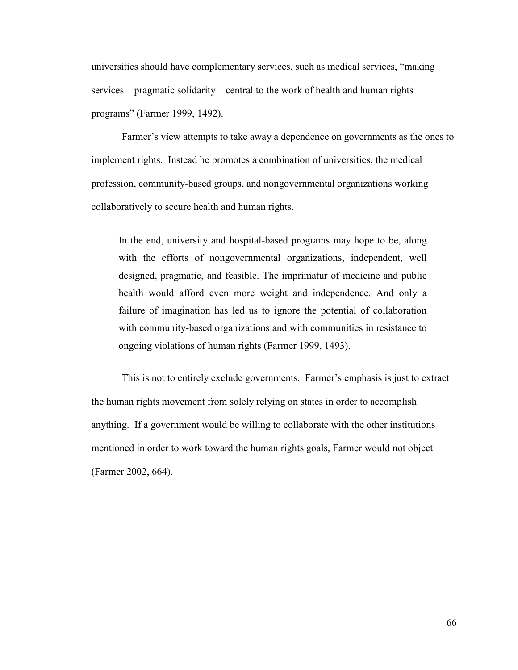universities should have complementary services, such as medical services, "making services—pragmatic solidarity—central to the work of health and human rights programs" (Farmer 1999, 1492).

Farmer's view attempts to take away a dependence on governments as the ones to implement rights. Instead he promotes a combination of universities, the medical profession, community-based groups, and nongovernmental organizations working collaboratively to secure health and human rights.

In the end, university and hospital-based programs may hope to be, along with the efforts of nongovernmental organizations, independent, well designed, pragmatic, and feasible. The imprimatur of medicine and public health would afford even more weight and independence. And only a failure of imagination has led us to ignore the potential of collaboration with community-based organizations and with communities in resistance to ongoing violations of human rights (Farmer 1999, 1493).

This is not to entirely exclude governments. Farmer's emphasis is just to extract the human rights movement from solely relying on states in order to accomplish anything. If a government would be willing to collaborate with the other institutions mentioned in order to work toward the human rights goals, Farmer would not object (Farmer 2002, 664).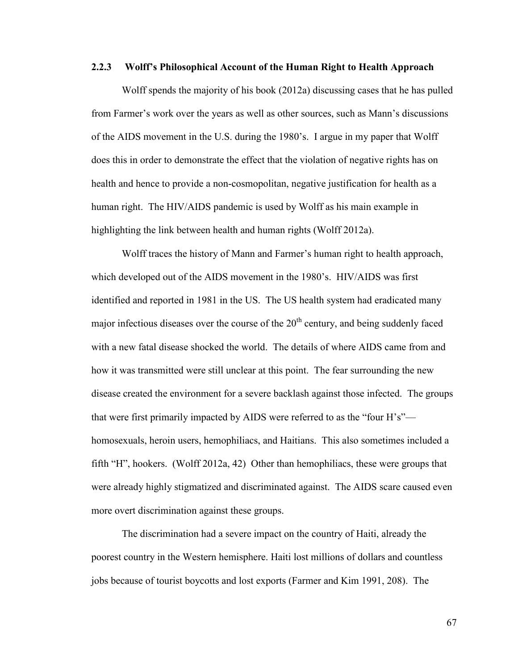#### **2.2.3 Wolff's Philosophical Account of the Human Right to Health Approach**

Wolff spends the majority of his book (2012a) discussing cases that he has pulled from Farmer's work over the years as well as other sources, such as Mann's discussions of the AIDS movement in the U.S. during the 1980's. I argue in my paper that Wolff does this in order to demonstrate the effect that the violation of negative rights has on health and hence to provide a non-cosmopolitan, negative justification for health as a human right. The HIV/AIDS pandemic is used by Wolff as his main example in highlighting the link between health and human rights (Wolff 2012a).

Wolff traces the history of Mann and Farmer's human right to health approach, which developed out of the AIDS movement in the 1980's. HIV/AIDS was first identified and reported in 1981 in the US. The US health system had eradicated many major infectious diseases over the course of the  $20<sup>th</sup>$  century, and being suddenly faced with a new fatal disease shocked the world. The details of where AIDS came from and how it was transmitted were still unclear at this point. The fear surrounding the new disease created the environment for a severe backlash against those infected. The groups that were first primarily impacted by AIDS were referred to as the "four H's" homosexuals, heroin users, hemophiliacs, and Haitians. This also sometimes included a fifth "H", hookers. (Wolff 2012a, 42) Other than hemophiliacs, these were groups that were already highly stigmatized and discriminated against. The AIDS scare caused even more overt discrimination against these groups.

The discrimination had a severe impact on the country of Haiti, already the poorest country in the Western hemisphere. Haiti lost millions of dollars and countless jobs because of tourist boycotts and lost exports (Farmer and Kim 1991, 208). The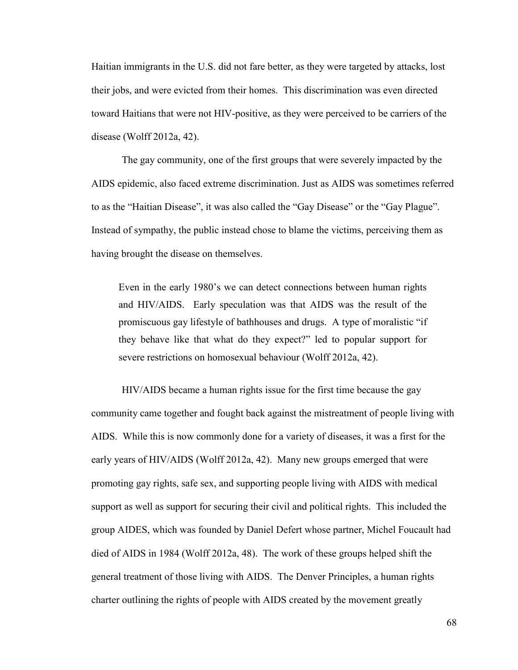Haitian immigrants in the U.S. did not fare better, as they were targeted by attacks, lost their jobs, and were evicted from their homes. This discrimination was even directed toward Haitians that were not HIV-positive, as they were perceived to be carriers of the disease (Wolff 2012a, 42).

The gay community, one of the first groups that were severely impacted by the AIDS epidemic, also faced extreme discrimination. Just as AIDS was sometimes referred to as the "Haitian Disease", it was also called the "Gay Disease" or the "Gay Plague". Instead of sympathy, the public instead chose to blame the victims, perceiving them as having brought the disease on themselves.

Even in the early 1980's we can detect connections between human rights and HIV/AIDS. Early speculation was that AIDS was the result of the promiscuous gay lifestyle of bathhouses and drugs. A type of moralistic "if they behave like that what do they expect?" led to popular support for severe restrictions on homosexual behaviour (Wolff 2012a, 42).

HIV/AIDS became a human rights issue for the first time because the gay community came together and fought back against the mistreatment of people living with AIDS. While this is now commonly done for a variety of diseases, it was a first for the early years of HIV/AIDS (Wolff 2012a, 42). Many new groups emerged that were promoting gay rights, safe sex, and supporting people living with AIDS with medical support as well as support for securing their civil and political rights. This included the group AIDES, which was founded by Daniel Defert whose partner, Michel Foucault had died of AIDS in 1984 (Wolff 2012a, 48). The work of these groups helped shift the general treatment of those living with AIDS. The Denver Principles, a human rights charter outlining the rights of people with AIDS created by the movement greatly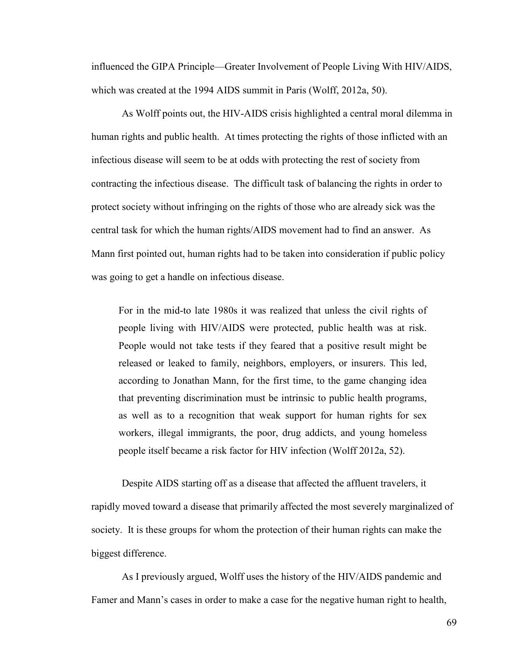influenced the GIPA Principle—Greater Involvement of People Living With HIV/AIDS, which was created at the 1994 AIDS summit in Paris (Wolff, 2012a, 50).

As Wolff points out, the HIV-AIDS crisis highlighted a central moral dilemma in human rights and public health. At times protecting the rights of those inflicted with an infectious disease will seem to be at odds with protecting the rest of society from contracting the infectious disease. The difficult task of balancing the rights in order to protect society without infringing on the rights of those who are already sick was the central task for which the human rights/AIDS movement had to find an answer. As Mann first pointed out, human rights had to be taken into consideration if public policy was going to get a handle on infectious disease.

For in the mid-to late 1980s it was realized that unless the civil rights of people living with HIV/AIDS were protected, public health was at risk. People would not take tests if they feared that a positive result might be released or leaked to family, neighbors, employers, or insurers. This led, according to Jonathan Mann, for the first time, to the game changing idea that preventing discrimination must be intrinsic to public health programs, as well as to a recognition that weak support for human rights for sex workers, illegal immigrants, the poor, drug addicts, and young homeless people itself became a risk factor for HIV infection (Wolff 2012a, 52).

Despite AIDS starting off as a disease that affected the affluent travelers, it rapidly moved toward a disease that primarily affected the most severely marginalized of society. It is these groups for whom the protection of their human rights can make the biggest difference.

As I previously argued, Wolff uses the history of the HIV/AIDS pandemic and Famer and Mann's cases in order to make a case for the negative human right to health,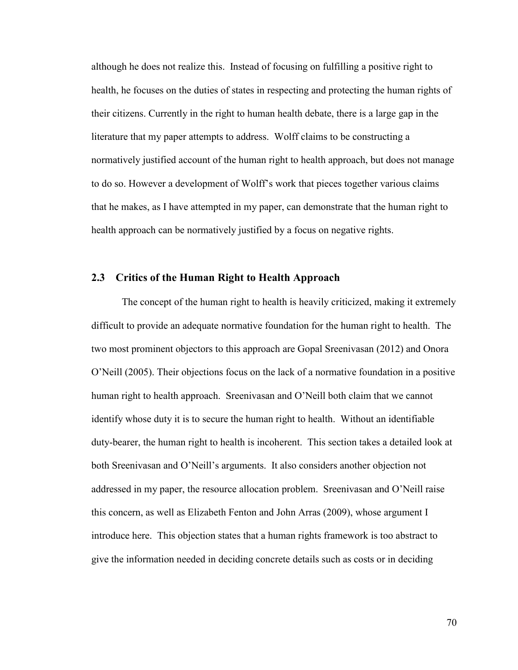although he does not realize this. Instead of focusing on fulfilling a positive right to health, he focuses on the duties of states in respecting and protecting the human rights of their citizens. Currently in the right to human health debate, there is a large gap in the literature that my paper attempts to address. Wolff claims to be constructing a normatively justified account of the human right to health approach, but does not manage to do so. However a development of Wolff's work that pieces together various claims that he makes, as I have attempted in my paper, can demonstrate that the human right to health approach can be normatively justified by a focus on negative rights.

#### **2.3 Critics of the Human Right to Health Approach**

The concept of the human right to health is heavily criticized, making it extremely difficult to provide an adequate normative foundation for the human right to health. The two most prominent objectors to this approach are Gopal Sreenivasan (2012) and Onora O'Neill (2005). Their objections focus on the lack of a normative foundation in a positive human right to health approach. Sreenivasan and O'Neill both claim that we cannot identify whose duty it is to secure the human right to health. Without an identifiable duty-bearer, the human right to health is incoherent. This section takes a detailed look at both Sreenivasan and O'Neill's arguments. It also considers another objection not addressed in my paper, the resource allocation problem. Sreenivasan and O'Neill raise this concern, as well as Elizabeth Fenton and John Arras (2009), whose argument I introduce here. This objection states that a human rights framework is too abstract to give the information needed in deciding concrete details such as costs or in deciding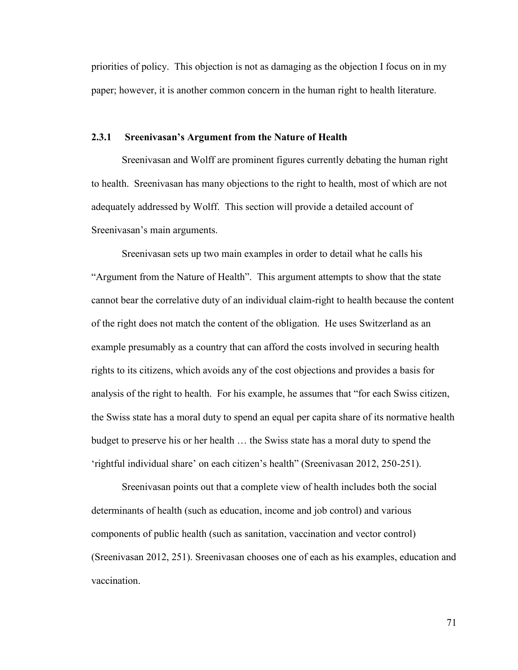priorities of policy. This objection is not as damaging as the objection I focus on in my paper; however, it is another common concern in the human right to health literature.

#### **2.3.1 Sreenivasan's Argument from the Nature of Health**

Sreenivasan and Wolff are prominent figures currently debating the human right to health. Sreenivasan has many objections to the right to health, most of which are not adequately addressed by Wolff. This section will provide a detailed account of Sreenivasan's main arguments.

Sreenivasan sets up two main examples in order to detail what he calls his "Argument from the Nature of Health". This argument attempts to show that the state cannot bear the correlative duty of an individual claim-right to health because the content of the right does not match the content of the obligation. He uses Switzerland as an example presumably as a country that can afford the costs involved in securing health rights to its citizens, which avoids any of the cost objections and provides a basis for analysis of the right to health. For his example, he assumes that "for each Swiss citizen, the Swiss state has a moral duty to spend an equal per capita share of its normative health budget to preserve his or her health … the Swiss state has a moral duty to spend the 'rightful individual share' on each citizen's health" (Sreenivasan 2012, 250-251).

Sreenivasan points out that a complete view of health includes both the social determinants of health (such as education, income and job control) and various components of public health (such as sanitation, vaccination and vector control) (Sreenivasan 2012, 251). Sreenivasan chooses one of each as his examples, education and vaccination.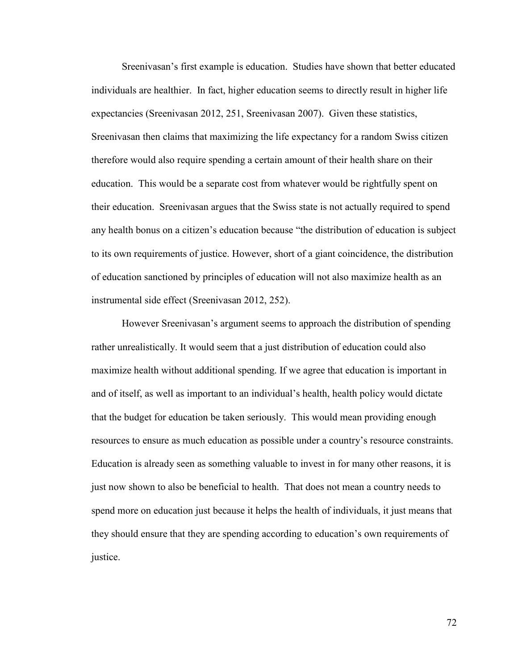Sreenivasan's first example is education. Studies have shown that better educated individuals are healthier. In fact, higher education seems to directly result in higher life expectancies (Sreenivasan 2012, 251, Sreenivasan 2007). Given these statistics, Sreenivasan then claims that maximizing the life expectancy for a random Swiss citizen therefore would also require spending a certain amount of their health share on their education. This would be a separate cost from whatever would be rightfully spent on their education. Sreenivasan argues that the Swiss state is not actually required to spend any health bonus on a citizen's education because "the distribution of education is subject to its own requirements of justice. However, short of a giant coincidence, the distribution of education sanctioned by principles of education will not also maximize health as an instrumental side effect (Sreenivasan 2012, 252).

However Sreenivasan's argument seems to approach the distribution of spending rather unrealistically. It would seem that a just distribution of education could also maximize health without additional spending. If we agree that education is important in and of itself, as well as important to an individual's health, health policy would dictate that the budget for education be taken seriously. This would mean providing enough resources to ensure as much education as possible under a country's resource constraints. Education is already seen as something valuable to invest in for many other reasons, it is just now shown to also be beneficial to health. That does not mean a country needs to spend more on education just because it helps the health of individuals, it just means that they should ensure that they are spending according to education's own requirements of justice.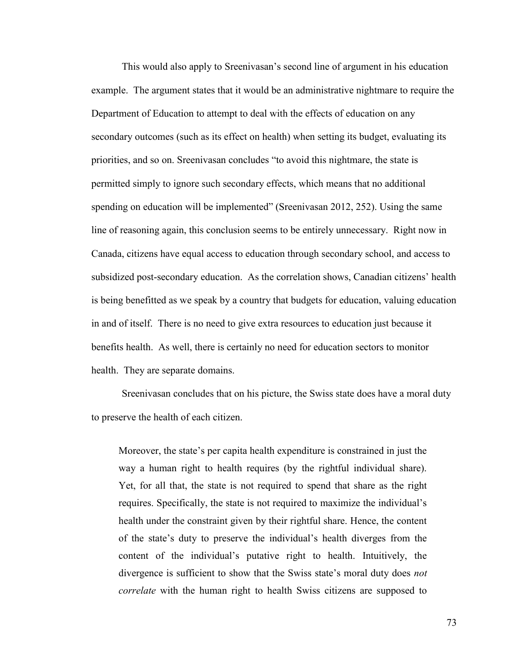This would also apply to Sreenivasan's second line of argument in his education example. The argument states that it would be an administrative nightmare to require the Department of Education to attempt to deal with the effects of education on any secondary outcomes (such as its effect on health) when setting its budget, evaluating its priorities, and so on. Sreenivasan concludes "to avoid this nightmare, the state is permitted simply to ignore such secondary effects, which means that no additional spending on education will be implemented" (Sreenivasan 2012, 252). Using the same line of reasoning again, this conclusion seems to be entirely unnecessary. Right now in Canada, citizens have equal access to education through secondary school, and access to subsidized post-secondary education. As the correlation shows, Canadian citizens' health is being benefitted as we speak by a country that budgets for education, valuing education in and of itself. There is no need to give extra resources to education just because it benefits health. As well, there is certainly no need for education sectors to monitor health. They are separate domains.

Sreenivasan concludes that on his picture, the Swiss state does have a moral duty to preserve the health of each citizen.

Moreover, the state's per capita health expenditure is constrained in just the way a human right to health requires (by the rightful individual share). Yet, for all that, the state is not required to spend that share as the right requires. Specifically, the state is not required to maximize the individual's health under the constraint given by their rightful share. Hence, the content of the state's duty to preserve the individual's health diverges from the content of the individual's putative right to health. Intuitively, the divergence is sufficient to show that the Swiss state's moral duty does *not correlate* with the human right to health Swiss citizens are supposed to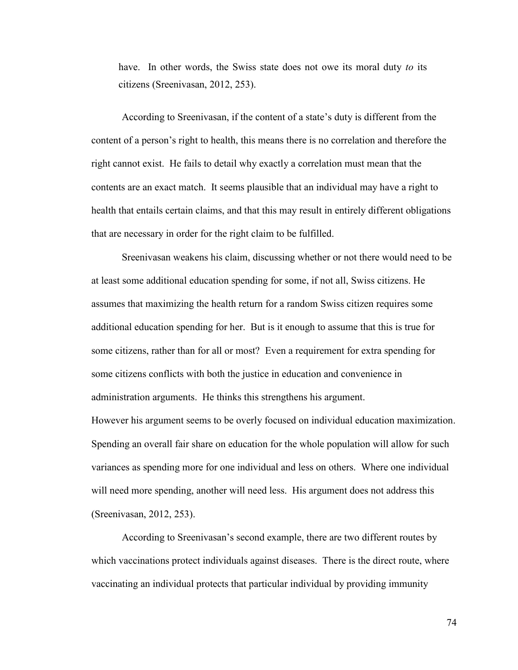have. In other words, the Swiss state does not owe its moral duty *to* its citizens (Sreenivasan, 2012, 253).

According to Sreenivasan, if the content of a state's duty is different from the content of a person's right to health, this means there is no correlation and therefore the right cannot exist. He fails to detail why exactly a correlation must mean that the contents are an exact match. It seems plausible that an individual may have a right to health that entails certain claims, and that this may result in entirely different obligations that are necessary in order for the right claim to be fulfilled.

Sreenivasan weakens his claim, discussing whether or not there would need to be at least some additional education spending for some, if not all, Swiss citizens. He assumes that maximizing the health return for a random Swiss citizen requires some additional education spending for her. But is it enough to assume that this is true for some citizens, rather than for all or most? Even a requirement for extra spending for some citizens conflicts with both the justice in education and convenience in administration arguments. He thinks this strengthens his argument.

However his argument seems to be overly focused on individual education maximization. Spending an overall fair share on education for the whole population will allow for such variances as spending more for one individual and less on others. Where one individual will need more spending, another will need less. His argument does not address this (Sreenivasan, 2012, 253).

According to Sreenivasan's second example, there are two different routes by which vaccinations protect individuals against diseases. There is the direct route, where vaccinating an individual protects that particular individual by providing immunity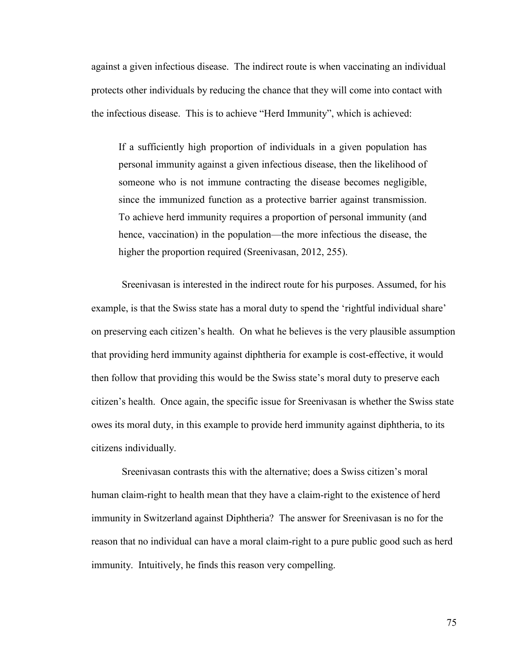against a given infectious disease. The indirect route is when vaccinating an individual protects other individuals by reducing the chance that they will come into contact with the infectious disease. This is to achieve "Herd Immunity", which is achieved:

If a sufficiently high proportion of individuals in a given population has personal immunity against a given infectious disease, then the likelihood of someone who is not immune contracting the disease becomes negligible, since the immunized function as a protective barrier against transmission. To achieve herd immunity requires a proportion of personal immunity (and hence, vaccination) in the population—the more infectious the disease, the higher the proportion required (Sreenivasan, 2012, 255).

Sreenivasan is interested in the indirect route for his purposes. Assumed, for his example, is that the Swiss state has a moral duty to spend the 'rightful individual share' on preserving each citizen's health. On what he believes is the very plausible assumption that providing herd immunity against diphtheria for example is cost-effective, it would then follow that providing this would be the Swiss state's moral duty to preserve each citizen's health. Once again, the specific issue for Sreenivasan is whether the Swiss state owes its moral duty, in this example to provide herd immunity against diphtheria, to its citizens individually.

Sreenivasan contrasts this with the alternative; does a Swiss citizen's moral human claim-right to health mean that they have a claim-right to the existence of herd immunity in Switzerland against Diphtheria? The answer for Sreenivasan is no for the reason that no individual can have a moral claim-right to a pure public good such as herd immunity. Intuitively, he finds this reason very compelling.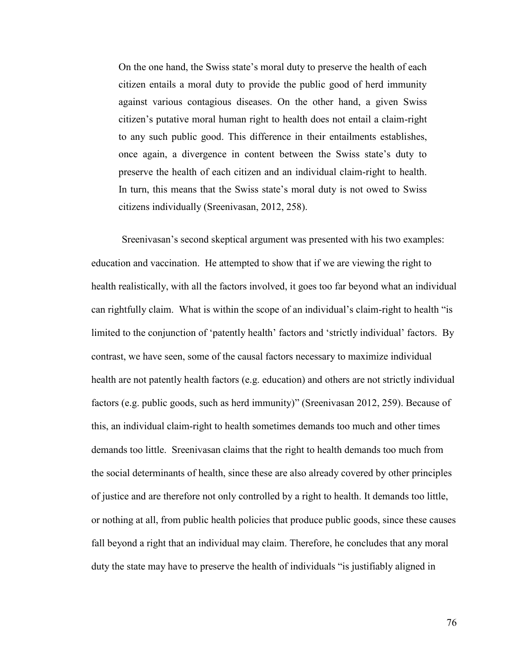On the one hand, the Swiss state's moral duty to preserve the health of each citizen entails a moral duty to provide the public good of herd immunity against various contagious diseases. On the other hand, a given Swiss citizen's putative moral human right to health does not entail a claim-right to any such public good. This difference in their entailments establishes, once again, a divergence in content between the Swiss state's duty to preserve the health of each citizen and an individual claim-right to health. In turn, this means that the Swiss state's moral duty is not owed to Swiss citizens individually (Sreenivasan, 2012, 258).

Sreenivasan's second skeptical argument was presented with his two examples: education and vaccination. He attempted to show that if we are viewing the right to health realistically, with all the factors involved, it goes too far beyond what an individual can rightfully claim. What is within the scope of an individual's claim-right to health "is limited to the conjunction of 'patently health' factors and 'strictly individual' factors. By contrast, we have seen, some of the causal factors necessary to maximize individual health are not patently health factors (e.g. education) and others are not strictly individual factors (e.g. public goods, such as herd immunity)" (Sreenivasan 2012, 259). Because of this, an individual claim-right to health sometimes demands too much and other times demands too little. Sreenivasan claims that the right to health demands too much from the social determinants of health, since these are also already covered by other principles of justice and are therefore not only controlled by a right to health. It demands too little, or nothing at all, from public health policies that produce public goods, since these causes fall beyond a right that an individual may claim. Therefore, he concludes that any moral duty the state may have to preserve the health of individuals "is justifiably aligned in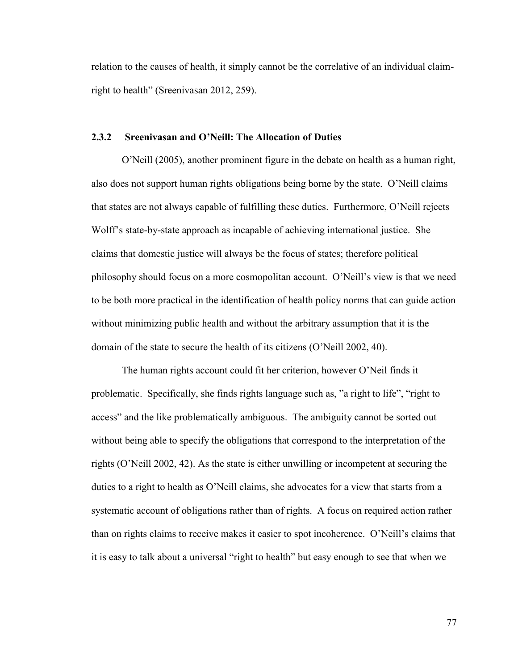relation to the causes of health, it simply cannot be the correlative of an individual claimright to health" (Sreenivasan 2012, 259).

## **2.3.2 Sreenivasan and O'Neill: The Allocation of Duties**

O'Neill (2005), another prominent figure in the debate on health as a human right, also does not support human rights obligations being borne by the state. O'Neill claims that states are not always capable of fulfilling these duties. Furthermore, O'Neill rejects Wolff's state-by-state approach as incapable of achieving international justice. She claims that domestic justice will always be the focus of states; therefore political philosophy should focus on a more cosmopolitan account. O'Neill's view is that we need to be both more practical in the identification of health policy norms that can guide action without minimizing public health and without the arbitrary assumption that it is the domain of the state to secure the health of its citizens (O'Neill 2002, 40).

The human rights account could fit her criterion, however O'Neil finds it problematic. Specifically, she finds rights language such as, "a right to life", "right to access" and the like problematically ambiguous. The ambiguity cannot be sorted out without being able to specify the obligations that correspond to the interpretation of the rights (O'Neill 2002, 42). As the state is either unwilling or incompetent at securing the duties to a right to health as O'Neill claims, she advocates for a view that starts from a systematic account of obligations rather than of rights. A focus on required action rather than on rights claims to receive makes it easier to spot incoherence. O'Neill's claims that it is easy to talk about a universal "right to health" but easy enough to see that when we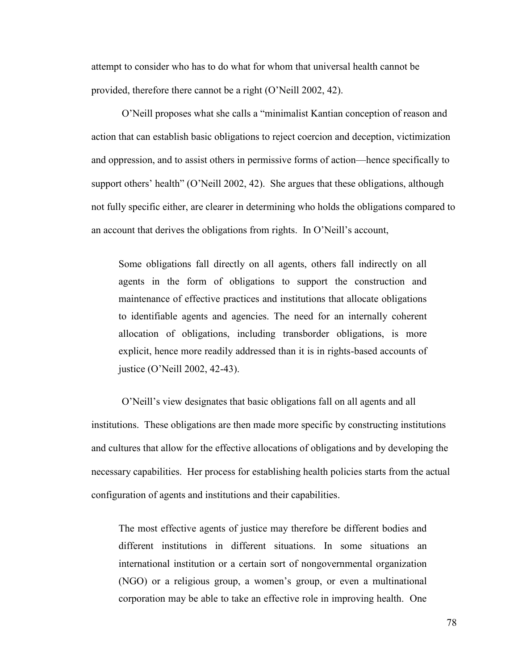attempt to consider who has to do what for whom that universal health cannot be provided, therefore there cannot be a right (O'Neill 2002, 42).

O'Neill proposes what she calls a "minimalist Kantian conception of reason and action that can establish basic obligations to reject coercion and deception, victimization and oppression, and to assist others in permissive forms of action—hence specifically to support others' health" (O'Neill 2002, 42). She argues that these obligations, although not fully specific either, are clearer in determining who holds the obligations compared to an account that derives the obligations from rights. In O'Neill's account,

Some obligations fall directly on all agents, others fall indirectly on all agents in the form of obligations to support the construction and maintenance of effective practices and institutions that allocate obligations to identifiable agents and agencies. The need for an internally coherent allocation of obligations, including transborder obligations, is more explicit, hence more readily addressed than it is in rights-based accounts of justice (O'Neill 2002, 42-43).

O'Neill's view designates that basic obligations fall on all agents and all institutions. These obligations are then made more specific by constructing institutions and cultures that allow for the effective allocations of obligations and by developing the necessary capabilities. Her process for establishing health policies starts from the actual configuration of agents and institutions and their capabilities.

The most effective agents of justice may therefore be different bodies and different institutions in different situations. In some situations an international institution or a certain sort of nongovernmental organization (NGO) or a religious group, a women's group, or even a multinational corporation may be able to take an effective role in improving health. One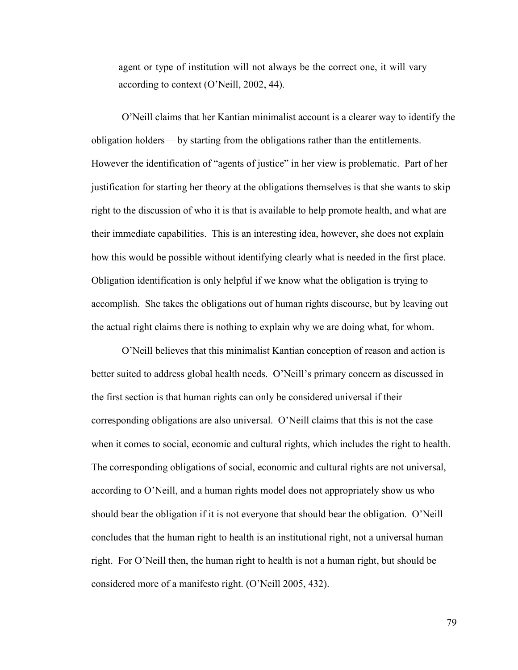agent or type of institution will not always be the correct one, it will vary according to context (O'Neill, 2002, 44).

O'Neill claims that her Kantian minimalist account is a clearer way to identify the obligation holders— by starting from the obligations rather than the entitlements. However the identification of "agents of justice" in her view is problematic. Part of her justification for starting her theory at the obligations themselves is that she wants to skip right to the discussion of who it is that is available to help promote health, and what are their immediate capabilities. This is an interesting idea, however, she does not explain how this would be possible without identifying clearly what is needed in the first place. Obligation identification is only helpful if we know what the obligation is trying to accomplish. She takes the obligations out of human rights discourse, but by leaving out the actual right claims there is nothing to explain why we are doing what, for whom.

O'Neill believes that this minimalist Kantian conception of reason and action is better suited to address global health needs. O'Neill's primary concern as discussed in the first section is that human rights can only be considered universal if their corresponding obligations are also universal. O'Neill claims that this is not the case when it comes to social, economic and cultural rights, which includes the right to health. The corresponding obligations of social, economic and cultural rights are not universal, according to O'Neill, and a human rights model does not appropriately show us who should bear the obligation if it is not everyone that should bear the obligation. O'Neill concludes that the human right to health is an institutional right, not a universal human right. For O'Neill then, the human right to health is not a human right, but should be considered more of a manifesto right. (O'Neill 2005, 432).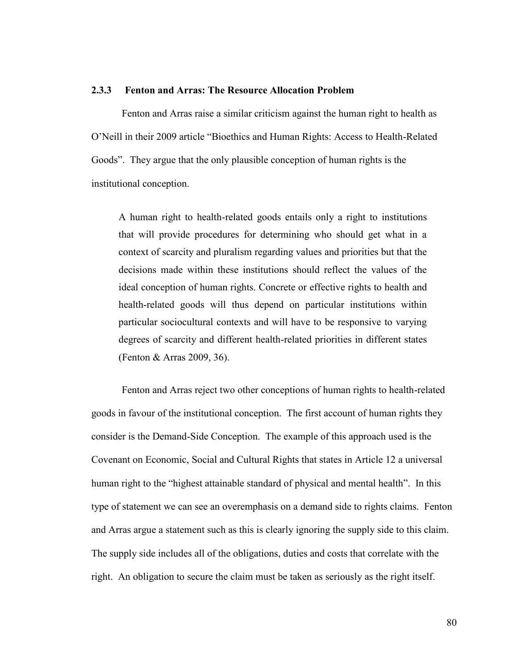## **2.3.3 Fenton and Arras: The Resource Allocation Problem**

Fenton and Arras raise a similar criticism against the human right to health as O'Neill in their 2009 article "Bioethics and Human Rights: Access to Health-Related Goods". They argue that the only plausible conception of human rights is the institutional conception.

A human right to health-related goods entails only a right to institutions that will provide procedures for determining who should get what in a context of scarcity and pluralism regarding values and priorities but that the decisions made within these institutions should reflect the values of the ideal conception of human rights. Concrete or effective rights to health and health-related goods will thus depend on particular institutions within particular sociocultural contexts and will have to be responsive to varying degrees of scarcity and different health-related priorities in different states (Fenton & Arras 2009, 36).

Fenton and Arras reject two other conceptions of human rights to health-related goods in favour of the institutional conception. The first account of human rights they consider is the Demand-Side Conception. The example of this approach used is the Covenant on Economic, Social and Cultural Rights that states in Article 12 a universal human right to the "highest attainable standard of physical and mental health". In this type of statement we can see an overemphasis on a demand side to rights claims. Fenton and Arras argue a statement such as this is clearly ignoring the supply side to this claim. The supply side includes all of the obligations, duties and costs that correlate with the right. An obligation to secure the claim must be taken as seriously as the right itself.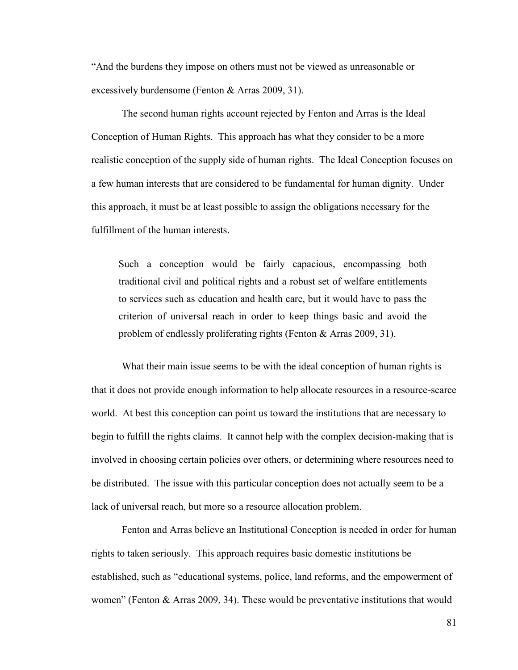"And the burdens they impose on others must not be viewed as unreasonable or excessively burdensome (Fenton & Arras 2009, 31).

The second human rights account rejected by Fenton and Arras is the Ideal Conception of Human Rights. This approach has what they consider to be a more realistic conception of the supply side of human rights. The Ideal Conception focuses on a few human interests that are considered to be fundamental for human dignity. Under this approach, it must be at least possible to assign the obligations necessary for the fulfillment of the human interests.

Such a conception would be fairly capacious, encompassing both traditional civil and political rights and a robust set of welfare entitlements to services such as education and health care, but it would have to pass the criterion of universal reach in order to keep things basic and avoid the problem of endlessly proliferating rights (Fenton & Arras 2009, 31).

What their main issue seems to be with the ideal conception of human rights is that it does not provide enough information to help allocate resources in a resource-scarce world. At best this conception can point us toward the institutions that are necessary to begin to fulfill the rights claims. It cannot help with the complex decision-making that is involved in choosing certain policies over others, or determining where resources need to be distributed. The issue with this particular conception does not actually seem to be a lack of universal reach, but more so a resource allocation problem.

Fenton and Arras believe an Institutional Conception is needed in order for human rights to taken seriously. This approach requires basic domestic institutions be established, such as "educational systems, police, land reforms, and the empowerment of women" (Fenton & Arras 2009, 34). These would be preventative institutions that would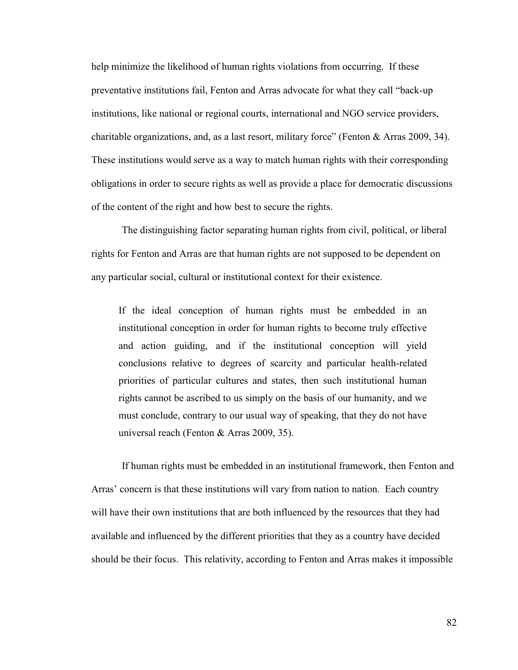help minimize the likelihood of human rights violations from occurring. If these preventative institutions fail, Fenton and Arras advocate for what they call "back-up institutions, like national or regional courts, international and NGO service providers, charitable organizations, and, as a last resort, military force" (Fenton & Arras 2009, 34). These institutions would serve as a way to match human rights with their corresponding obligations in order to secure rights as well as provide a place for democratic discussions of the content of the right and how best to secure the rights.

The distinguishing factor separating human rights from civil, political, or liberal rights for Fenton and Arras are that human rights are not supposed to be dependent on any particular social, cultural or institutional context for their existence.

If the ideal conception of human rights must be embedded in an institutional conception in order for human rights to become truly effective and action guiding, and if the institutional conception will yield conclusions relative to degrees of scarcity and particular health-related priorities of particular cultures and states, then such institutional human rights cannot be ascribed to us simply on the basis of our humanity, and we must conclude, contrary to our usual way of speaking, that they do not have universal reach (Fenton & Arras 2009, 35).

If human rights must be embedded in an institutional framework, then Fenton and Arras' concern is that these institutions will vary from nation to nation. Each country will have their own institutions that are both influenced by the resources that they had available and influenced by the different priorities that they as a country have decided should be their focus. This relativity, according to Fenton and Arras makes it impossible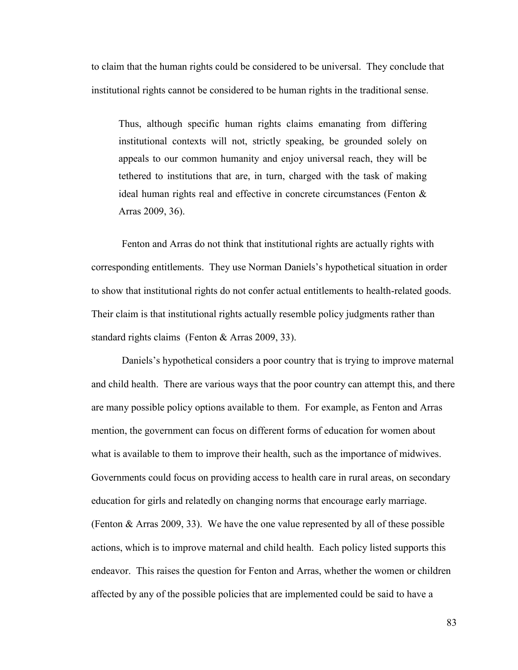to claim that the human rights could be considered to be universal. They conclude that institutional rights cannot be considered to be human rights in the traditional sense.

Thus, although specific human rights claims emanating from differing institutional contexts will not, strictly speaking, be grounded solely on appeals to our common humanity and enjoy universal reach, they will be tethered to institutions that are, in turn, charged with the task of making ideal human rights real and effective in concrete circumstances (Fenton & Arras 2009, 36).

Fenton and Arras do not think that institutional rights are actually rights with corresponding entitlements. They use Norman Daniels's hypothetical situation in order to show that institutional rights do not confer actual entitlements to health-related goods. Their claim is that institutional rights actually resemble policy judgments rather than standard rights claims (Fenton & Arras 2009, 33).

Daniels's hypothetical considers a poor country that is trying to improve maternal and child health. There are various ways that the poor country can attempt this, and there are many possible policy options available to them. For example, as Fenton and Arras mention, the government can focus on different forms of education for women about what is available to them to improve their health, such as the importance of midwives. Governments could focus on providing access to health care in rural areas, on secondary education for girls and relatedly on changing norms that encourage early marriage. (Fenton & Arras 2009, 33). We have the one value represented by all of these possible actions, which is to improve maternal and child health. Each policy listed supports this endeavor. This raises the question for Fenton and Arras, whether the women or children affected by any of the possible policies that are implemented could be said to have a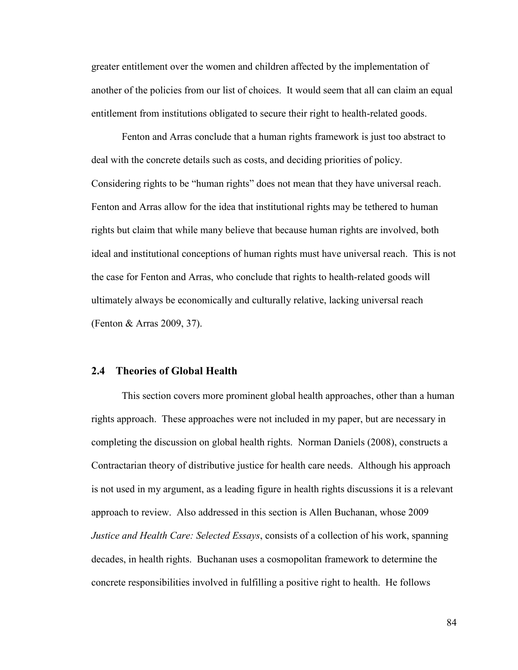greater entitlement over the women and children affected by the implementation of another of the policies from our list of choices. It would seem that all can claim an equal entitlement from institutions obligated to secure their right to health-related goods.

Fenton and Arras conclude that a human rights framework is just too abstract to deal with the concrete details such as costs, and deciding priorities of policy. Considering rights to be "human rights" does not mean that they have universal reach. Fenton and Arras allow for the idea that institutional rights may be tethered to human rights but claim that while many believe that because human rights are involved, both ideal and institutional conceptions of human rights must have universal reach. This is not the case for Fenton and Arras, who conclude that rights to health-related goods will ultimately always be economically and culturally relative, lacking universal reach (Fenton & Arras 2009, 37).

## **2.4 Theories of Global Health**

This section covers more prominent global health approaches, other than a human rights approach. These approaches were not included in my paper, but are necessary in completing the discussion on global health rights. Norman Daniels (2008), constructs a Contractarian theory of distributive justice for health care needs. Although his approach is not used in my argument, as a leading figure in health rights discussions it is a relevant approach to review. Also addressed in this section is Allen Buchanan, whose 2009 *Justice and Health Care: Selected Essays*, consists of a collection of his work, spanning decades, in health rights. Buchanan uses a cosmopolitan framework to determine the concrete responsibilities involved in fulfilling a positive right to health. He follows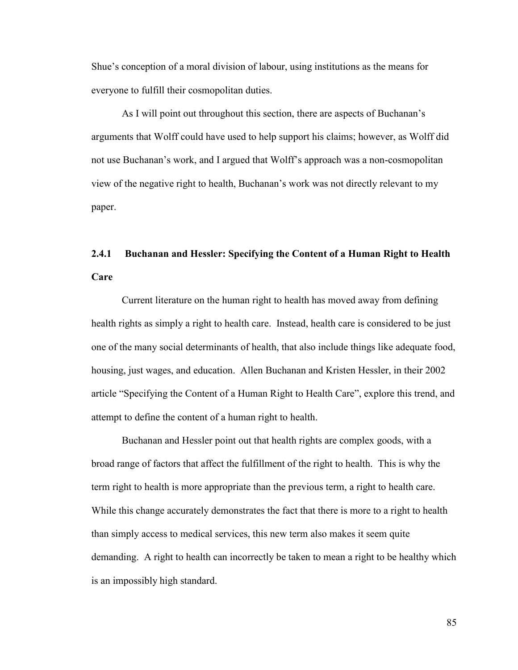Shue's conception of a moral division of labour, using institutions as the means for everyone to fulfill their cosmopolitan duties.

As I will point out throughout this section, there are aspects of Buchanan's arguments that Wolff could have used to help support his claims; however, as Wolff did not use Buchanan's work, and I argued that Wolff's approach was a non-cosmopolitan view of the negative right to health, Buchanan's work was not directly relevant to my paper.

# **2.4.1 Buchanan and Hessler: Specifying the Content of a Human Right to Health Care**

Current literature on the human right to health has moved away from defining health rights as simply a right to health care. Instead, health care is considered to be just one of the many social determinants of health, that also include things like adequate food, housing, just wages, and education. Allen Buchanan and Kristen Hessler, in their 2002 article "Specifying the Content of a Human Right to Health Care", explore this trend, and attempt to define the content of a human right to health.

Buchanan and Hessler point out that health rights are complex goods, with a broad range of factors that affect the fulfillment of the right to health. This is why the term right to health is more appropriate than the previous term, a right to health care. While this change accurately demonstrates the fact that there is more to a right to health than simply access to medical services, this new term also makes it seem quite demanding. A right to health can incorrectly be taken to mean a right to be healthy which is an impossibly high standard.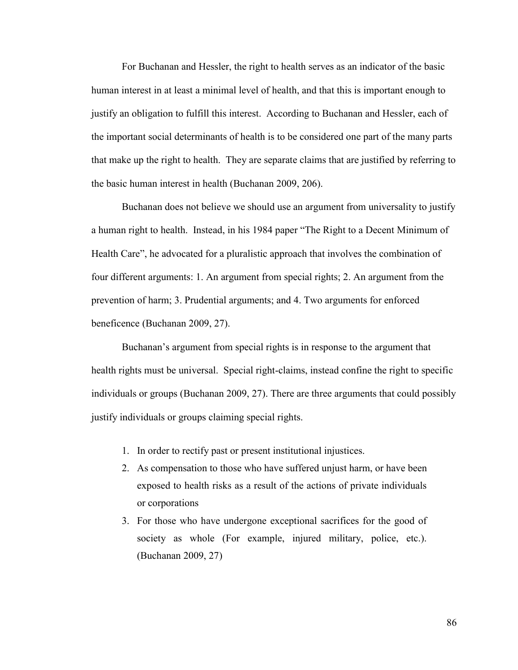For Buchanan and Hessler, the right to health serves as an indicator of the basic human interest in at least a minimal level of health, and that this is important enough to justify an obligation to fulfill this interest. According to Buchanan and Hessler, each of the important social determinants of health is to be considered one part of the many parts that make up the right to health. They are separate claims that are justified by referring to the basic human interest in health (Buchanan 2009, 206).

Buchanan does not believe we should use an argument from universality to justify a human right to health. Instead, in his 1984 paper "The Right to a Decent Minimum of Health Care", he advocated for a pluralistic approach that involves the combination of four different arguments: 1. An argument from special rights; 2. An argument from the prevention of harm; 3. Prudential arguments; and 4. Two arguments for enforced beneficence (Buchanan 2009, 27).

Buchanan's argument from special rights is in response to the argument that health rights must be universal. Special right-claims, instead confine the right to specific individuals or groups (Buchanan 2009, 27). There are three arguments that could possibly justify individuals or groups claiming special rights.

- 1. In order to rectify past or present institutional injustices.
- 2. As compensation to those who have suffered unjust harm, or have been exposed to health risks as a result of the actions of private individuals or corporations
- 3. For those who have undergone exceptional sacrifices for the good of society as whole (For example, injured military, police, etc.). (Buchanan 2009, 27)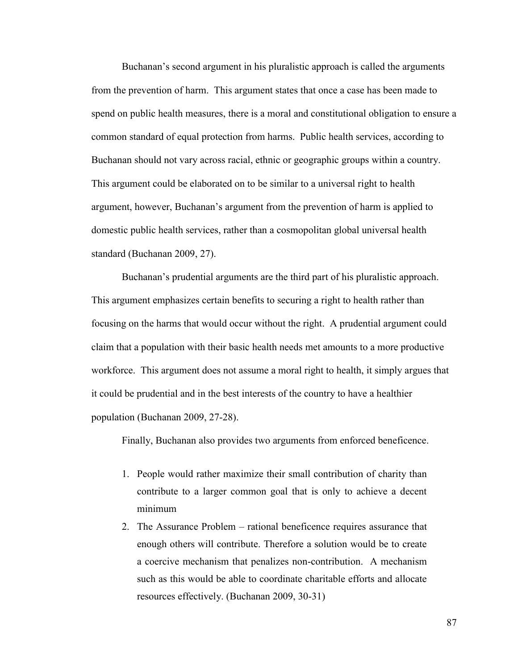Buchanan's second argument in his pluralistic approach is called the arguments from the prevention of harm. This argument states that once a case has been made to spend on public health measures, there is a moral and constitutional obligation to ensure a common standard of equal protection from harms. Public health services, according to Buchanan should not vary across racial, ethnic or geographic groups within a country. This argument could be elaborated on to be similar to a universal right to health argument, however, Buchanan's argument from the prevention of harm is applied to domestic public health services, rather than a cosmopolitan global universal health standard (Buchanan 2009, 27).

Buchanan's prudential arguments are the third part of his pluralistic approach. This argument emphasizes certain benefits to securing a right to health rather than focusing on the harms that would occur without the right. A prudential argument could claim that a population with their basic health needs met amounts to a more productive workforce. This argument does not assume a moral right to health, it simply argues that it could be prudential and in the best interests of the country to have a healthier population (Buchanan 2009, 27-28).

Finally, Buchanan also provides two arguments from enforced beneficence.

- 1. People would rather maximize their small contribution of charity than contribute to a larger common goal that is only to achieve a decent minimum
- 2. The Assurance Problem rational beneficence requires assurance that enough others will contribute. Therefore a solution would be to create a coercive mechanism that penalizes non-contribution. A mechanism such as this would be able to coordinate charitable efforts and allocate resources effectively. (Buchanan 2009, 30-31)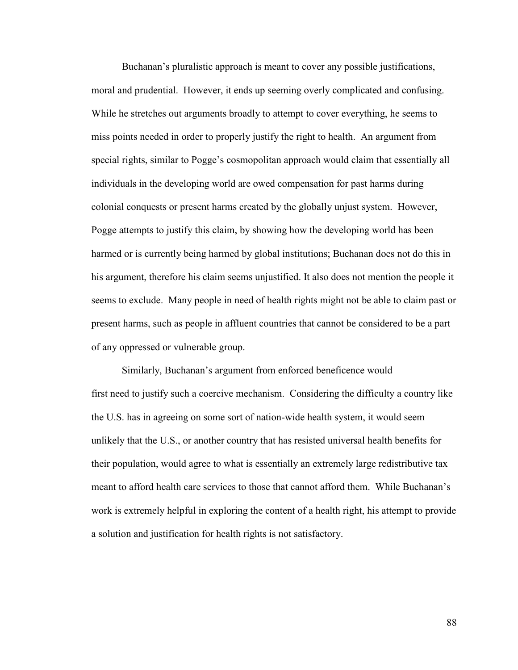Buchanan's pluralistic approach is meant to cover any possible justifications, moral and prudential. However, it ends up seeming overly complicated and confusing. While he stretches out arguments broadly to attempt to cover everything, he seems to miss points needed in order to properly justify the right to health. An argument from special rights, similar to Pogge's cosmopolitan approach would claim that essentially all individuals in the developing world are owed compensation for past harms during colonial conquests or present harms created by the globally unjust system. However, Pogge attempts to justify this claim, by showing how the developing world has been harmed or is currently being harmed by global institutions; Buchanan does not do this in his argument, therefore his claim seems unjustified. It also does not mention the people it seems to exclude. Many people in need of health rights might not be able to claim past or present harms, such as people in affluent countries that cannot be considered to be a part of any oppressed or vulnerable group.

Similarly, Buchanan's argument from enforced beneficence would first need to justify such a coercive mechanism. Considering the difficulty a country like the U.S. has in agreeing on some sort of nation-wide health system, it would seem unlikely that the U.S., or another country that has resisted universal health benefits for their population, would agree to what is essentially an extremely large redistributive tax meant to afford health care services to those that cannot afford them. While Buchanan's work is extremely helpful in exploring the content of a health right, his attempt to provide a solution and justification for health rights is not satisfactory.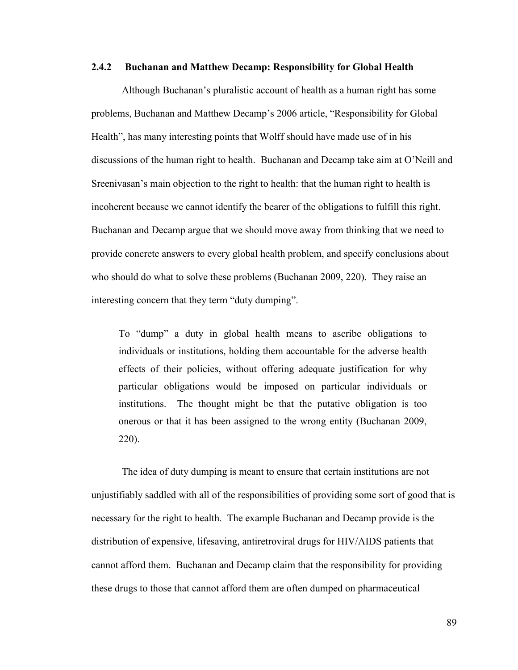## **2.4.2 Buchanan and Matthew Decamp: Responsibility for Global Health**

Although Buchanan's pluralistic account of health as a human right has some problems, Buchanan and Matthew Decamp's 2006 article, "Responsibility for Global Health", has many interesting points that Wolff should have made use of in his discussions of the human right to health. Buchanan and Decamp take aim at O'Neill and Sreenivasan's main objection to the right to health: that the human right to health is incoherent because we cannot identify the bearer of the obligations to fulfill this right. Buchanan and Decamp argue that we should move away from thinking that we need to provide concrete answers to every global health problem, and specify conclusions about who should do what to solve these problems (Buchanan 2009, 220). They raise an interesting concern that they term "duty dumping".

To "dump" a duty in global health means to ascribe obligations to individuals or institutions, holding them accountable for the adverse health effects of their policies, without offering adequate justification for why particular obligations would be imposed on particular individuals or institutions. The thought might be that the putative obligation is too onerous or that it has been assigned to the wrong entity (Buchanan 2009, 220).

The idea of duty dumping is meant to ensure that certain institutions are not unjustifiably saddled with all of the responsibilities of providing some sort of good that is necessary for the right to health. The example Buchanan and Decamp provide is the distribution of expensive, lifesaving, antiretroviral drugs for HIV/AIDS patients that cannot afford them. Buchanan and Decamp claim that the responsibility for providing these drugs to those that cannot afford them are often dumped on pharmaceutical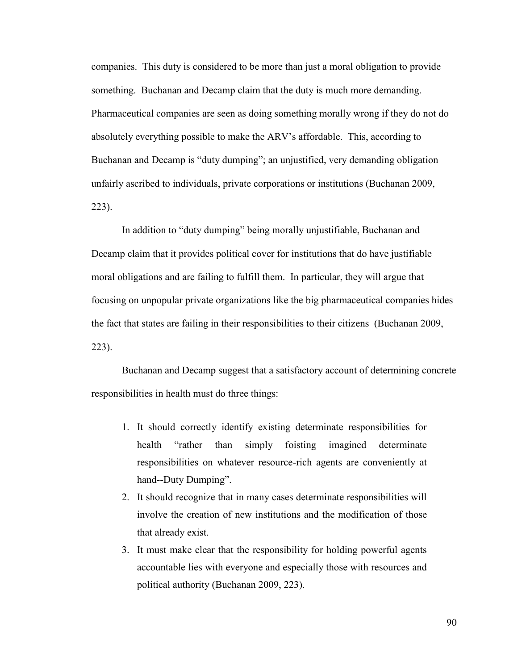companies. This duty is considered to be more than just a moral obligation to provide something. Buchanan and Decamp claim that the duty is much more demanding. Pharmaceutical companies are seen as doing something morally wrong if they do not do absolutely everything possible to make the ARV's affordable. This, according to Buchanan and Decamp is "duty dumping"; an unjustified, very demanding obligation unfairly ascribed to individuals, private corporations or institutions (Buchanan 2009, 223).

In addition to "duty dumping" being morally unjustifiable, Buchanan and Decamp claim that it provides political cover for institutions that do have justifiable moral obligations and are failing to fulfill them. In particular, they will argue that focusing on unpopular private organizations like the big pharmaceutical companies hides the fact that states are failing in their responsibilities to their citizens (Buchanan 2009, 223).

Buchanan and Decamp suggest that a satisfactory account of determining concrete responsibilities in health must do three things:

- 1. It should correctly identify existing determinate responsibilities for health "rather than simply foisting imagined determinate responsibilities on whatever resource-rich agents are conveniently at hand--Duty Dumping".
- 2. It should recognize that in many cases determinate responsibilities will involve the creation of new institutions and the modification of those that already exist.
- 3. It must make clear that the responsibility for holding powerful agents accountable lies with everyone and especially those with resources and political authority (Buchanan 2009, 223).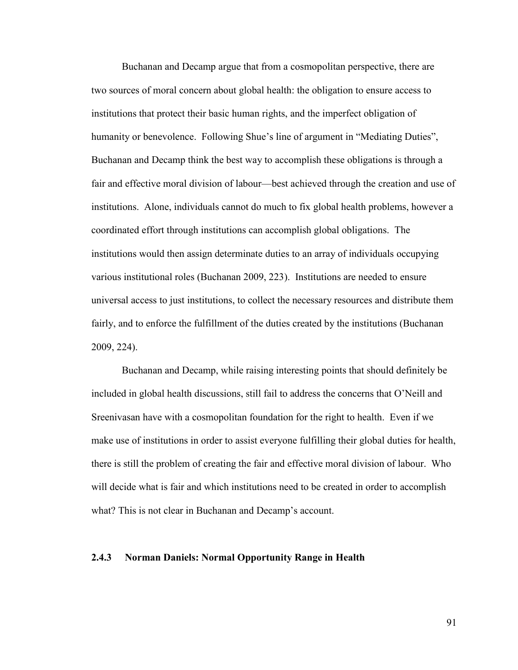Buchanan and Decamp argue that from a cosmopolitan perspective, there are two sources of moral concern about global health: the obligation to ensure access to institutions that protect their basic human rights, and the imperfect obligation of humanity or benevolence. Following Shue's line of argument in "Mediating Duties", Buchanan and Decamp think the best way to accomplish these obligations is through a fair and effective moral division of labour—best achieved through the creation and use of institutions. Alone, individuals cannot do much to fix global health problems, however a coordinated effort through institutions can accomplish global obligations. The institutions would then assign determinate duties to an array of individuals occupying various institutional roles (Buchanan 2009, 223). Institutions are needed to ensure universal access to just institutions, to collect the necessary resources and distribute them fairly, and to enforce the fulfillment of the duties created by the institutions (Buchanan 2009, 224).

Buchanan and Decamp, while raising interesting points that should definitely be included in global health discussions, still fail to address the concerns that O'Neill and Sreenivasan have with a cosmopolitan foundation for the right to health. Even if we make use of institutions in order to assist everyone fulfilling their global duties for health, there is still the problem of creating the fair and effective moral division of labour. Who will decide what is fair and which institutions need to be created in order to accomplish what? This is not clear in Buchanan and Decamp's account.

## **2.4.3 Norman Daniels: Normal Opportunity Range in Health**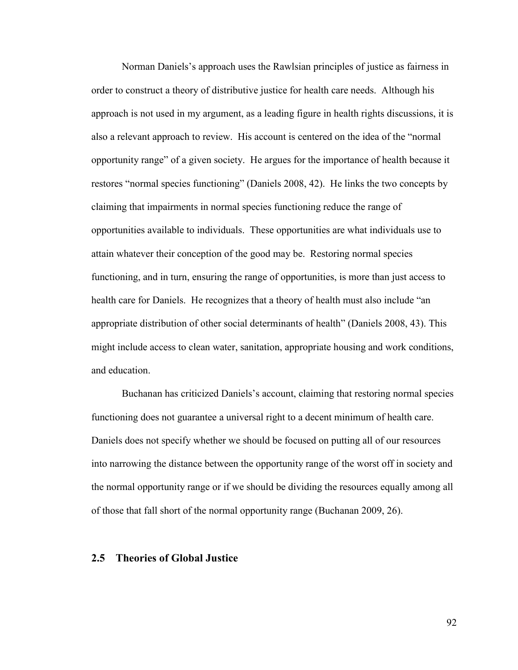Norman Daniels's approach uses the Rawlsian principles of justice as fairness in order to construct a theory of distributive justice for health care needs. Although his approach is not used in my argument, as a leading figure in health rights discussions, it is also a relevant approach to review. His account is centered on the idea of the "normal opportunity range" of a given society. He argues for the importance of health because it restores "normal species functioning" (Daniels 2008, 42). He links the two concepts by claiming that impairments in normal species functioning reduce the range of opportunities available to individuals. These opportunities are what individuals use to attain whatever their conception of the good may be. Restoring normal species functioning, and in turn, ensuring the range of opportunities, is more than just access to health care for Daniels. He recognizes that a theory of health must also include "an appropriate distribution of other social determinants of health" (Daniels 2008, 43). This might include access to clean water, sanitation, appropriate housing and work conditions, and education.

Buchanan has criticized Daniels's account, claiming that restoring normal species functioning does not guarantee a universal right to a decent minimum of health care. Daniels does not specify whether we should be focused on putting all of our resources into narrowing the distance between the opportunity range of the worst off in society and the normal opportunity range or if we should be dividing the resources equally among all of those that fall short of the normal opportunity range (Buchanan 2009, 26).

## **2.5 Theories of Global Justice**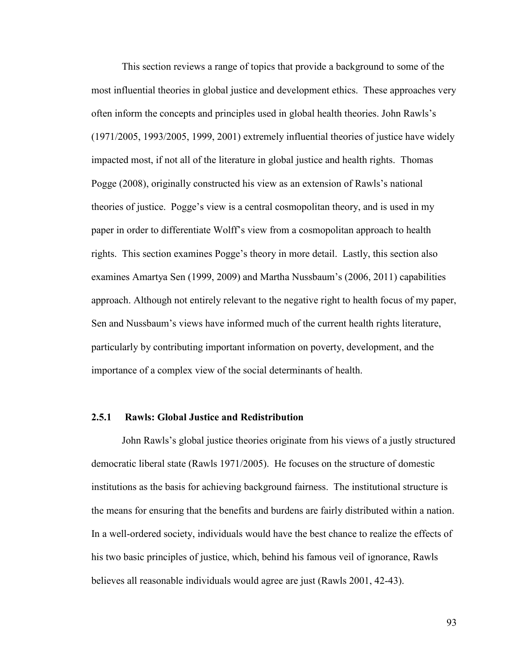This section reviews a range of topics that provide a background to some of the most influential theories in global justice and development ethics. These approaches very often inform the concepts and principles used in global health theories. John Rawls's (1971/2005, 1993/2005, 1999, 2001) extremely influential theories of justice have widely impacted most, if not all of the literature in global justice and health rights. Thomas Pogge (2008), originally constructed his view as an extension of Rawls's national theories of justice. Pogge's view is a central cosmopolitan theory, and is used in my paper in order to differentiate Wolff's view from a cosmopolitan approach to health rights. This section examines Pogge's theory in more detail. Lastly, this section also examines Amartya Sen (1999, 2009) and Martha Nussbaum's (2006, 2011) capabilities approach. Although not entirely relevant to the negative right to health focus of my paper, Sen and Nussbaum's views have informed much of the current health rights literature, particularly by contributing important information on poverty, development, and the importance of a complex view of the social determinants of health.

## **2.5.1 Rawls: Global Justice and Redistribution**

John Rawls's global justice theories originate from his views of a justly structured democratic liberal state (Rawls 1971/2005). He focuses on the structure of domestic institutions as the basis for achieving background fairness. The institutional structure is the means for ensuring that the benefits and burdens are fairly distributed within a nation. In a well-ordered society, individuals would have the best chance to realize the effects of his two basic principles of justice, which, behind his famous veil of ignorance, Rawls believes all reasonable individuals would agree are just (Rawls 2001, 42-43).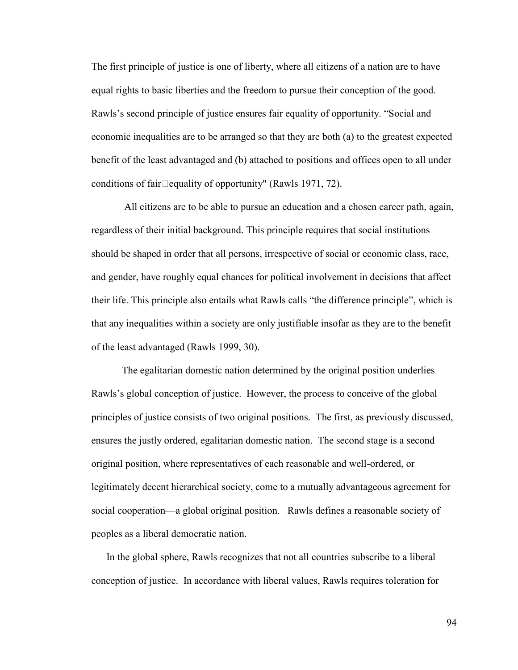The first principle of justice is one of liberty, where all citizens of a nation are to have equal rights to basic liberties and the freedom to pursue their conception of the good. Rawls's second principle of justice ensures fair equality of opportunity. "Social and economic inequalities are to be arranged so that they are both (a) to the greatest expected benefit of the least advantaged and (b) attached to positions and offices open to all under conditions of fair $\Box$ equality of opportunity" (Rawls 1971, 72).

All citizens are to be able to pursue an education and a chosen career path, again, regardless of their initial background. This principle requires that social institutions should be shaped in order that all persons, irrespective of social or economic class, race, and gender, have roughly equal chances for political involvement in decisions that affect their life. This principle also entails what Rawls calls "the difference principle", which is that any inequalities within a society are only justifiable insofar as they are to the benefit of the least advantaged (Rawls 1999, 30).

The egalitarian domestic nation determined by the original position underlies Rawls's global conception of justice. However, the process to conceive of the global principles of justice consists of two original positions. The first, as previously discussed, ensures the justly ordered, egalitarian domestic nation. The second stage is a second original position, where representatives of each reasonable and well-ordered, or legitimately decent hierarchical society, come to a mutually advantageous agreement for social cooperation—a global original position. Rawls defines a reasonable society of peoples as a liberal democratic nation.

In the global sphere, Rawls recognizes that not all countries subscribe to a liberal conception of justice. In accordance with liberal values, Rawls requires toleration for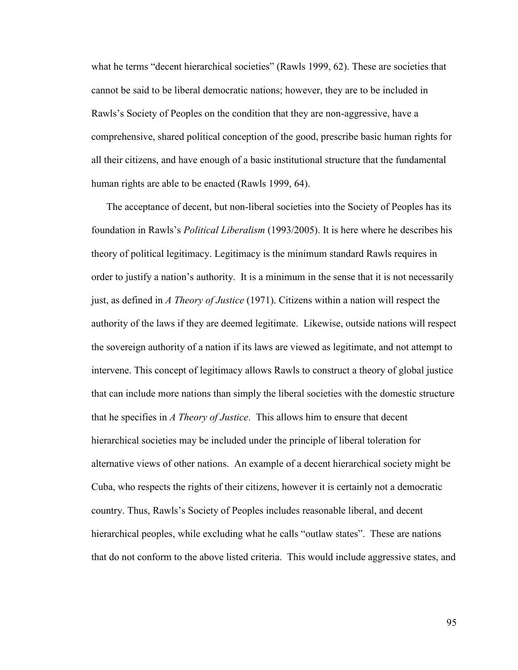what he terms "decent hierarchical societies" (Rawls 1999, 62). These are societies that cannot be said to be liberal democratic nations; however, they are to be included in Rawls's Society of Peoples on the condition that they are non-aggressive, have a comprehensive, shared political conception of the good, prescribe basic human rights for all their citizens, and have enough of a basic institutional structure that the fundamental human rights are able to be enacted (Rawls 1999, 64).

The acceptance of decent, but non-liberal societies into the Society of Peoples has its foundation in Rawls's *Political Liberalism* (1993/2005). It is here where he describes his theory of political legitimacy. Legitimacy is the minimum standard Rawls requires in order to justify a nation's authority. It is a minimum in the sense that it is not necessarily just, as defined in *A Theory of Justice* (1971). Citizens within a nation will respect the authority of the laws if they are deemed legitimate. Likewise, outside nations will respect the sovereign authority of a nation if its laws are viewed as legitimate, and not attempt to intervene. This concept of legitimacy allows Rawls to construct a theory of global justice that can include more nations than simply the liberal societies with the domestic structure that he specifies in *A Theory of Justice*. This allows him to ensure that decent hierarchical societies may be included under the principle of liberal toleration for alternative views of other nations. An example of a decent hierarchical society might be Cuba, who respects the rights of their citizens, however it is certainly not a democratic country. Thus, Rawls's Society of Peoples includes reasonable liberal, and decent hierarchical peoples, while excluding what he calls "outlaw states". These are nations that do not conform to the above listed criteria. This would include aggressive states, and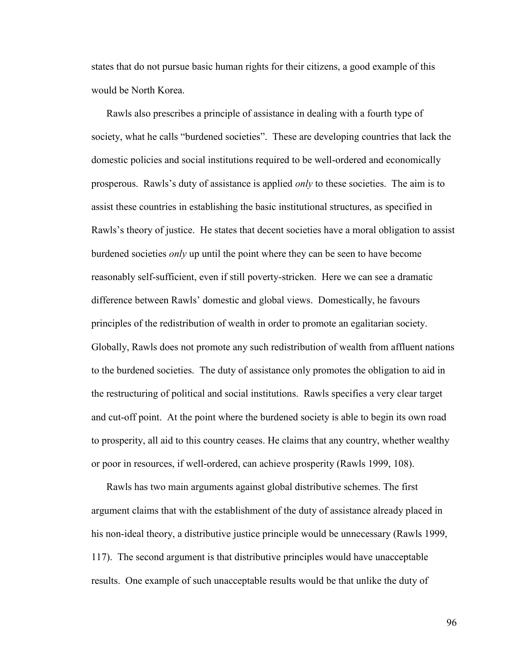states that do not pursue basic human rights for their citizens, a good example of this would be North Korea.

Rawls also prescribes a principle of assistance in dealing with a fourth type of society, what he calls "burdened societies". These are developing countries that lack the domestic policies and social institutions required to be well-ordered and economically prosperous. Rawls's duty of assistance is applied *only* to these societies. The aim is to assist these countries in establishing the basic institutional structures, as specified in Rawls's theory of justice. He states that decent societies have a moral obligation to assist burdened societies *only* up until the point where they can be seen to have become reasonably self-sufficient, even if still poverty-stricken. Here we can see a dramatic difference between Rawls' domestic and global views. Domestically, he favours principles of the redistribution of wealth in order to promote an egalitarian society. Globally, Rawls does not promote any such redistribution of wealth from affluent nations to the burdened societies. The duty of assistance only promotes the obligation to aid in the restructuring of political and social institutions. Rawls specifies a very clear target and cut-off point. At the point where the burdened society is able to begin its own road to prosperity, all aid to this country ceases. He claims that any country, whether wealthy or poor in resources, if well-ordered, can achieve prosperity (Rawls 1999, 108).

Rawls has two main arguments against global distributive schemes. The first argument claims that with the establishment of the duty of assistance already placed in his non-ideal theory, a distributive justice principle would be unnecessary (Rawls 1999, 117). The second argument is that distributive principles would have unacceptable results. One example of such unacceptable results would be that unlike the duty of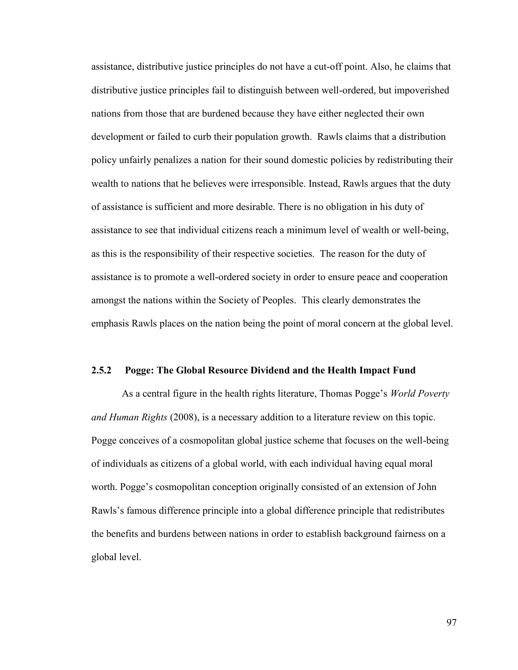assistance, distributive justice principles do not have a cut-off point. Also, he claims that distributive justice principles fail to distinguish between well-ordered, but impoverished nations from those that are burdened because they have either neglected their own development or failed to curb their population growth. Rawls claims that a distribution policy unfairly penalizes a nation for their sound domestic policies by redistributing their wealth to nations that he believes were irresponsible. Instead, Rawls argues that the duty of assistance is sufficient and more desirable. There is no obligation in his duty of assistance to see that individual citizens reach a minimum level of wealth or well-being, as this is the responsibility of their respective societies. The reason for the duty of assistance is to promote a well-ordered society in order to ensure peace and cooperation amongst the nations within the Society of Peoples. This clearly demonstrates the emphasis Rawls places on the nation being the point of moral concern at the global level.

## **2.5.2 Pogge: The Global Resource Dividend and the Health Impact Fund**

As a central figure in the health rights literature, Thomas Pogge's *World Poverty and Human Rights* (2008), is a necessary addition to a literature review on this topic. Pogge conceives of a cosmopolitan global justice scheme that focuses on the well-being of individuals as citizens of a global world, with each individual having equal moral worth. Pogge's cosmopolitan conception originally consisted of an extension of John Rawls's famous difference principle into a global difference principle that redistributes the benefits and burdens between nations in order to establish background fairness on a global level.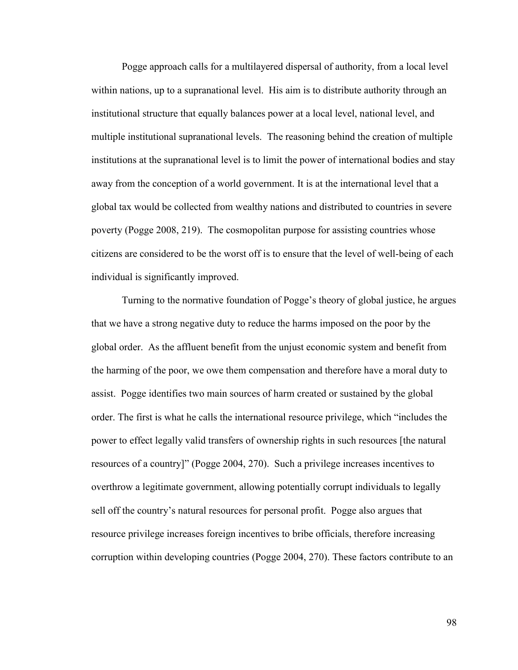Pogge approach calls for a multilayered dispersal of authority, from a local level within nations, up to a supranational level. His aim is to distribute authority through an institutional structure that equally balances power at a local level, national level, and multiple institutional supranational levels. The reasoning behind the creation of multiple institutions at the supranational level is to limit the power of international bodies and stay away from the conception of a world government. It is at the international level that a global tax would be collected from wealthy nations and distributed to countries in severe poverty (Pogge 2008, 219). The cosmopolitan purpose for assisting countries whose citizens are considered to be the worst off is to ensure that the level of well-being of each individual is significantly improved.

Turning to the normative foundation of Pogge's theory of global justice, he argues that we have a strong negative duty to reduce the harms imposed on the poor by the global order. As the affluent benefit from the unjust economic system and benefit from the harming of the poor, we owe them compensation and therefore have a moral duty to assist. Pogge identifies two main sources of harm created or sustained by the global order. The first is what he calls the international resource privilege, which "includes the power to effect legally valid transfers of ownership rights in such resources [the natural resources of a country]" (Pogge 2004, 270). Such a privilege increases incentives to overthrow a legitimate government, allowing potentially corrupt individuals to legally sell off the country's natural resources for personal profit. Pogge also argues that resource privilege increases foreign incentives to bribe officials, therefore increasing corruption within developing countries (Pogge 2004, 270). These factors contribute to an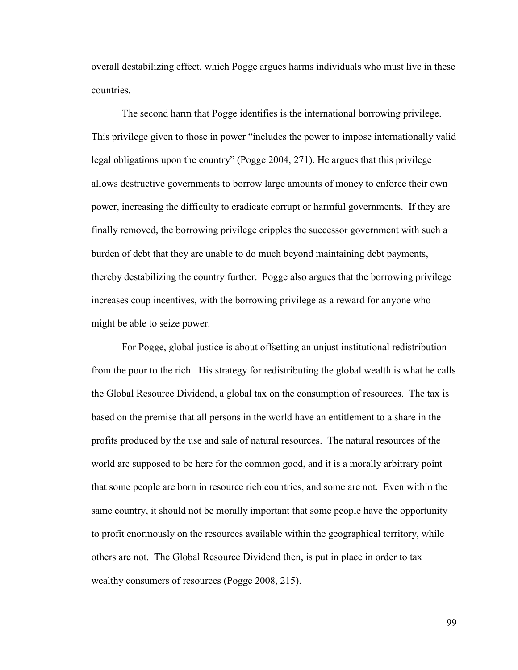overall destabilizing effect, which Pogge argues harms individuals who must live in these countries.

The second harm that Pogge identifies is the international borrowing privilege. This privilege given to those in power "includes the power to impose internationally valid legal obligations upon the country" (Pogge 2004, 271). He argues that this privilege allows destructive governments to borrow large amounts of money to enforce their own power, increasing the difficulty to eradicate corrupt or harmful governments. If they are finally removed, the borrowing privilege cripples the successor government with such a burden of debt that they are unable to do much beyond maintaining debt payments, thereby destabilizing the country further. Pogge also argues that the borrowing privilege increases coup incentives, with the borrowing privilege as a reward for anyone who might be able to seize power.

For Pogge, global justice is about offsetting an unjust institutional redistribution from the poor to the rich. His strategy for redistributing the global wealth is what he calls the Global Resource Dividend, a global tax on the consumption of resources. The tax is based on the premise that all persons in the world have an entitlement to a share in the profits produced by the use and sale of natural resources. The natural resources of the world are supposed to be here for the common good, and it is a morally arbitrary point that some people are born in resource rich countries, and some are not. Even within the same country, it should not be morally important that some people have the opportunity to profit enormously on the resources available within the geographical territory, while others are not. The Global Resource Dividend then, is put in place in order to tax wealthy consumers of resources (Pogge 2008, 215).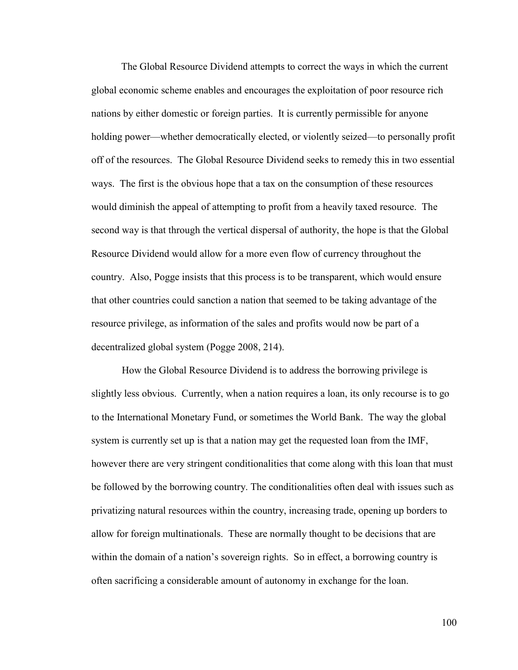The Global Resource Dividend attempts to correct the ways in which the current global economic scheme enables and encourages the exploitation of poor resource rich nations by either domestic or foreign parties. It is currently permissible for anyone holding power—whether democratically elected, or violently seized—to personally profit off of the resources. The Global Resource Dividend seeks to remedy this in two essential ways. The first is the obvious hope that a tax on the consumption of these resources would diminish the appeal of attempting to profit from a heavily taxed resource. The second way is that through the vertical dispersal of authority, the hope is that the Global Resource Dividend would allow for a more even flow of currency throughout the country. Also, Pogge insists that this process is to be transparent, which would ensure that other countries could sanction a nation that seemed to be taking advantage of the resource privilege, as information of the sales and profits would now be part of a decentralized global system (Pogge 2008, 214).

How the Global Resource Dividend is to address the borrowing privilege is slightly less obvious. Currently, when a nation requires a loan, its only recourse is to go to the International Monetary Fund, or sometimes the World Bank. The way the global system is currently set up is that a nation may get the requested loan from the IMF, however there are very stringent conditionalities that come along with this loan that must be followed by the borrowing country. The conditionalities often deal with issues such as privatizing natural resources within the country, increasing trade, opening up borders to allow for foreign multinationals. These are normally thought to be decisions that are within the domain of a nation's sovereign rights. So in effect, a borrowing country is often sacrificing a considerable amount of autonomy in exchange for the loan.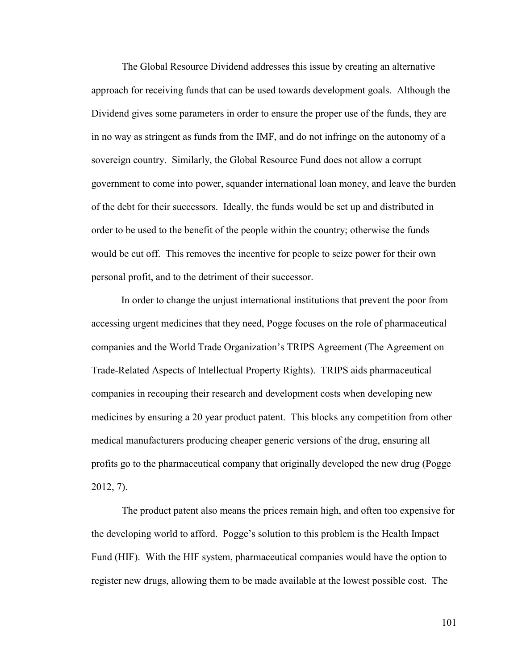The Global Resource Dividend addresses this issue by creating an alternative approach for receiving funds that can be used towards development goals. Although the Dividend gives some parameters in order to ensure the proper use of the funds, they are in no way as stringent as funds from the IMF, and do not infringe on the autonomy of a sovereign country. Similarly, the Global Resource Fund does not allow a corrupt government to come into power, squander international loan money, and leave the burden of the debt for their successors. Ideally, the funds would be set up and distributed in order to be used to the benefit of the people within the country; otherwise the funds would be cut off. This removes the incentive for people to seize power for their own personal profit, and to the detriment of their successor.

In order to change the unjust international institutions that prevent the poor from accessing urgent medicines that they need, Pogge focuses on the role of pharmaceutical companies and the World Trade Organization's TRIPS Agreement (The Agreement on Trade-Related Aspects of Intellectual Property Rights). TRIPS aids pharmaceutical companies in recouping their research and development costs when developing new medicines by ensuring a 20 year product patent. This blocks any competition from other medical manufacturers producing cheaper generic versions of the drug, ensuring all profits go to the pharmaceutical company that originally developed the new drug (Pogge 2012, 7).

The product patent also means the prices remain high, and often too expensive for the developing world to afford. Pogge's solution to this problem is the Health Impact Fund (HIF). With the HIF system, pharmaceutical companies would have the option to register new drugs, allowing them to be made available at the lowest possible cost. The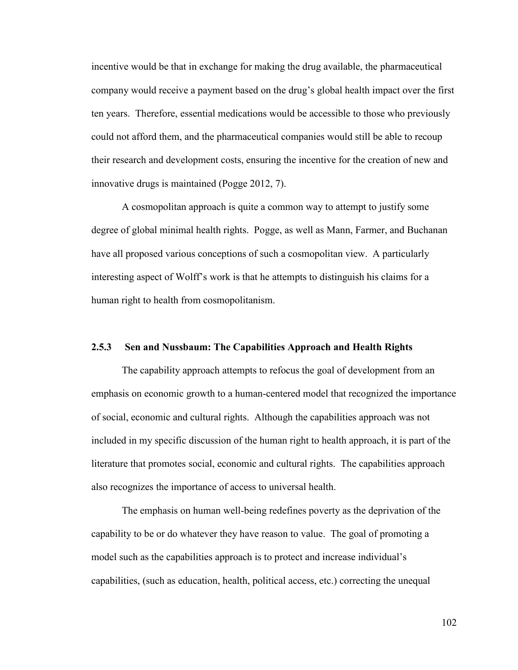incentive would be that in exchange for making the drug available, the pharmaceutical company would receive a payment based on the drug's global health impact over the first ten years. Therefore, essential medications would be accessible to those who previously could not afford them, and the pharmaceutical companies would still be able to recoup their research and development costs, ensuring the incentive for the creation of new and innovative drugs is maintained (Pogge 2012, 7).

A cosmopolitan approach is quite a common way to attempt to justify some degree of global minimal health rights. Pogge, as well as Mann, Farmer, and Buchanan have all proposed various conceptions of such a cosmopolitan view. A particularly interesting aspect of Wolff's work is that he attempts to distinguish his claims for a human right to health from cosmopolitanism.

## **2.5.3 Sen and Nussbaum: The Capabilities Approach and Health Rights**

The capability approach attempts to refocus the goal of development from an emphasis on economic growth to a human-centered model that recognized the importance of social, economic and cultural rights. Although the capabilities approach was not included in my specific discussion of the human right to health approach, it is part of the literature that promotes social, economic and cultural rights. The capabilities approach also recognizes the importance of access to universal health.

The emphasis on human well-being redefines poverty as the deprivation of the capability to be or do whatever they have reason to value. The goal of promoting a model such as the capabilities approach is to protect and increase individual's capabilities, (such as education, health, political access, etc.) correcting the unequal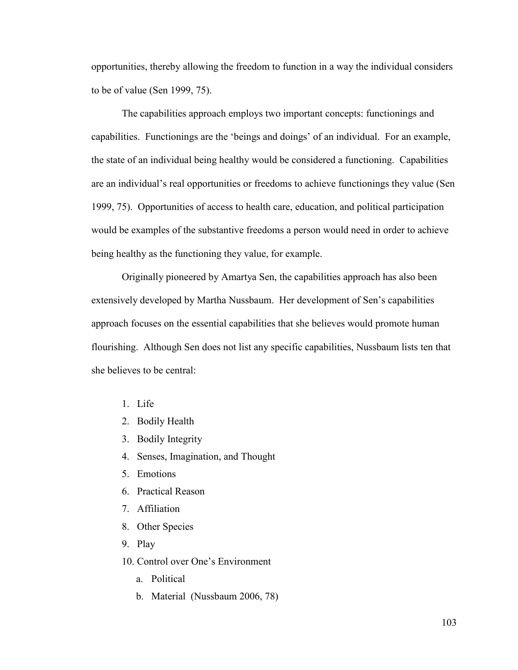opportunities, thereby allowing the freedom to function in a way the individual considers to be of value (Sen 1999, 75).

The capabilities approach employs two important concepts: functionings and capabilities. Functionings are the 'beings and doings' of an individual. For an example, the state of an individual being healthy would be considered a functioning. Capabilities are an individual's real opportunities or freedoms to achieve functionings they value (Sen 1999, 75). Opportunities of access to health care, education, and political participation would be examples of the substantive freedoms a person would need in order to achieve being healthy as the functioning they value, for example.

Originally pioneered by Amartya Sen, the capabilities approach has also been extensively developed by Martha Nussbaum. Her development of Sen's capabilities approach focuses on the essential capabilities that she believes would promote human flourishing. Although Sen does not list any specific capabilities, Nussbaum lists ten that she believes to be central:

- 1. Life
- 2. Bodily Health
- 3. Bodily Integrity
- 4. Senses, Imagination, and Thought
- 5. Emotions
- 6. Practical Reason
- 7. Affiliation
- 8. Other Species
- 9. Play

10. Control over One's Environment

- a. Political
- b. Material (Nussbaum 2006, 78)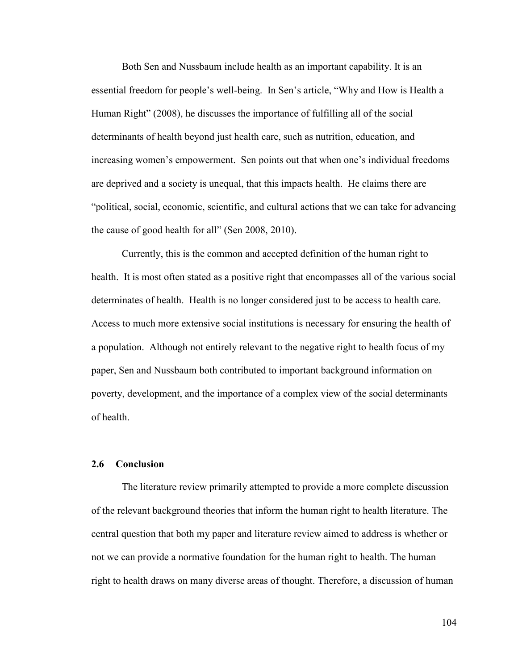Both Sen and Nussbaum include health as an important capability. It is an essential freedom for people's well-being. In Sen's article, "Why and How is Health a Human Right" (2008), he discusses the importance of fulfilling all of the social determinants of health beyond just health care, such as nutrition, education, and increasing women's empowerment. Sen points out that when one's individual freedoms are deprived and a society is unequal, that this impacts health. He claims there are "political, social, economic, scientific, and cultural actions that we can take for advancing the cause of good health for all" (Sen 2008, 2010).

Currently, this is the common and accepted definition of the human right to health. It is most often stated as a positive right that encompasses all of the various social determinates of health. Health is no longer considered just to be access to health care. Access to much more extensive social institutions is necessary for ensuring the health of a population. Although not entirely relevant to the negative right to health focus of my paper, Sen and Nussbaum both contributed to important background information on poverty, development, and the importance of a complex view of the social determinants of health.

## **2.6 Conclusion**

The literature review primarily attempted to provide a more complete discussion of the relevant background theories that inform the human right to health literature. The central question that both my paper and literature review aimed to address is whether or not we can provide a normative foundation for the human right to health. The human right to health draws on many diverse areas of thought. Therefore, a discussion of human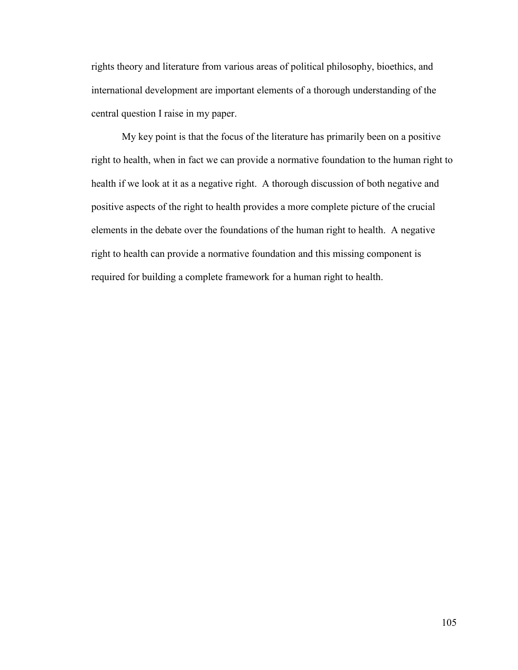rights theory and literature from various areas of political philosophy, bioethics, and international development are important elements of a thorough understanding of the central question I raise in my paper.

My key point is that the focus of the literature has primarily been on a positive right to health, when in fact we can provide a normative foundation to the human right to health if we look at it as a negative right. A thorough discussion of both negative and positive aspects of the right to health provides a more complete picture of the crucial elements in the debate over the foundations of the human right to health. A negative right to health can provide a normative foundation and this missing component is required for building a complete framework for a human right to health.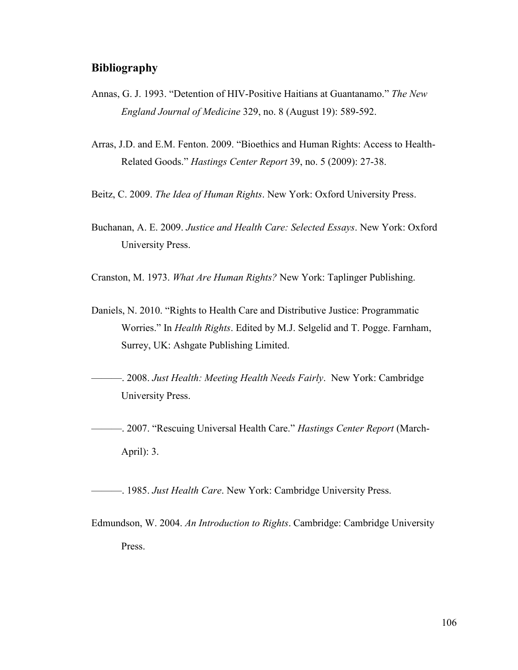## **Bibliography**

- Annas, G. J. 1993. "Detention of HIV-Positive Haitians at Guantanamo." *The New England Journal of Medicine* 329, no. 8 (August 19): 589-592.
- Arras, J.D. and E.M. Fenton. 2009. "Bioethics and Human Rights: Access to Health-Related Goods." *Hastings Center Report* 39, no. 5 (2009): 27-38.
- Beitz, C. 2009. *The Idea of Human Rights*. New York: Oxford University Press.
- Buchanan, A. E. 2009. *Justice and Health Care: Selected Essays*. New York: Oxford University Press.
- Cranston, M. 1973. *What Are Human Rights?* New York: Taplinger Publishing.
- Daniels, N. 2010. "Rights to Health Care and Distributive Justice: Programmatic Worries." In *Health Rights*. Edited by M.J. Selgelid and T. Pogge. Farnham, Surrey, UK: Ashgate Publishing Limited.
- ———. 2008. *Just Health: Meeting Health Needs Fairly*. New York: Cambridge University Press.
- ———. 2007. "Rescuing Universal Health Care." *Hastings Center Report* (March-April): 3.

———. 1985. *Just Health Care*. New York: Cambridge University Press.

Edmundson, W. 2004. *An Introduction to Rights*. Cambridge: Cambridge University Press.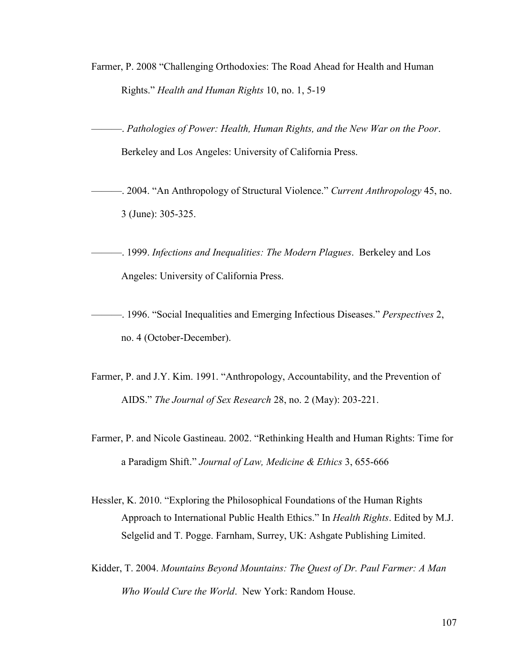Farmer, P. 2008 "Challenging Orthodoxies: The Road Ahead for Health and Human Rights." *Health and Human Rights* 10, no. 1, 5-19

———. *Pathologies of Power: Health, Human Rights, and the New War on the Poor*. Berkeley and Los Angeles: University of California Press.

———. 2004. "An Anthropology of Structural Violence." *Current Anthropology* 45, no. 3 (June): 305-325.

———. 1999. *Infections and Inequalities: The Modern Plagues*. Berkeley and Los Angeles: University of California Press.

———. 1996. "Social Inequalities and Emerging Infectious Diseases." *Perspectives* 2, no. 4 (October-December).

- Farmer, P. and J.Y. Kim. 1991. "Anthropology, Accountability, and the Prevention of AIDS." *The Journal of Sex Research* 28, no. 2 (May): 203-221.
- Farmer, P. and Nicole Gastineau. 2002. "Rethinking Health and Human Rights: Time for a Paradigm Shift." *Journal of Law, Medicine & Ethics* 3, 655-666
- Hessler, K. 2010. "Exploring the Philosophical Foundations of the Human Rights Approach to International Public Health Ethics." In *Health Rights*. Edited by M.J. Selgelid and T. Pogge. Farnham, Surrey, UK: Ashgate Publishing Limited.
- Kidder, T. 2004. *Mountains Beyond Mountains: The Quest of Dr. Paul Farmer: A Man Who Would Cure the World*. New York: Random House.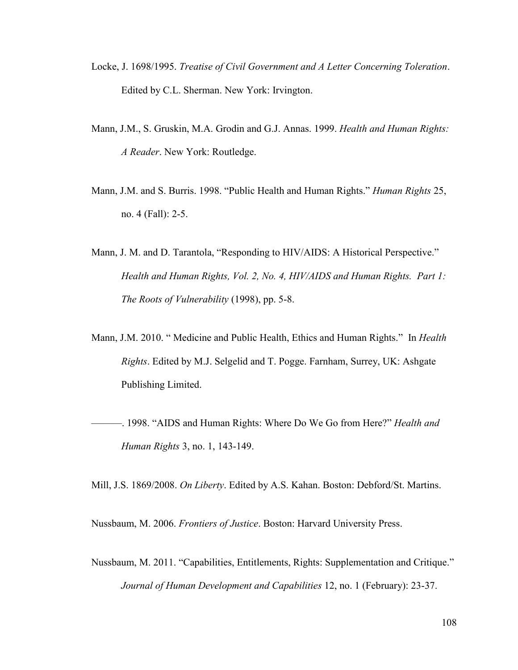- Locke, J. 1698/1995. *Treatise of Civil Government and A Letter Concerning Toleration*. Edited by C.L. Sherman. New York: Irvington.
- Mann, J.M., S. Gruskin, M.A. Grodin and G.J. Annas. 1999. *Health and Human Rights: A Reader*. New York: Routledge.
- Mann, J.M. and S. Burris. 1998. "Public Health and Human Rights." *Human Rights* 25, no. 4 (Fall): 2-5.
- Mann, J. M. and D. Tarantola, "Responding to HIV/AIDS: A Historical Perspective." *Health and Human Rights, Vol. 2, No. 4, HIV/AIDS and Human Rights. Part 1: The Roots of Vulnerability* (1998), pp. 5-8.
- Mann, J.M. 2010. " Medicine and Public Health, Ethics and Human Rights." In *Health Rights*. Edited by M.J. Selgelid and T. Pogge. Farnham, Surrey, UK: Ashgate Publishing Limited.
- ———. 1998. "AIDS and Human Rights: Where Do We Go from Here?" *Health and Human Rights* 3, no. 1, 143-149.

Mill, J.S. 1869/2008. *On Liberty*. Edited by A.S. Kahan. Boston: Debford/St. Martins.

Nussbaum, M. 2006. *Frontiers of Justice*. Boston: Harvard University Press.

Nussbaum, M. 2011. "Capabilities, Entitlements, Rights: Supplementation and Critique." *Journal of Human Development and Capabilities* 12, no. 1 (February): 23-37.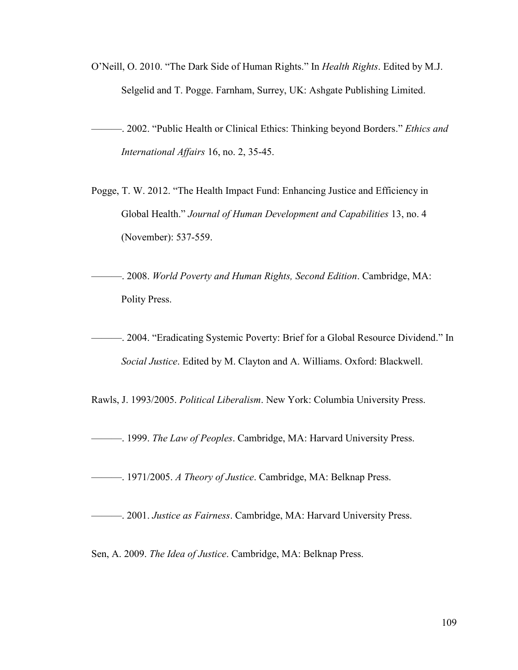O'Neill, O. 2010. "The Dark Side of Human Rights." In *Health Rights*. Edited by M.J. Selgelid and T. Pogge. Farnham, Surrey, UK: Ashgate Publishing Limited.

———. 2002. "Public Health or Clinical Ethics: Thinking beyond Borders." *Ethics and International Affairs* 16, no. 2, 35-45.

- Pogge, T. W. 2012. "The Health Impact Fund: Enhancing Justice and Efficiency in Global Health." *Journal of Human Development and Capabilities* 13, no. 4 (November): 537-559.
- ———. 2008. *World Poverty and Human Rights, Second Edition*. Cambridge, MA: Polity Press.
- ———. 2004. "Eradicating Systemic Poverty: Brief for a Global Resource Dividend." In *Social Justice*. Edited by M. Clayton and A. Williams. Oxford: Blackwell.

Rawls, J. 1993/2005. *Political Liberalism*. New York: Columbia University Press.

———. 1999. *The Law of Peoples*. Cambridge, MA: Harvard University Press.

———. 1971/2005. *A Theory of Justice*. Cambridge, MA: Belknap Press.

———. 2001. *Justice as Fairness*. Cambridge, MA: Harvard University Press.

Sen, A. 2009. *The Idea of Justice*. Cambridge, MA: Belknap Press.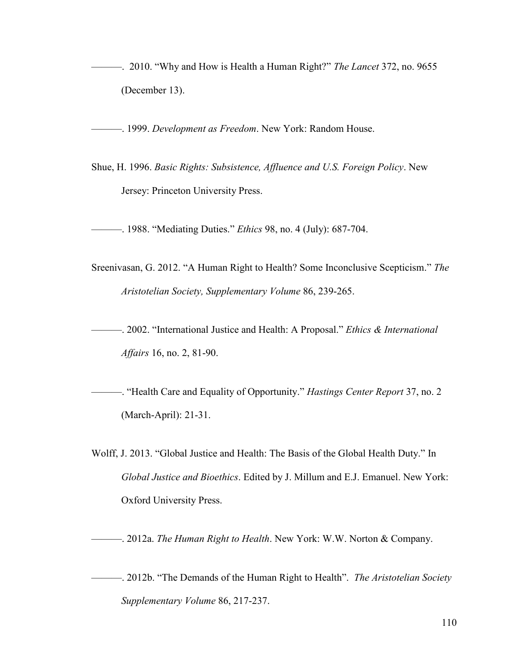———. 2010. "Why and How is Health a Human Right?" *The Lancet* 372, no. 9655 (December 13).

———. 1999. *Development as Freedom*. New York: Random House.

Shue, H. 1996. *Basic Rights: Subsistence, Affluence and U.S. Foreign Policy*. New Jersey: Princeton University Press.

———. 1988. "Mediating Duties." *Ethics* 98, no. 4 (July): 687-704.

- Sreenivasan, G. 2012. "A Human Right to Health? Some Inconclusive Scepticism." *The Aristotelian Society, Supplementary Volume* 86, 239-265.
- ———. 2002. "International Justice and Health: A Proposal." *Ethics & International Affairs* 16, no. 2, 81-90.
- ———. "Health Care and Equality of Opportunity." *Hastings Center Report* 37, no. 2 (March-April): 21-31.
- Wolff, J. 2013. "Global Justice and Health: The Basis of the Global Health Duty." In *Global Justice and Bioethics*. Edited by J. Millum and E.J. Emanuel. New York: Oxford University Press.

———. 2012a. *The Human Right to Health*. New York: W.W. Norton & Company.

———. 2012b. "The Demands of the Human Right to Health". *The Aristotelian Society Supplementary Volume* 86, 217-237.